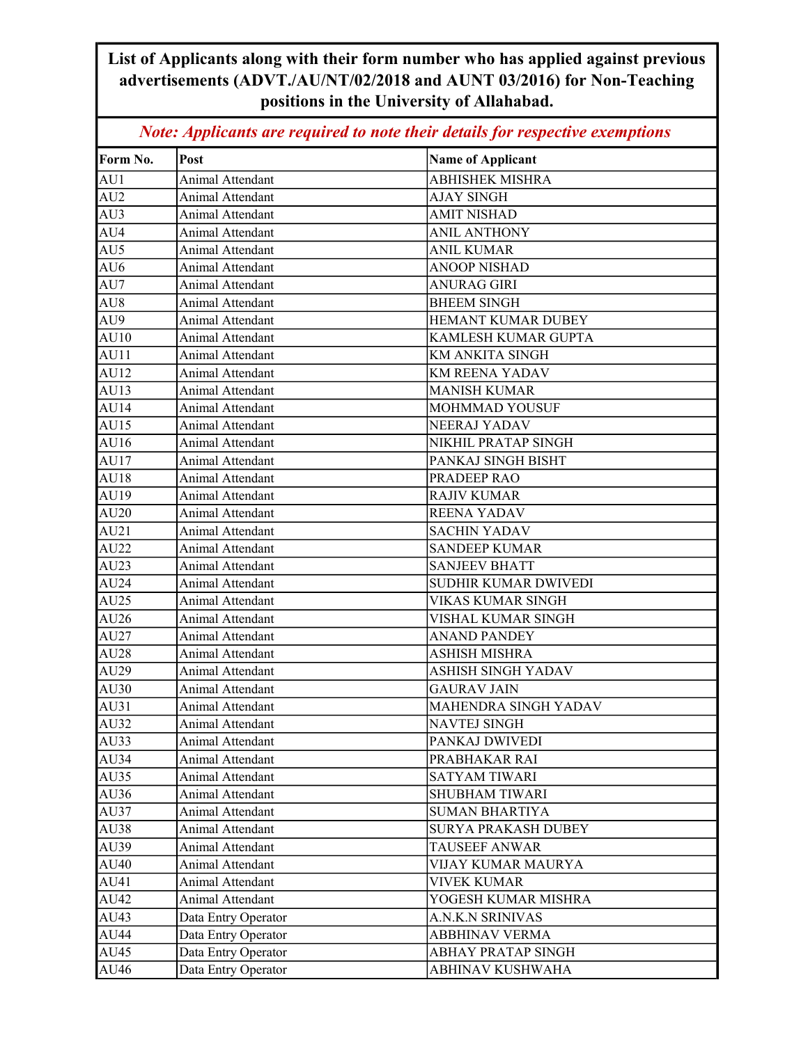## List of Applicants along with their form number who has applied against previous advertisements (ADVT./AU/NT/02/2018 and AUNT 03/2016) for Non-Teaching positions in the University of Allahabad.

Note: Applicants are required to note their details for respective exemptions

| Form No. | Post                | <b>Name of Applicant</b>   |
|----------|---------------------|----------------------------|
| AU1      | Animal Attendant    | <b>ABHISHEK MISHRA</b>     |
| AU2      | Animal Attendant    | <b>AJAY SINGH</b>          |
| AU3      | Animal Attendant    | <b>AMIT NISHAD</b>         |
| AU4      | Animal Attendant    | <b>ANIL ANTHONY</b>        |
| AU5      | Animal Attendant    | <b>ANIL KUMAR</b>          |
| AU6      | Animal Attendant    | <b>ANOOP NISHAD</b>        |
| AU7      | Animal Attendant    | <b>ANURAG GIRI</b>         |
| AU8      | Animal Attendant    | <b>BHEEM SINGH</b>         |
| AU9      | Animal Attendant    | HEMANT KUMAR DUBEY         |
| AU10     | Animal Attendant    | KAMLESH KUMAR GUPTA        |
| AU11     | Animal Attendant    | KM ANKITA SINGH            |
| AU12     | Animal Attendant    | KM REENA YADAV             |
| AU13     | Animal Attendant    | <b>MANISH KUMAR</b>        |
| AU14     | Animal Attendant    | MOHMMAD YOUSUF             |
| AU15     | Animal Attendant    | NEERAJ YADAV               |
| AU16     | Animal Attendant    | NIKHIL PRATAP SINGH        |
| AU17     | Animal Attendant    | PANKAJ SINGH BISHT         |
| AU18     | Animal Attendant    | PRADEEP RAO                |
| AU19     | Animal Attendant    | <b>RAJIV KUMAR</b>         |
| AU20     | Animal Attendant    | <b>REENA YADAV</b>         |
| AU21     | Animal Attendant    | <b>SACHIN YADAV</b>        |
| AU22     | Animal Attendant    | <b>SANDEEP KUMAR</b>       |
| AU23     | Animal Attendant    | <b>SANJEEV BHATT</b>       |
| AU24     | Animal Attendant    | SUDHIR KUMAR DWIVEDI       |
| AU25     | Animal Attendant    | VIKAS KUMAR SINGH          |
| AU26     | Animal Attendant    | VISHAL KUMAR SINGH         |
| AU27     | Animal Attendant    | <b>ANAND PANDEY</b>        |
| AU28     | Animal Attendant    | ASHISH MISHRA              |
| AU29     | Animal Attendant    | <b>ASHISH SINGH YADAV</b>  |
| AU30     | Animal Attendant    | <b>GAURAV JAIN</b>         |
| AU31     | Animal Attendant    | MAHENDRA SINGH YADAV       |
| AU32     | Animal Attendant    | <b>NAVTEJ SINGH</b>        |
| AU33     | Animal Attendant    | PANKAJ DWIVEDI             |
| AU34     | Animal Attendant    | PRABHAKAR RAI              |
| AU35     | Animal Attendant    | <b>SATYAM TIWARI</b>       |
| AU36     | Animal Attendant    | SHUBHAM TIWARI             |
| AU37     | Animal Attendant    | <b>SUMAN BHARTIYA</b>      |
| AU38     | Animal Attendant    | <b>SURYA PRAKASH DUBEY</b> |
| AU39     | Animal Attendant    | <b>TAUSEEF ANWAR</b>       |
| AU40     | Animal Attendant    | VIJAY KUMAR MAURYA         |
| AU41     | Animal Attendant    | <b>VIVEK KUMAR</b>         |
| AU42     | Animal Attendant    | YOGESH KUMAR MISHRA        |
| AU43     | Data Entry Operator | A.N.K.N SRINIVAS           |
| AU44     | Data Entry Operator | ABBHINAV VERMA             |
| AU45     | Data Entry Operator | ABHAY PRATAP SINGH         |
| AU46     | Data Entry Operator | ABHINAV KUSHWAHA           |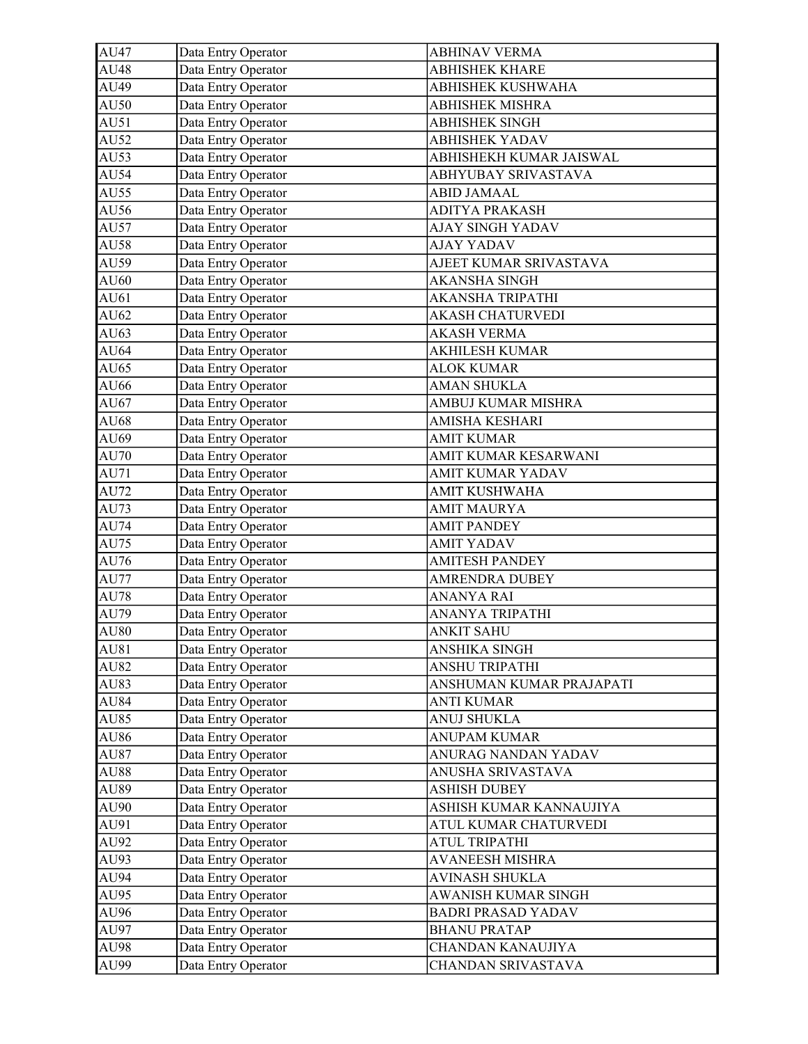| AU47        | Data Entry Operator | <b>ABHINAV VERMA</b>      |
|-------------|---------------------|---------------------------|
| AU48        | Data Entry Operator | <b>ABHISHEK KHARE</b>     |
| AU49        | Data Entry Operator | ABHISHEK KUSHWAHA         |
| AU50        | Data Entry Operator | <b>ABHISHEK MISHRA</b>    |
| AU51        | Data Entry Operator | <b>ABHISHEK SINGH</b>     |
| AU52        | Data Entry Operator | <b>ABHISHEK YADAV</b>     |
| AU53        | Data Entry Operator | ABHISHEKH KUMAR JAISWAL   |
| AU54        | Data Entry Operator | ABHYUBAY SRIVASTAVA       |
| AU55        | Data Entry Operator | <b>ABID JAMAAL</b>        |
| AU56        | Data Entry Operator | <b>ADITYA PRAKASH</b>     |
| AU57        | Data Entry Operator | <b>AJAY SINGH YADAV</b>   |
| AU58        | Data Entry Operator | <b>AJAY YADAV</b>         |
| AU59        | Data Entry Operator | AJEET KUMAR SRIVASTAVA    |
| AU60        | Data Entry Operator | <b>AKANSHA SINGH</b>      |
| AU61        | Data Entry Operator | AKANSHA TRIPATHI          |
| AU62        | Data Entry Operator | <b>AKASH CHATURVEDI</b>   |
| AU63        | Data Entry Operator | <b>AKASH VERMA</b>        |
| AU64        | Data Entry Operator | <b>AKHILESH KUMAR</b>     |
| AU65        | Data Entry Operator | <b>ALOK KUMAR</b>         |
| AU66        | Data Entry Operator | <b>AMAN SHUKLA</b>        |
| AU67        | Data Entry Operator | AMBUJ KUMAR MISHRA        |
| AU68        | Data Entry Operator | AMISHA KESHARI            |
| AU69        | Data Entry Operator | <b>AMIT KUMAR</b>         |
| AU70        | Data Entry Operator | AMIT KUMAR KESARWANI      |
| AU71        | Data Entry Operator | AMIT KUMAR YADAV          |
| AU72        | Data Entry Operator | <b>AMIT KUSHWAHA</b>      |
| AU73        | Data Entry Operator | <b>AMIT MAURYA</b>        |
| AU74        | Data Entry Operator | <b>AMIT PANDEY</b>        |
| AU75        | Data Entry Operator | <b>AMIT YADAV</b>         |
| AU76        | Data Entry Operator | <b>AMITESH PANDEY</b>     |
| <b>AU77</b> | Data Entry Operator | AMRENDRA DUBEY            |
| <b>AU78</b> | Data Entry Operator | <b>ANANYA RAI</b>         |
| AU79        | Data Entry Operator | ANANYA TRIPATHI           |
| <b>AU80</b> | Data Entry Operator | <b>ANKIT SAHU</b>         |
| AU81        | Data Entry Operator | ANSHIKA SINGH             |
| AU82        | Data Entry Operator | ANSHU TRIPATHI            |
| AU83        | Data Entry Operator | ANSHUMAN KUMAR PRAJAPATI  |
| AU84        | Data Entry Operator | <b>ANTI KUMAR</b>         |
| AU85        | Data Entry Operator | <b>ANUJ SHUKLA</b>        |
| AU86        | Data Entry Operator | <b>ANUPAM KUMAR</b>       |
| AU87        | Data Entry Operator | ANURAG NANDAN YADAV       |
| AU88        | Data Entry Operator | ANUSHA SRIVASTAVA         |
| AU89        | Data Entry Operator | <b>ASHISH DUBEY</b>       |
| <b>AU90</b> | Data Entry Operator | ASHISH KUMAR KANNAUJIYA   |
| AU91        | Data Entry Operator | ATUL KUMAR CHATURVEDI     |
| AU92        | Data Entry Operator | ATUL TRIPATHI             |
| AU93        | Data Entry Operator | <b>AVANEESH MISHRA</b>    |
| AU94        | Data Entry Operator | <b>AVINASH SHUKLA</b>     |
| AU95        | Data Entry Operator | AWANISH KUMAR SINGH       |
| AU96        | Data Entry Operator | <b>BADRI PRASAD YADAV</b> |
| AU97        | Data Entry Operator | <b>BHANU PRATAP</b>       |
| AU98        | Data Entry Operator | CHANDAN KANAUJIYA         |
| <b>AU99</b> | Data Entry Operator | CHANDAN SRIVASTAVA        |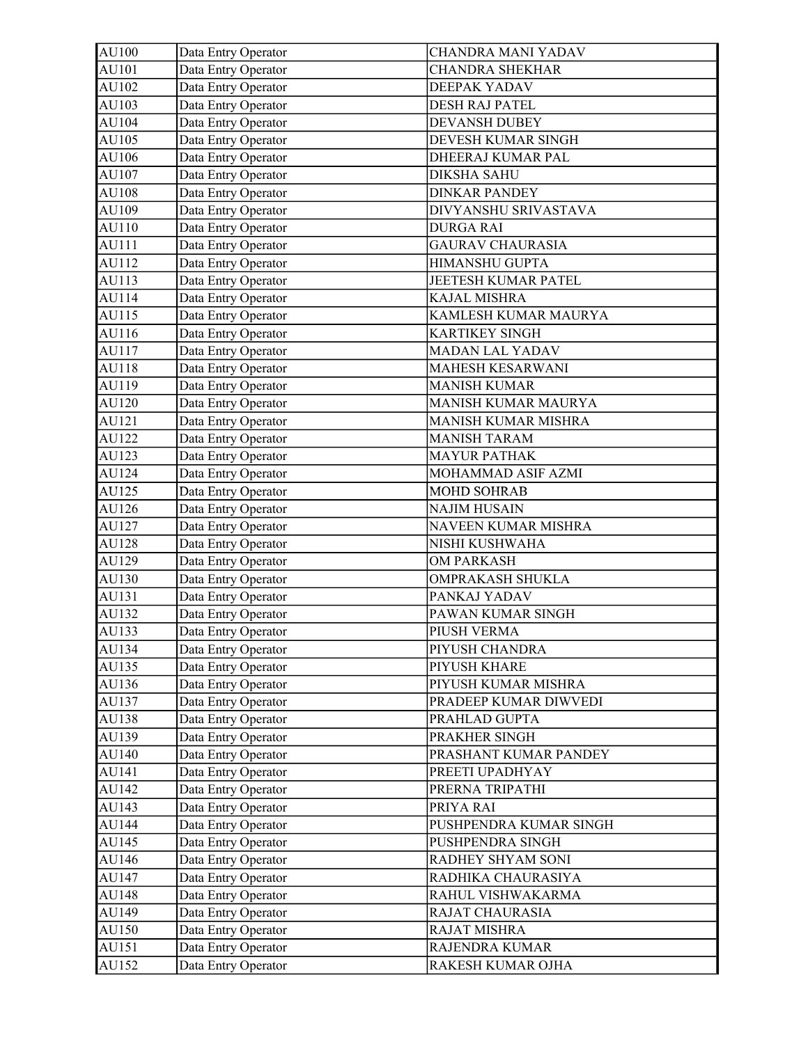| AU100 | Data Entry Operator | <b>CHANDRA MANI YADAV</b>  |
|-------|---------------------|----------------------------|
| AU101 | Data Entry Operator | <b>CHANDRA SHEKHAR</b>     |
| AU102 | Data Entry Operator | DEEPAK YADAV               |
| AU103 | Data Entry Operator | DESH RAJ PATEL             |
| AU104 | Data Entry Operator | <b>DEVANSH DUBEY</b>       |
| AU105 | Data Entry Operator | DEVESH KUMAR SINGH         |
| AU106 | Data Entry Operator | DHEERAJ KUMAR PAL          |
| AU107 | Data Entry Operator | <b>DIKSHA SAHU</b>         |
| AU108 | Data Entry Operator | <b>DINKAR PANDEY</b>       |
| AU109 | Data Entry Operator | DIVYANSHU SRIVASTAVA       |
| AU110 | Data Entry Operator | <b>DURGA RAI</b>           |
| AU111 | Data Entry Operator | <b>GAURAV CHAURASIA</b>    |
| AU112 | Data Entry Operator | HIMANSHU GUPTA             |
| AU113 | Data Entry Operator | JEETESH KUMAR PATEL        |
| AU114 | Data Entry Operator | KAJAL MISHRA               |
| AU115 | Data Entry Operator | KAMLESH KUMAR MAURYA       |
| AU116 | Data Entry Operator | <b>KARTIKEY SINGH</b>      |
| AU117 | Data Entry Operator | <b>MADAN LAL YADAV</b>     |
| AU118 | Data Entry Operator | MAHESH KESARWANI           |
| AU119 | Data Entry Operator | <b>MANISH KUMAR</b>        |
| AU120 | Data Entry Operator | <b>MANISH KUMAR MAURYA</b> |
| AU121 | Data Entry Operator | MANISH KUMAR MISHRA        |
| AU122 | Data Entry Operator | <b>MANISH TARAM</b>        |
| AU123 | Data Entry Operator | <b>MAYUR PATHAK</b>        |
| AU124 | Data Entry Operator | MOHAMMAD ASIF AZMI         |
| AU125 | Data Entry Operator | MOHD SOHRAB                |
| AU126 | Data Entry Operator | <b>NAJIM HUSAIN</b>        |
| AU127 | Data Entry Operator | NAVEEN KUMAR MISHRA        |
| AU128 | Data Entry Operator | NISHI KUSHWAHA             |
| AU129 | Data Entry Operator | <b>OM PARKASH</b>          |
| AU130 | Data Entry Operator | OMPRAKASH SHUKLA           |
| AU131 | Data Entry Operator | PANKAJ YADAV               |
| AU132 | Data Entry Operator | PAWAN KUMAR SINGH          |
| AU133 | Data Entry Operator | PIUSH VERMA                |
| AU134 | Data Entry Operator | PIYUSH CHANDRA             |
| AU135 | Data Entry Operator | PIYUSH KHARE               |
| AU136 | Data Entry Operator | PIYUSH KUMAR MISHRA        |
| AU137 | Data Entry Operator | PRADEEP KUMAR DIWVEDI      |
| AU138 | Data Entry Operator | PRAHLAD GUPTA              |
| AU139 | Data Entry Operator | PRAKHER SINGH              |
| AU140 | Data Entry Operator | PRASHANT KUMAR PANDEY      |
| AU141 | Data Entry Operator | PREETI UPADHYAY            |
| AU142 | Data Entry Operator | PRERNA TRIPATHI            |
| AU143 | Data Entry Operator | PRIYA RAI                  |
| AU144 | Data Entry Operator | PUSHPENDRA KUMAR SINGH     |
| AU145 | Data Entry Operator | PUSHPENDRA SINGH           |
| AU146 | Data Entry Operator | RADHEY SHYAM SONI          |
| AU147 | Data Entry Operator | RADHIKA CHAURASIYA         |
| AU148 | Data Entry Operator | RAHUL VISHWAKARMA          |
| AU149 | Data Entry Operator | RAJAT CHAURASIA            |
| AU150 | Data Entry Operator | RAJAT MISHRA               |
| AU151 | Data Entry Operator | RAJENDRA KUMAR             |
| AU152 | Data Entry Operator | RAKESH KUMAR OJHA          |
|       |                     |                            |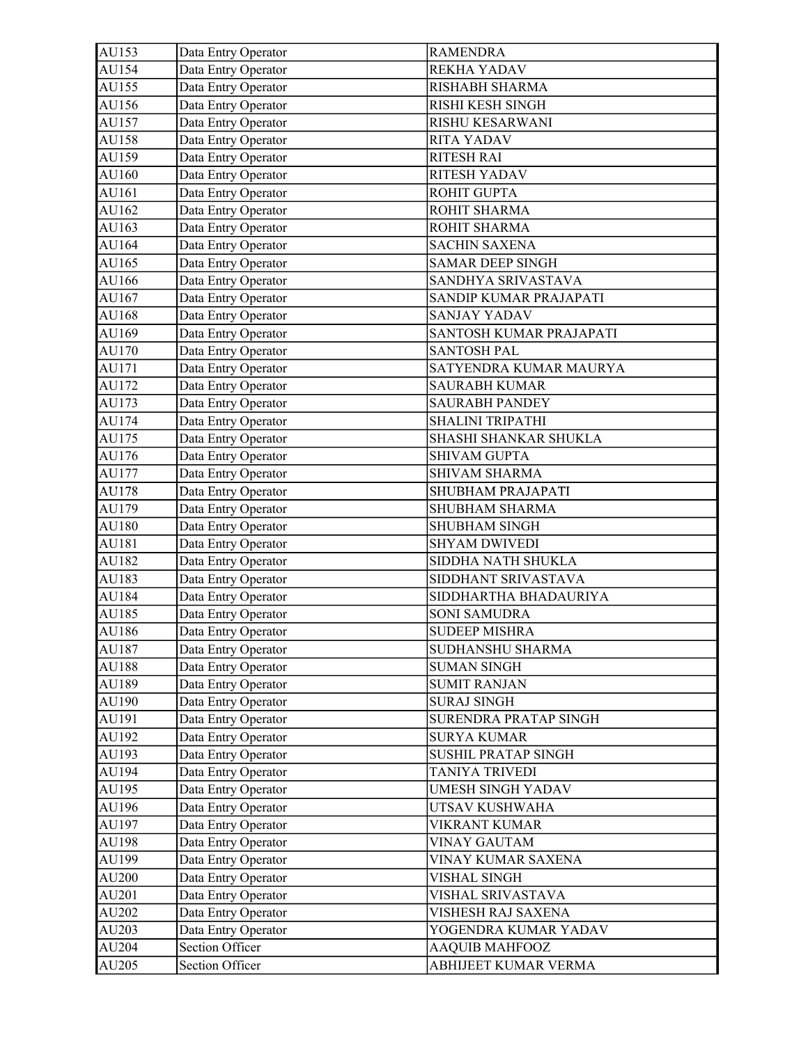| AU153 | Data Entry Operator | <b>RAMENDRA</b>          |
|-------|---------------------|--------------------------|
| AU154 | Data Entry Operator | <b>REKHA YADAV</b>       |
| AU155 | Data Entry Operator | RISHABH SHARMA           |
| AU156 | Data Entry Operator | RISHI KESH SINGH         |
| AU157 | Data Entry Operator | RISHU KESARWANI          |
| AU158 | Data Entry Operator | <b>RITA YADAV</b>        |
| AU159 | Data Entry Operator | <b>RITESH RAI</b>        |
| AU160 | Data Entry Operator | <b>RITESH YADAV</b>      |
| AU161 | Data Entry Operator | ROHIT GUPTA              |
| AU162 | Data Entry Operator | ROHIT SHARMA             |
| AU163 | Data Entry Operator | ROHIT SHARMA             |
| AU164 | Data Entry Operator | <b>SACHIN SAXENA</b>     |
| AU165 | Data Entry Operator | <b>SAMAR DEEP SINGH</b>  |
| AU166 | Data Entry Operator | SANDHYA SRIVASTAVA       |
| AU167 | Data Entry Operator | SANDIP KUMAR PRAJAPATI   |
| AU168 | Data Entry Operator | <b>SANJAY YADAV</b>      |
| AU169 | Data Entry Operator | SANTOSH KUMAR PRAJAPATI  |
| AU170 | Data Entry Operator | <b>SANTOSH PAL</b>       |
| AU171 | Data Entry Operator | SATYENDRA KUMAR MAURYA   |
| AU172 | Data Entry Operator | <b>SAURABH KUMAR</b>     |
| AU173 | Data Entry Operator | <b>SAURABH PANDEY</b>    |
| AU174 | Data Entry Operator | SHALINI TRIPATHI         |
| AU175 | Data Entry Operator | SHASHI SHANKAR SHUKLA    |
| AU176 | Data Entry Operator | <b>SHIVAM GUPTA</b>      |
| AU177 | Data Entry Operator | <b>SHIVAM SHARMA</b>     |
| AU178 | Data Entry Operator | SHUBHAM PRAJAPATI        |
| AU179 | Data Entry Operator | SHUBHAM SHARMA           |
| AU180 | Data Entry Operator | <b>SHUBHAM SINGH</b>     |
| AU181 | Data Entry Operator | <b>SHYAM DWIVEDI</b>     |
| AU182 | Data Entry Operator | SIDDHA NATH SHUKLA       |
| AU183 | Data Entry Operator | SIDDHANT SRIVASTAVA      |
| AU184 | Data Entry Operator | SIDDHARTHA BHADAURIYA    |
| AU185 | Data Entry Operator | <b>SONI SAMUDRA</b>      |
| AU186 | Data Entry Operator | <b>SUDEEP MISHRA</b>     |
| AU187 | Data Entry Operator | SUDHANSHU SHARMA         |
| AU188 | Data Entry Operator | <b>SUMAN SINGH</b>       |
| AU189 | Data Entry Operator | <b>SUMIT RANJAN</b>      |
| AU190 | Data Entry Operator | <b>SURAJ SINGH</b>       |
| AU191 | Data Entry Operator | SURENDRA PRATAP SINGH    |
| AU192 | Data Entry Operator | <b>SURYA KUMAR</b>       |
| AU193 | Data Entry Operator | SUSHIL PRATAP SINGH      |
| AU194 | Data Entry Operator | <b>TANIYA TRIVEDI</b>    |
| AU195 | Data Entry Operator | <b>UMESH SINGH YADAV</b> |
| AU196 | Data Entry Operator | UTSAV KUSHWAHA           |
| AU197 | Data Entry Operator | VIKRANT KUMAR            |
| AU198 | Data Entry Operator | <b>VINAY GAUTAM</b>      |
| AU199 | Data Entry Operator | VINAY KUMAR SAXENA       |
| AU200 | Data Entry Operator | VISHAL SINGH             |
| AU201 | Data Entry Operator | VISHAL SRIVASTAVA        |
| AU202 | Data Entry Operator | VISHESH RAJ SAXENA       |
| AU203 | Data Entry Operator | YOGENDRA KUMAR YADAV     |
| AU204 | Section Officer     | AAQUIB MAHFOOZ           |
| AU205 | Section Officer     | ABHIJEET KUMAR VERMA     |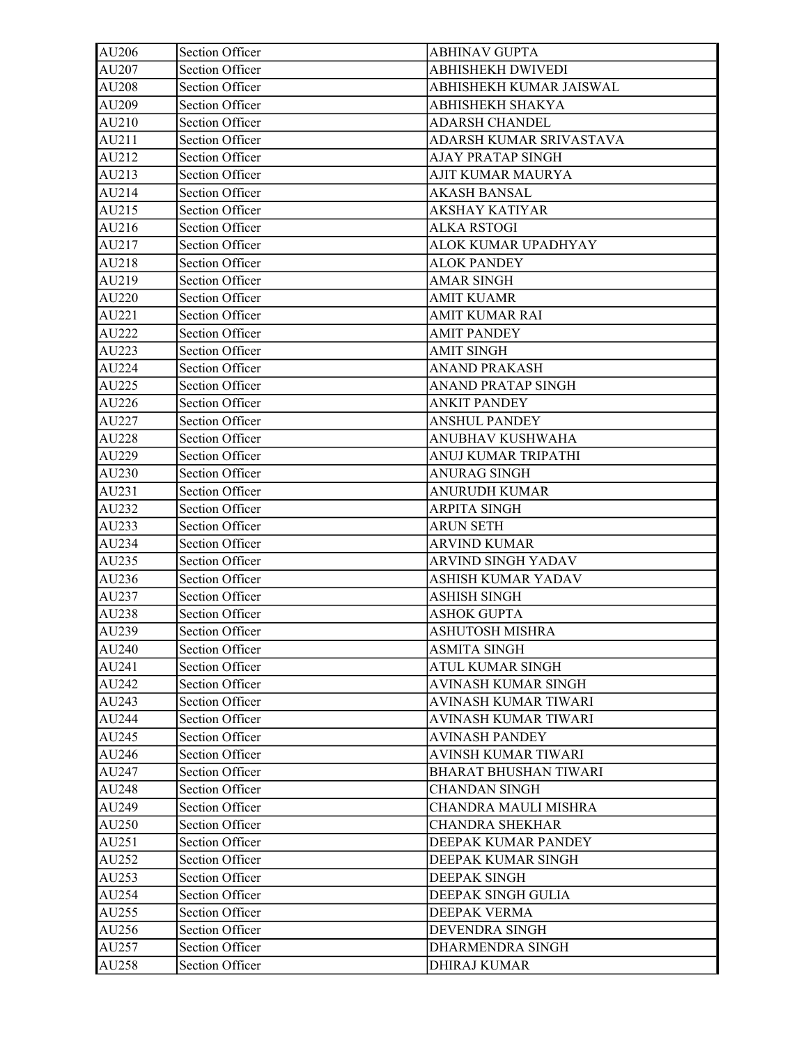| AU206 | Section Officer        | <b>ABHINAV GUPTA</b>         |
|-------|------------------------|------------------------------|
| AU207 | <b>Section Officer</b> | <b>ABHISHEKH DWIVEDI</b>     |
| AU208 | Section Officer        | ABHISHEKH KUMAR JAISWAL      |
| AU209 | <b>Section Officer</b> | ABHISHEKH SHAKYA             |
| AU210 | <b>Section Officer</b> | <b>ADARSH CHANDEL</b>        |
| AU211 | Section Officer        | ADARSH KUMAR SRIVASTAVA      |
| AU212 | <b>Section Officer</b> | <b>AJAY PRATAP SINGH</b>     |
| AU213 | Section Officer        | AJIT KUMAR MAURYA            |
| AU214 | Section Officer        | <b>AKASH BANSAL</b>          |
| AU215 | Section Officer        | AKSHAY KATIYAR               |
| AU216 | <b>Section Officer</b> | <b>ALKA RSTOGI</b>           |
| AU217 | Section Officer        | ALOK KUMAR UPADHYAY          |
| AU218 | Section Officer        | <b>ALOK PANDEY</b>           |
| AU219 | Section Officer        | <b>AMAR SINGH</b>            |
| AU220 | Section Officer        | <b>AMIT KUAMR</b>            |
| AU221 | Section Officer        | <b>AMIT KUMAR RAI</b>        |
| AU222 | Section Officer        | <b>AMIT PANDEY</b>           |
| AU223 | Section Officer        | <b>AMIT SINGH</b>            |
| AU224 | <b>Section Officer</b> | <b>ANAND PRAKASH</b>         |
| AU225 | Section Officer        | <b>ANAND PRATAP SINGH</b>    |
| AU226 | <b>Section Officer</b> | <b>ANKIT PANDEY</b>          |
| AU227 | <b>Section Officer</b> | <b>ANSHUL PANDEY</b>         |
| AU228 | <b>Section Officer</b> | ANUBHAV KUSHWAHA             |
| AU229 | Section Officer        | ANUJ KUMAR TRIPATHI          |
| AU230 | Section Officer        | <b>ANURAG SINGH</b>          |
| AU231 | Section Officer        | <b>ANURUDH KUMAR</b>         |
| AU232 | Section Officer        | ARPITA SINGH                 |
| AU233 | <b>Section Officer</b> | <b>ARUN SETH</b>             |
| AU234 | <b>Section Officer</b> | <b>ARVIND KUMAR</b>          |
| AU235 | <b>Section Officer</b> | ARVIND SINGH YADAV           |
| AU236 | <b>Section Officer</b> | ASHISH KUMAR YADAV           |
| AU237 | <b>Section Officer</b> | <b>ASHISH SINGH</b>          |
| AU238 | <b>Section Officer</b> | <b>ASHOK GUPTA</b>           |
| AU239 | Section Officer        | ASHUTOSH MISHRA              |
| AU240 | Section Officer        | <b>ASMITA SINGH</b>          |
| AU241 | Section Officer        | ATUL KUMAR SINGH             |
| AU242 | <b>Section Officer</b> | AVINASH KUMAR SINGH          |
| AU243 | <b>Section Officer</b> | <b>AVINASH KUMAR TIWARI</b>  |
| AU244 | <b>Section Officer</b> | <b>AVINASH KUMAR TIWARI</b>  |
| AU245 | Section Officer        | <b>AVINASH PANDEY</b>        |
| AU246 | <b>Section Officer</b> | AVINSH KUMAR TIWARI          |
| AU247 | Section Officer        | <b>BHARAT BHUSHAN TIWARI</b> |
| AU248 | Section Officer        | <b>CHANDAN SINGH</b>         |
| AU249 | Section Officer        | CHANDRA MAULI MISHRA         |
| AU250 | <b>Section Officer</b> | <b>CHANDRA SHEKHAR</b>       |
| AU251 | <b>Section Officer</b> | DEEPAK KUMAR PANDEY          |
| AU252 | Section Officer        | DEEPAK KUMAR SINGH           |
| AU253 | <b>Section Officer</b> | <b>DEEPAK SINGH</b>          |
| AU254 | Section Officer        | DEEPAK SINGH GULIA           |
| AU255 | <b>Section Officer</b> | DEEPAK VERMA                 |
| AU256 | Section Officer        | DEVENDRA SINGH               |
| AU257 | Section Officer        | DHARMENDRA SINGH             |
| AU258 | Section Officer        | <b>DHIRAJ KUMAR</b>          |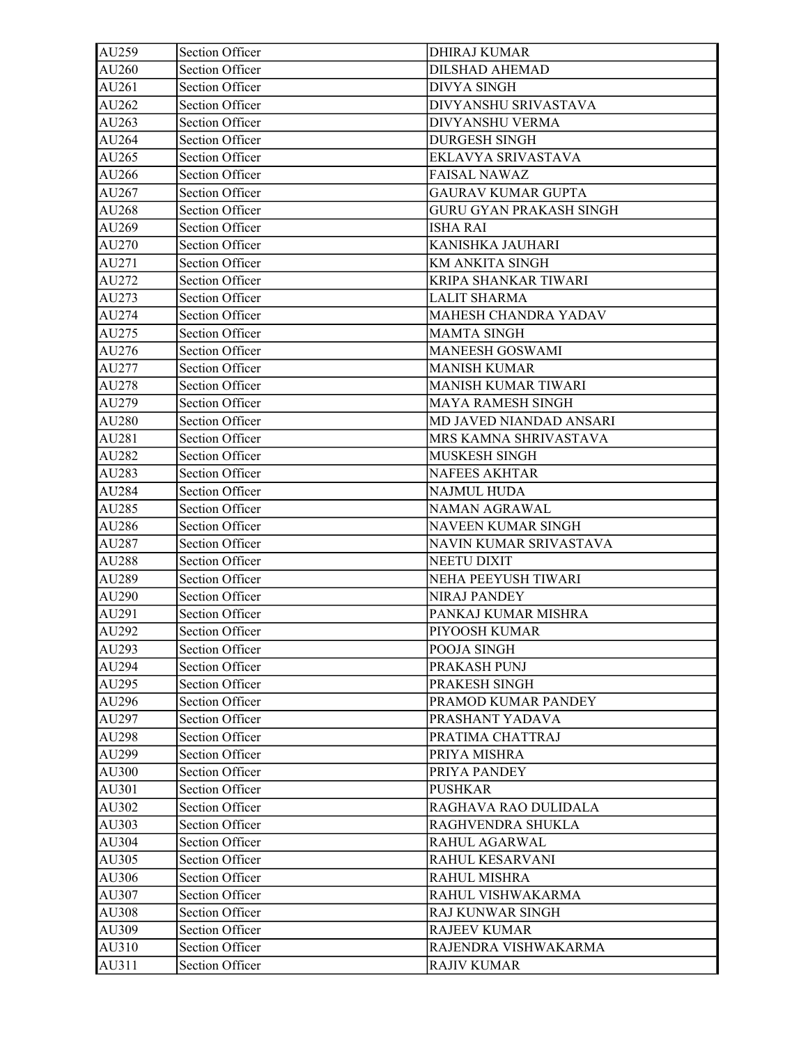| AU259 | Section Officer        | <b>DHIRAJ KUMAR</b>            |
|-------|------------------------|--------------------------------|
| AU260 | <b>Section Officer</b> | <b>DILSHAD AHEMAD</b>          |
| AU261 | Section Officer        | <b>DIVYA SINGH</b>             |
| AU262 | Section Officer        | DIVYANSHU SRIVASTAVA           |
| AU263 | <b>Section Officer</b> | DIVYANSHU VERMA                |
| AU264 | <b>Section Officer</b> | <b>DURGESH SINGH</b>           |
| AU265 | <b>Section Officer</b> | EKLAVYA SRIVASTAVA             |
| AU266 | Section Officer        | <b>FAISAL NAWAZ</b>            |
| AU267 | <b>Section Officer</b> | <b>GAURAV KUMAR GUPTA</b>      |
| AU268 | <b>Section Officer</b> | <b>GURU GYAN PRAKASH SINGH</b> |
| AU269 | <b>Section Officer</b> | <b>ISHA RAI</b>                |
| AU270 | Section Officer        | KANISHKA JAUHARI               |
| AU271 | <b>Section Officer</b> | KM ANKITA SINGH                |
| AU272 | <b>Section Officer</b> | KRIPA SHANKAR TIWARI           |
| AU273 | <b>Section Officer</b> | <b>LALIT SHARMA</b>            |
| AU274 | Section Officer        | MAHESH CHANDRA YADAV           |
| AU275 | Section Officer        | <b>MAMTA SINGH</b>             |
| AU276 | <b>Section Officer</b> | <b>MANEESH GOSWAMI</b>         |
| AU277 | <b>Section Officer</b> | <b>MANISH KUMAR</b>            |
| AU278 | <b>Section Officer</b> | <b>MANISH KUMAR TIWARI</b>     |
| AU279 | <b>Section Officer</b> | MAYA RAMESH SINGH              |
| AU280 | <b>Section Officer</b> | MD JAVED NIANDAD ANSARI        |
| AU281 | <b>Section Officer</b> | MRS KAMNA SHRIVASTAVA          |
| AU282 | <b>Section Officer</b> | MUSKESH SINGH                  |
| AU283 | <b>Section Officer</b> | <b>NAFEES AKHTAR</b>           |
| AU284 | Section Officer        | NAJMUL HUDA                    |
| AU285 | <b>Section Officer</b> | NAMAN AGRAWAL                  |
| AU286 | Section Officer        | NAVEEN KUMAR SINGH             |
| AU287 | Section Officer        | NAVIN KUMAR SRIVASTAVA         |
| AU288 | <b>Section Officer</b> | <b>NEETU DIXIT</b>             |
| AU289 | <b>Section Officer</b> | NEHA PEEYUSH TIWARI            |
| AU290 | <b>Section Officer</b> | <b>NIRAJ PANDEY</b>            |
| AU291 | Section Officer        | PANKAJ KUMAR MISHRA            |
| AU292 | Section Officer        | PIYOOSH KUMAR                  |
| AU293 | Section Officer        | POOJA SINGH                    |
| AU294 | <b>Section Officer</b> | PRAKASH PUNJ                   |
| AU295 | <b>Section Officer</b> | PRAKESH SINGH                  |
| AU296 | Section Officer        | PRAMOD KUMAR PANDEY            |
| AU297 | <b>Section Officer</b> | PRASHANT YADAVA                |
| AU298 | Section Officer        | PRATIMA CHATTRAJ               |
| AU299 | <b>Section Officer</b> | PRIYA MISHRA                   |
| AU300 | <b>Section Officer</b> | PRIYA PANDEY                   |
| AU301 | <b>Section Officer</b> | <b>PUSHKAR</b>                 |
| AU302 | Section Officer        | RAGHAVA RAO DULIDALA           |
| AU303 | <b>Section Officer</b> | RAGHVENDRA SHUKLA              |
| AU304 | <b>Section Officer</b> | RAHUL AGARWAL                  |
| AU305 | Section Officer        | RAHUL KESARVANI                |
| AU306 | <b>Section Officer</b> | RAHUL MISHRA                   |
| AU307 | <b>Section Officer</b> | RAHUL VISHWAKARMA              |
| AU308 | <b>Section Officer</b> | RAJ KUNWAR SINGH               |
| AU309 | Section Officer        | <b>RAJEEV KUMAR</b>            |
| AU310 | Section Officer        | RAJENDRA VISHWAKARMA           |
| AU311 | Section Officer        | <b>RAJIV KUMAR</b>             |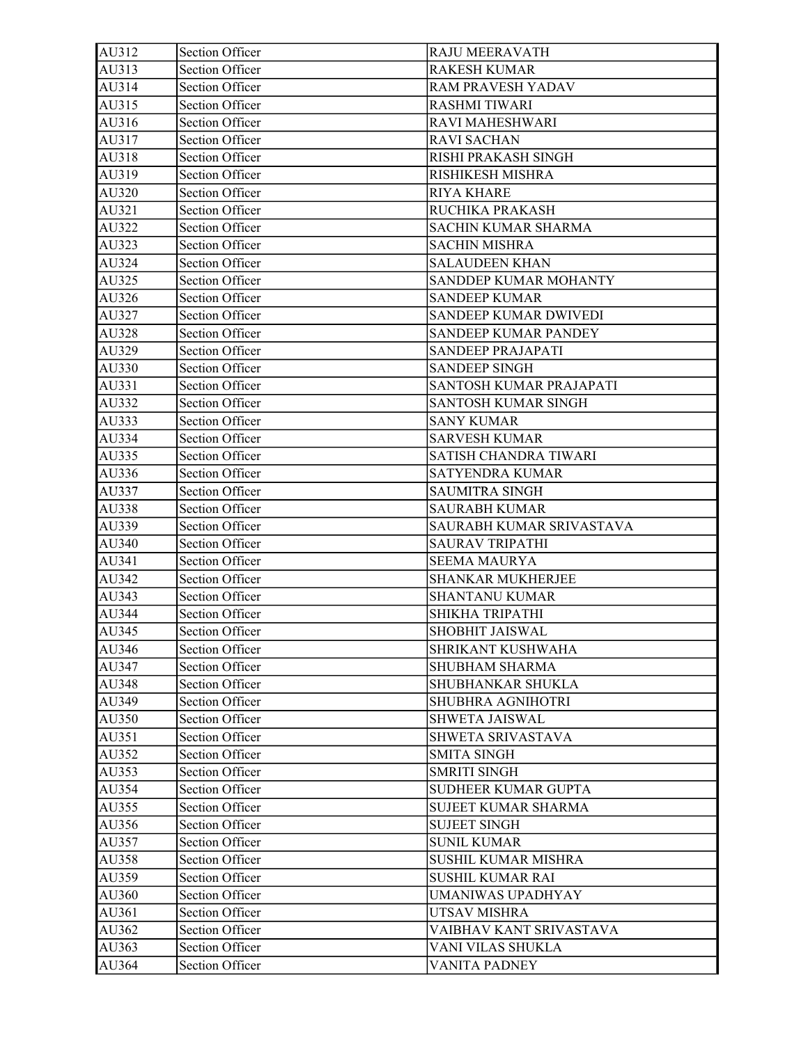| AU312 | Section Officer        | <b>RAJU MEERAVATH</b>        |
|-------|------------------------|------------------------------|
| AU313 | <b>Section Officer</b> | <b>RAKESH KUMAR</b>          |
| AU314 | Section Officer        | <b>RAM PRAVESH YADAV</b>     |
| AU315 | Section Officer        | <b>RASHMI TIWARI</b>         |
| AU316 | <b>Section Officer</b> | RAVI MAHESHWARI              |
| AU317 | Section Officer        | <b>RAVI SACHAN</b>           |
| AU318 | <b>Section Officer</b> | RISHI PRAKASH SINGH          |
| AU319 | <b>Section Officer</b> | RISHIKESH MISHRA             |
| AU320 | Section Officer        | <b>RIYA KHARE</b>            |
| AU321 | Section Officer        | RUCHIKA PRAKASH              |
| AU322 | <b>Section Officer</b> | <b>SACHIN KUMAR SHARMA</b>   |
| AU323 | Section Officer        | <b>SACHIN MISHRA</b>         |
| AU324 | <b>Section Officer</b> | <b>SALAUDEEN KHAN</b>        |
| AU325 | Section Officer        | SANDDEP KUMAR MOHANTY        |
| AU326 | Section Officer        | <b>SANDEEP KUMAR</b>         |
| AU327 | <b>Section Officer</b> | <b>SANDEEP KUMAR DWIVEDI</b> |
| AU328 | <b>Section Officer</b> | <b>SANDEEP KUMAR PANDEY</b>  |
| AU329 | <b>Section Officer</b> | SANDEEP PRAJAPATI            |
| AU330 | <b>Section Officer</b> | <b>SANDEEP SINGH</b>         |
| AU331 | Section Officer        | SANTOSH KUMAR PRAJAPATI      |
| AU332 | Section Officer        | <b>SANTOSH KUMAR SINGH</b>   |
| AU333 | Section Officer        | <b>SANY KUMAR</b>            |
| AU334 | Section Officer        | <b>SARVESH KUMAR</b>         |
| AU335 | <b>Section Officer</b> | SATISH CHANDRA TIWARI        |
| AU336 | Section Officer        | SATYENDRA KUMAR              |
| AU337 | Section Officer        | <b>SAUMITRA SINGH</b>        |
| AU338 | <b>Section Officer</b> | <b>SAURABH KUMAR</b>         |
| AU339 | Section Officer        | SAURABH KUMAR SRIVASTAVA     |
| AU340 | Section Officer        | <b>SAURAV TRIPATHI</b>       |
| AU341 | Section Officer        | <b>SEEMA MAURYA</b>          |
| AU342 | Section Officer        | <b>SHANKAR MUKHERJEE</b>     |
| AU343 | <b>Section Officer</b> | <b>SHANTANU KUMAR</b>        |
| AU344 | Section Officer        | SHIKHA TRIPATHI              |
| AU345 | Section Officer        | SHOBHIT JAISWAL              |
| AU346 | Section Officer        | <b>SHRIKANT KUSHWAHA</b>     |
| AU347 | <b>Section Officer</b> | <b>SHUBHAM SHARMA</b>        |
| AU348 | Section Officer        | SHUBHANKAR SHUKLA            |
| AU349 | <b>Section Officer</b> | <b>SHUBHRA AGNIHOTRI</b>     |
| AU350 | Section Officer        | <b>SHWETA JAISWAL</b>        |
| AU351 | Section Officer        | SHWETA SRIVASTAVA            |
| AU352 | Section Officer        | <b>SMITA SINGH</b>           |
| AU353 | Section Officer        | <b>SMRITI SINGH</b>          |
| AU354 | Section Officer        | <b>SUDHEER KUMAR GUPTA</b>   |
| AU355 | Section Officer        | <b>SUJEET KUMAR SHARMA</b>   |
| AU356 | Section Officer        | <b>SUJEET SINGH</b>          |
| AU357 | Section Officer        | <b>SUNIL KUMAR</b>           |
| AU358 | Section Officer        | <b>SUSHIL KUMAR MISHRA</b>   |
| AU359 | <b>Section Officer</b> | <b>SUSHIL KUMAR RAI</b>      |
| AU360 | <b>Section Officer</b> | <b>UMANIWAS UPADHYAY</b>     |
| AU361 | Section Officer        | UTSAV MISHRA                 |
| AU362 | Section Officer        | VAIBHAV KANT SRIVASTAVA      |
| AU363 | Section Officer        | VANI VILAS SHUKLA            |
|       |                        |                              |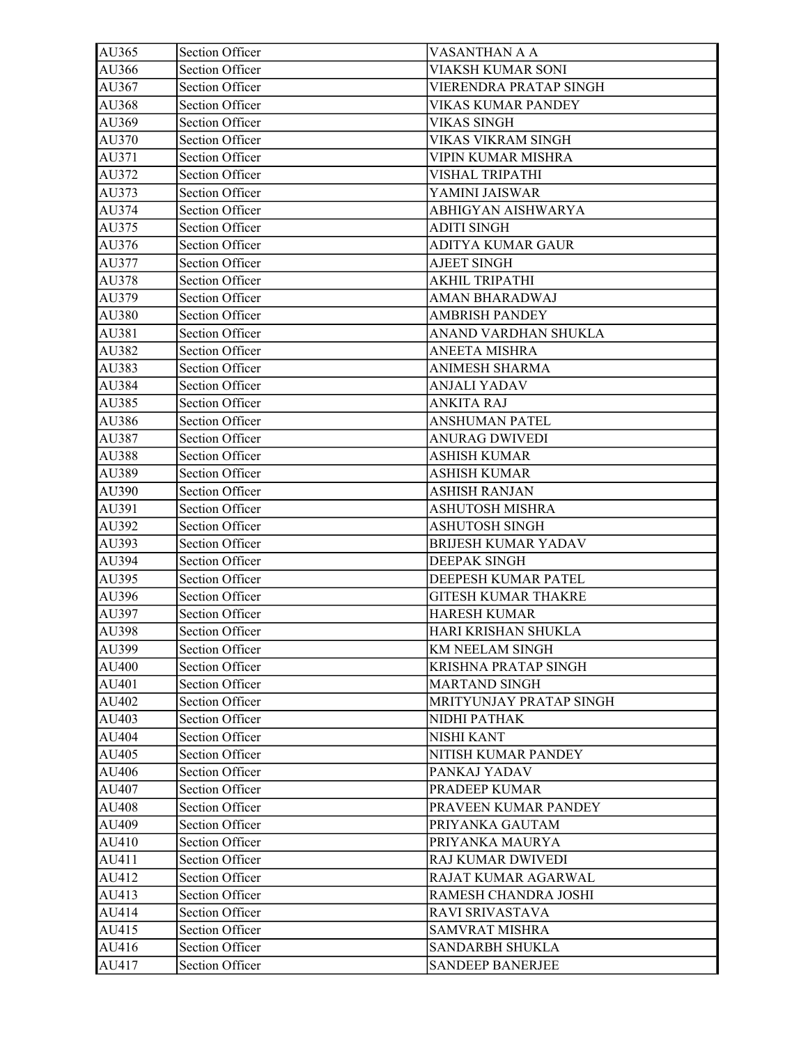| AU365 | Section Officer        | VASANTHAN A A              |
|-------|------------------------|----------------------------|
| AU366 | <b>Section Officer</b> | VIAKSH KUMAR SONI          |
| AU367 | Section Officer        | VIERENDRA PRATAP SINGH     |
| AU368 | <b>Section Officer</b> | VIKAS KUMAR PANDEY         |
| AU369 | <b>Section Officer</b> | <b>VIKAS SINGH</b>         |
| AU370 | <b>Section Officer</b> | VIKAS VIKRAM SINGH         |
| AU371 | <b>Section Officer</b> | VIPIN KUMAR MISHRA         |
| AU372 | Section Officer        | VISHAL TRIPATHI            |
| AU373 | Section Officer        | YAMINI JAISWAR             |
| AU374 | Section Officer        | ABHIGYAN AISHWARYA         |
| AU375 | <b>Section Officer</b> | <b>ADITI SINGH</b>         |
| AU376 | Section Officer        | <b>ADITYA KUMAR GAUR</b>   |
| AU377 | Section Officer        | <b>AJEET SINGH</b>         |
| AU378 | Section Officer        | AKHIL TRIPATHI             |
| AU379 | Section Officer        | AMAN BHARADWAJ             |
| AU380 | Section Officer        | <b>AMBRISH PANDEY</b>      |
| AU381 | Section Officer        | ANAND VARDHAN SHUKLA       |
| AU382 | Section Officer        | <b>ANEETA MISHRA</b>       |
| AU383 | <b>Section Officer</b> | ANIMESH SHARMA             |
| AU384 | Section Officer        | <b>ANJALI YADAV</b>        |
| AU385 | <b>Section Officer</b> | <b>ANKITA RAJ</b>          |
| AU386 | <b>Section Officer</b> | <b>ANSHUMAN PATEL</b>      |
| AU387 | <b>Section Officer</b> | <b>ANURAG DWIVEDI</b>      |
| AU388 | Section Officer        | <b>ASHISH KUMAR</b>        |
| AU389 | Section Officer        | <b>ASHISH KUMAR</b>        |
| AU390 | Section Officer        | <b>ASHISH RANJAN</b>       |
| AU391 | Section Officer        | <b>ASHUTOSH MISHRA</b>     |
| AU392 | <b>Section Officer</b> | <b>ASHUTOSH SINGH</b>      |
| AU393 | Section Officer        | <b>BRIJESH KUMAR YADAV</b> |
| AU394 | <b>Section Officer</b> | <b>DEEPAK SINGH</b>        |
| AU395 | Section Officer        | DEEPESH KUMAR PATEL        |
| AU396 | <b>Section Officer</b> | <b>GITESH KUMAR THAKRE</b> |
| AU397 | Section Officer        | <b>HARESH KUMAR</b>        |
| AU398 | Section Officer        | HARI KRISHAN SHUKLA        |
| AU399 | Section Officer        | KM NEELAM SINGH            |
| AU400 | Section Officer        | KRISHNA PRATAP SINGH       |
| AU401 | Section Officer        | <b>MARTAND SINGH</b>       |
| AU402 | <b>Section Officer</b> | MRITYUNJAY PRATAP SINGH    |
| AU403 | <b>Section Officer</b> | NIDHI PATHAK               |
| AU404 | <b>Section Officer</b> | <b>NISHI KANT</b>          |
| AU405 | <b>Section Officer</b> | NITISH KUMAR PANDEY        |
| AU406 | Section Officer        | PANKAJ YADAV               |
| AU407 | Section Officer        | PRADEEP KUMAR              |
| AU408 | Section Officer        | PRAVEEN KUMAR PANDEY       |
| AU409 | Section Officer        | PRIYANKA GAUTAM            |
| AU410 | <b>Section Officer</b> | PRIYANKA MAURYA            |
| AU411 | Section Officer        | RAJ KUMAR DWIVEDI          |
| AU412 | <b>Section Officer</b> | RAJAT KUMAR AGARWAL        |
| AU413 | Section Officer        | RAMESH CHANDRA JOSHI       |
| AU414 | <b>Section Officer</b> | RAVI SRIVASTAVA            |
| AU415 | Section Officer        | <b>SAMVRAT MISHRA</b>      |
| AU416 | Section Officer        | SANDARBH SHUKLA            |
| AU417 | <b>Section Officer</b> | <b>SANDEEP BANERJEE</b>    |
|       |                        |                            |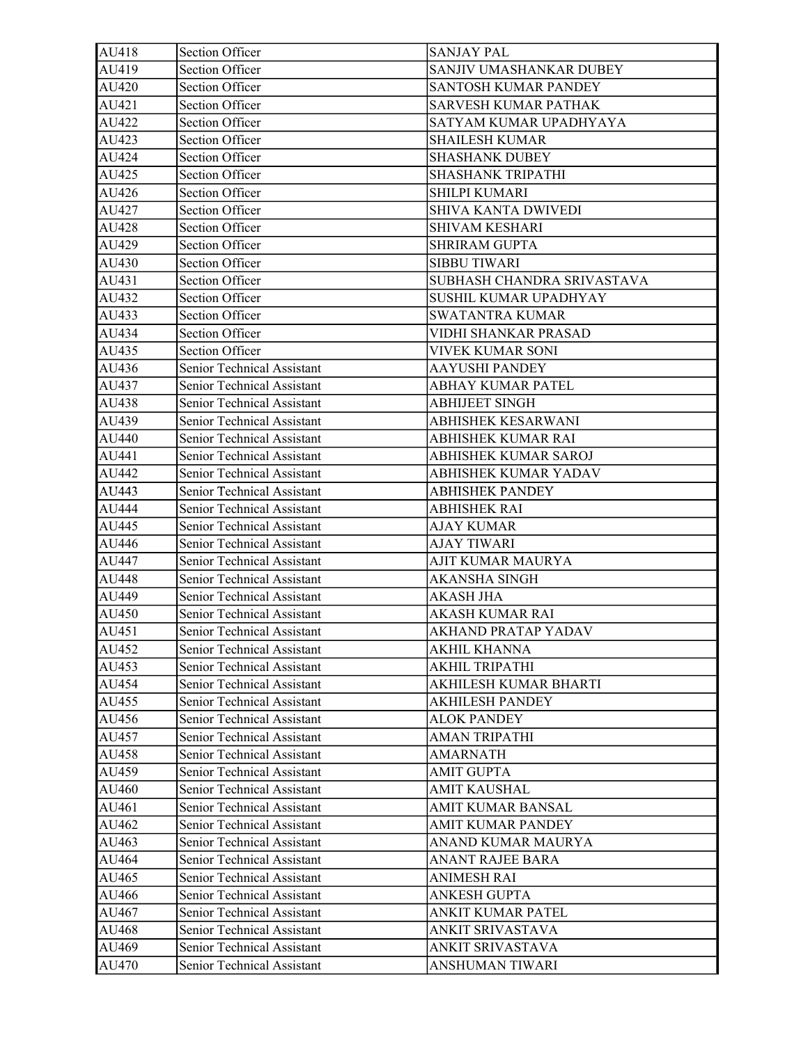| AU418 | <b>Section Officer</b>     | <b>SANJAY PAL</b>           |
|-------|----------------------------|-----------------------------|
| AU419 | <b>Section Officer</b>     | SANJIV UMASHANKAR DUBEY     |
| AU420 | Section Officer            | <b>SANTOSH KUMAR PANDEY</b> |
| AU421 | Section Officer            | SARVESH KUMAR PATHAK        |
| AU422 | <b>Section Officer</b>     | SATYAM KUMAR UPADHYAYA      |
| AU423 | Section Officer            | <b>SHAILESH KUMAR</b>       |
| AU424 | <b>Section Officer</b>     | <b>SHASHANK DUBEY</b>       |
| AU425 | Section Officer            | SHASHANK TRIPATHI           |
| AU426 | <b>Section Officer</b>     | SHILPI KUMARI               |
| AU427 | <b>Section Officer</b>     | SHIVA KANTA DWIVEDI         |
| AU428 | <b>Section Officer</b>     | <b>SHIVAM KESHARI</b>       |
| AU429 | <b>Section Officer</b>     | <b>SHRIRAM GUPTA</b>        |
| AU430 | <b>Section Officer</b>     | <b>SIBBU TIWARI</b>         |
| AU431 | <b>Section Officer</b>     | SUBHASH CHANDRA SRIVASTAVA  |
| AU432 | Section Officer            | SUSHIL KUMAR UPADHYAY       |
| AU433 | Section Officer            | <b>SWATANTRA KUMAR</b>      |
| AU434 | Section Officer            | VIDHI SHANKAR PRASAD        |
| AU435 | Section Officer            | VIVEK KUMAR SONI            |
| AU436 | Senior Technical Assistant | <b>AAYUSHI PANDEY</b>       |
| AU437 | Senior Technical Assistant | <b>ABHAY KUMAR PATEL</b>    |
| AU438 | Senior Technical Assistant | <b>ABHIJEET SINGH</b>       |
| AU439 | Senior Technical Assistant | ABHISHEK KESARWANI          |
| AU440 | Senior Technical Assistant | ABHISHEK KUMAR RAI          |
| AU441 | Senior Technical Assistant | ABHISHEK KUMAR SAROJ        |
| AU442 | Senior Technical Assistant | ABHISHEK KUMAR YADAV        |
| AU443 | Senior Technical Assistant | <b>ABHISHEK PANDEY</b>      |
| AU444 | Senior Technical Assistant | <b>ABHISHEK RAI</b>         |
| AU445 | Senior Technical Assistant | <b>AJAY KUMAR</b>           |
| AU446 | Senior Technical Assistant | <b>AJAY TIWARI</b>          |
| AU447 | Senior Technical Assistant | AJIT KUMAR MAURYA           |
| AU448 | Senior Technical Assistant | AKANSHA SINGH               |
| AU449 | Senior Technical Assistant | <b>AKASH JHA</b>            |
| AU450 | Senior Technical Assistant | AKASH KUMAR RAI             |
| AU451 | Senior Technical Assistant | AKHAND PRATAP YADAV         |
| AU452 | Senior Technical Assistant | AKHIL KHANNA                |
| AU453 | Senior Technical Assistant | AKHIL TRIPATHI              |
| AU454 | Senior Technical Assistant | AKHILESH KUMAR BHARTI       |
| AU455 | Senior Technical Assistant | <b>AKHILESH PANDEY</b>      |
| AU456 | Senior Technical Assistant | <b>ALOK PANDEY</b>          |
| AU457 | Senior Technical Assistant | AMAN TRIPATHI               |
| AU458 | Senior Technical Assistant | <b>AMARNATH</b>             |
| AU459 | Senior Technical Assistant | <b>AMIT GUPTA</b>           |
| AU460 | Senior Technical Assistant | <b>AMIT KAUSHAL</b>         |
| AU461 | Senior Technical Assistant | AMIT KUMAR BANSAL           |
| AU462 | Senior Technical Assistant | AMIT KUMAR PANDEY           |
| AU463 | Senior Technical Assistant | ANAND KUMAR MAURYA          |
| AU464 | Senior Technical Assistant | ANANT RAJEE BARA            |
| AU465 | Senior Technical Assistant | <b>ANIMESH RAI</b>          |
| AU466 | Senior Technical Assistant | <b>ANKESH GUPTA</b>         |
| AU467 | Senior Technical Assistant | ANKIT KUMAR PATEL           |
| AU468 | Senior Technical Assistant | ANKIT SRIVASTAVA            |
| AU469 | Senior Technical Assistant | ANKIT SRIVASTAVA            |
| AU470 | Senior Technical Assistant | ANSHUMAN TIWARI             |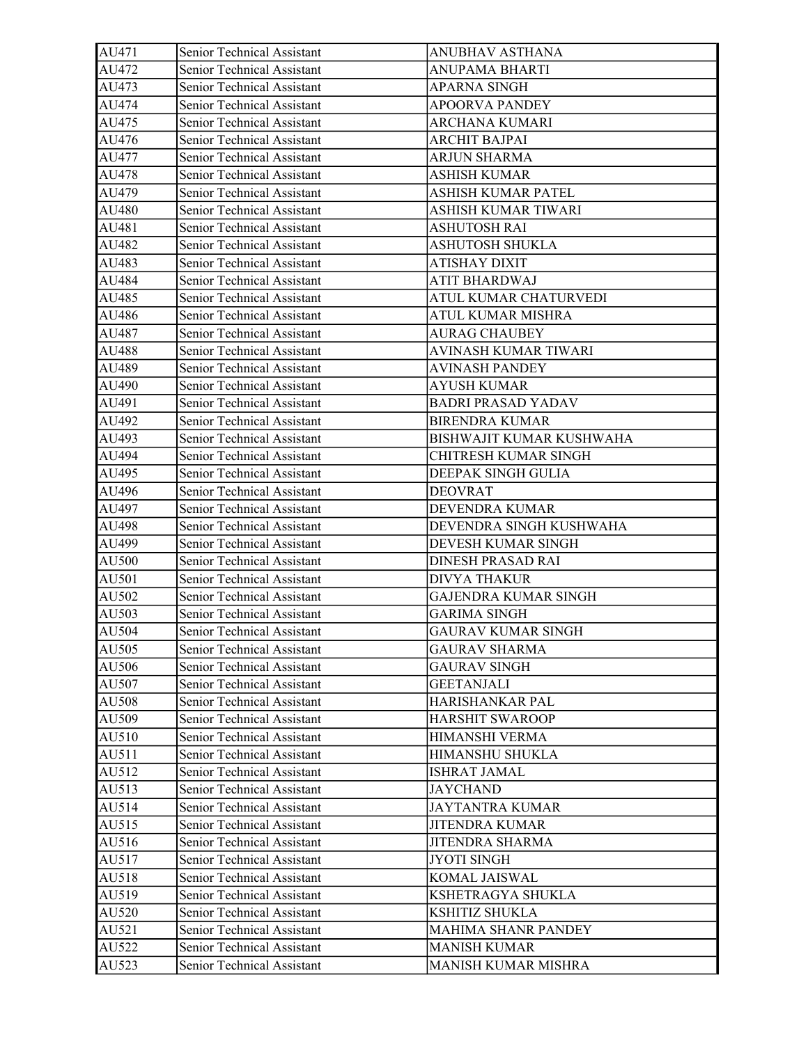| AU471 | Senior Technical Assistant        | ANUBHAV ASTHANA             |
|-------|-----------------------------------|-----------------------------|
| AU472 | Senior Technical Assistant        | <b>ANUPAMA BHARTI</b>       |
| AU473 | Senior Technical Assistant        | <b>APARNA SINGH</b>         |
| AU474 | Senior Technical Assistant        | <b>APOORVA PANDEY</b>       |
| AU475 | Senior Technical Assistant        | ARCHANA KUMARI              |
| AU476 | Senior Technical Assistant        | ARCHIT BAJPAI               |
| AU477 | Senior Technical Assistant        | ARJUN SHARMA                |
| AU478 | Senior Technical Assistant        | <b>ASHISH KUMAR</b>         |
| AU479 | Senior Technical Assistant        | ASHISH KUMAR PATEL          |
| AU480 | Senior Technical Assistant        | ASHISH KUMAR TIWARI         |
| AU481 | Senior Technical Assistant        | <b>ASHUTOSH RAI</b>         |
| AU482 | Senior Technical Assistant        | <b>ASHUTOSH SHUKLA</b>      |
| AU483 | Senior Technical Assistant        | ATISHAY DIXIT               |
| AU484 | Senior Technical Assistant        | ATIT BHARDWAJ               |
| AU485 | Senior Technical Assistant        | ATUL KUMAR CHATURVEDI       |
| AU486 | Senior Technical Assistant        | ATUL KUMAR MISHRA           |
| AU487 | Senior Technical Assistant        | <b>AURAG CHAUBEY</b>        |
| AU488 | Senior Technical Assistant        | AVINASH KUMAR TIWARI        |
| AU489 | Senior Technical Assistant        | <b>AVINASH PANDEY</b>       |
| AU490 | Senior Technical Assistant        | AYUSH KUMAR                 |
| AU491 | Senior Technical Assistant        | <b>BADRI PRASAD YADAV</b>   |
| AU492 | Senior Technical Assistant        | <b>BIRENDRA KUMAR</b>       |
| AU493 | Senior Technical Assistant        | BISHWAJIT KUMAR KUSHWAHA    |
| AU494 | Senior Technical Assistant        | CHITRESH KUMAR SINGH        |
| AU495 | Senior Technical Assistant        | DEEPAK SINGH GULIA          |
| AU496 | Senior Technical Assistant        | <b>DEOVRAT</b>              |
| AU497 | Senior Technical Assistant        | DEVENDRA KUMAR              |
| AU498 | Senior Technical Assistant        | DEVENDRA SINGH KUSHWAHA     |
| AU499 | Senior Technical Assistant        | DEVESH KUMAR SINGH          |
| AU500 | Senior Technical Assistant        | <b>DINESH PRASAD RAI</b>    |
| AU501 | Senior Technical Assistant        | <b>DIVYA THAKUR</b>         |
| AU502 | Senior Technical Assistant        | <b>GAJENDRA KUMAR SINGH</b> |
| AU503 | Senior Technical Assistant        | <b>GARIMA SINGH</b>         |
| AU504 | <b>Senior Technical Assistant</b> | <b>GAURAV KUMAR SINGH</b>   |
| AU505 | Senior Technical Assistant        | <b>GAURAV SHARMA</b>        |
| AU506 | Senior Technical Assistant        | <b>GAURAV SINGH</b>         |
| AU507 | Senior Technical Assistant        | <b>GEETANJALI</b>           |
| AU508 | Senior Technical Assistant        | HARISHANKAR PAL             |
| AU509 | Senior Technical Assistant        | <b>HARSHIT SWAROOP</b>      |
| AU510 | Senior Technical Assistant        | HIMANSHI VERMA              |
| AU511 | Senior Technical Assistant        | HIMANSHU SHUKLA             |
| AU512 | Senior Technical Assistant        | <b>ISHRAT JAMAL</b>         |
| AU513 | Senior Technical Assistant        | <b>JAYCHAND</b>             |
| AU514 | Senior Technical Assistant        | <b>JAYTANTRA KUMAR</b>      |
| AU515 | Senior Technical Assistant        | <b>JITENDRA KUMAR</b>       |
| AU516 | Senior Technical Assistant        | <b>JITENDRA SHARMA</b>      |
| AU517 | Senior Technical Assistant        | <b>JYOTI SINGH</b>          |
| AU518 | Senior Technical Assistant        | KOMAL JAISWAL               |
| AU519 | Senior Technical Assistant        | KSHETRAGYA SHUKLA           |
| AU520 | Senior Technical Assistant        | KSHITIZ SHUKLA              |
| AU521 | Senior Technical Assistant        | <b>MAHIMA SHANR PANDEY</b>  |
| AU522 | Senior Technical Assistant        | <b>MANISH KUMAR</b>         |
| AU523 | Senior Technical Assistant        | MANISH KUMAR MISHRA         |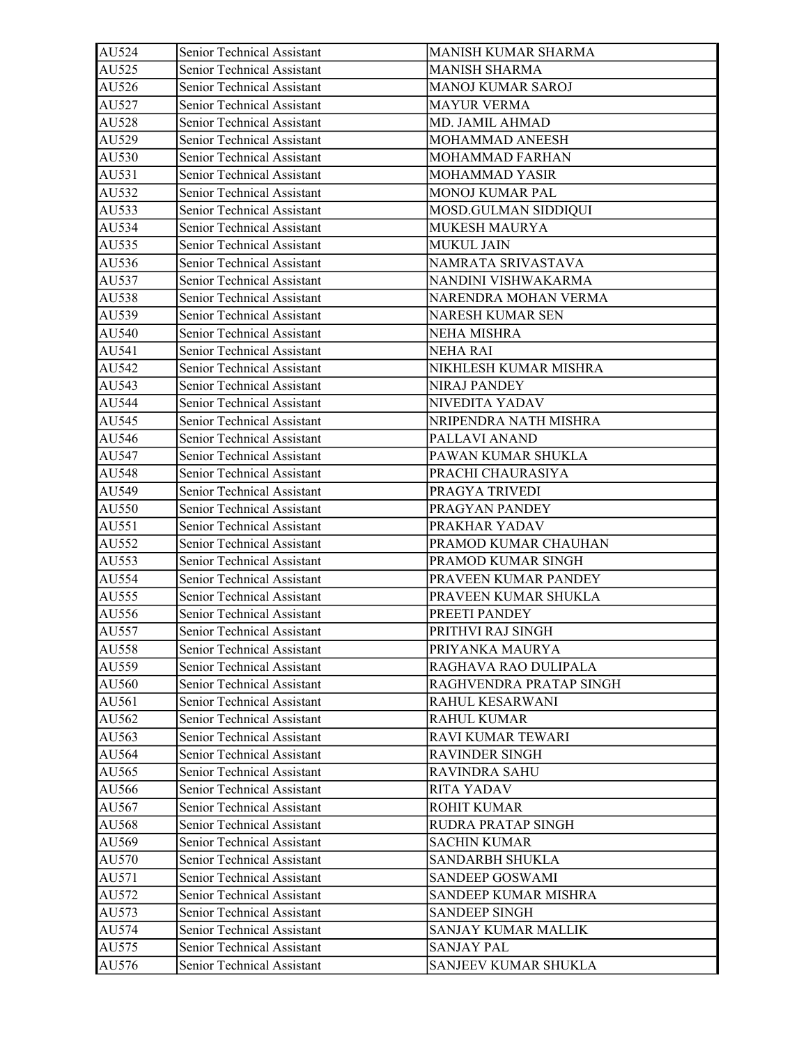| AU524 | Senior Technical Assistant        | MANISH KUMAR SHARMA     |
|-------|-----------------------------------|-------------------------|
| AU525 | Senior Technical Assistant        | <b>MANISH SHARMA</b>    |
| AU526 | Senior Technical Assistant        | MANOJ KUMAR SAROJ       |
| AU527 | Senior Technical Assistant        | <b>MAYUR VERMA</b>      |
| AU528 | Senior Technical Assistant        | MD. JAMIL AHMAD         |
| AU529 | Senior Technical Assistant        | MOHAMMAD ANEESH         |
| AU530 | Senior Technical Assistant        | MOHAMMAD FARHAN         |
| AU531 | Senior Technical Assistant        | MOHAMMAD YASIR          |
| AU532 | Senior Technical Assistant        | MONOJ KUMAR PAL         |
| AU533 | Senior Technical Assistant        | MOSD.GULMAN SIDDIQUI    |
| AU534 | Senior Technical Assistant        | MUKESH MAURYA           |
| AU535 | Senior Technical Assistant        | MUKUL JAIN              |
| AU536 | Senior Technical Assistant        | NAMRATA SRIVASTAVA      |
| AU537 | Senior Technical Assistant        | NANDINI VISHWAKARMA     |
| AU538 | Senior Technical Assistant        | NARENDRA MOHAN VERMA    |
| AU539 | Senior Technical Assistant        | NARESH KUMAR SEN        |
| AU540 | Senior Technical Assistant        | NEHA MISHRA             |
| AU541 | Senior Technical Assistant        | <b>NEHA RAI</b>         |
| AU542 | Senior Technical Assistant        | NIKHLESH KUMAR MISHRA   |
| AU543 | <b>Senior Technical Assistant</b> | <b>NIRAJ PANDEY</b>     |
| AU544 | Senior Technical Assistant        | NIVEDITA YADAV          |
| AU545 | Senior Technical Assistant        | NRIPENDRA NATH MISHRA   |
| AU546 | Senior Technical Assistant        | PALLAVI ANAND           |
| AU547 | Senior Technical Assistant        | PAWAN KUMAR SHUKLA      |
| AU548 | Senior Technical Assistant        | PRACHI CHAURASIYA       |
| AU549 | Senior Technical Assistant        | PRAGYA TRIVEDI          |
| AU550 | Senior Technical Assistant        | PRAGYAN PANDEY          |
| AU551 | Senior Technical Assistant        | PRAKHAR YADAV           |
| AU552 | Senior Technical Assistant        | PRAMOD KUMAR CHAUHAN    |
| AU553 | Senior Technical Assistant        | PRAMOD KUMAR SINGH      |
| AU554 | Senior Technical Assistant        | PRAVEEN KUMAR PANDEY    |
| AU555 | Senior Technical Assistant        | PRAVEEN KUMAR SHUKLA    |
| AU556 | Senior Technical Assistant        | PREETI PANDEY           |
| AU557 | <b>Senior Technical Assistant</b> | PRITHVI RAJ SINGH       |
| AU558 | Senior Technical Assistant        | PRIYANKA MAURYA         |
| AU559 | Senior Technical Assistant        | RAGHAVA RAO DULIPALA    |
| AU560 | Senior Technical Assistant        | RAGHVENDRA PRATAP SINGH |
| AU561 | Senior Technical Assistant        | RAHUL KESARWANI         |
| AU562 | Senior Technical Assistant        | <b>RAHUL KUMAR</b>      |
| AU563 | Senior Technical Assistant        | RAVI KUMAR TEWARI       |
| AU564 | Senior Technical Assistant        | <b>RAVINDER SINGH</b>   |
| AU565 | Senior Technical Assistant        | <b>RAVINDRA SAHU</b>    |
| AU566 | Senior Technical Assistant        | <b>RITA YADAV</b>       |
| AU567 | Senior Technical Assistant        | <b>ROHIT KUMAR</b>      |
| AU568 | Senior Technical Assistant        | RUDRA PRATAP SINGH      |
| AU569 | Senior Technical Assistant        | <b>SACHIN KUMAR</b>     |
| AU570 | Senior Technical Assistant        | SANDARBH SHUKLA         |
| AU571 | Senior Technical Assistant        | <b>SANDEEP GOSWAMI</b>  |
| AU572 | Senior Technical Assistant        | SANDEEP KUMAR MISHRA    |
| AU573 | Senior Technical Assistant        | <b>SANDEEP SINGH</b>    |
| AU574 | Senior Technical Assistant        | SANJAY KUMAR MALLIK     |
| AU575 | Senior Technical Assistant        | <b>SANJAY PAL</b>       |
| AU576 | Senior Technical Assistant        | SANJEEV KUMAR SHUKLA    |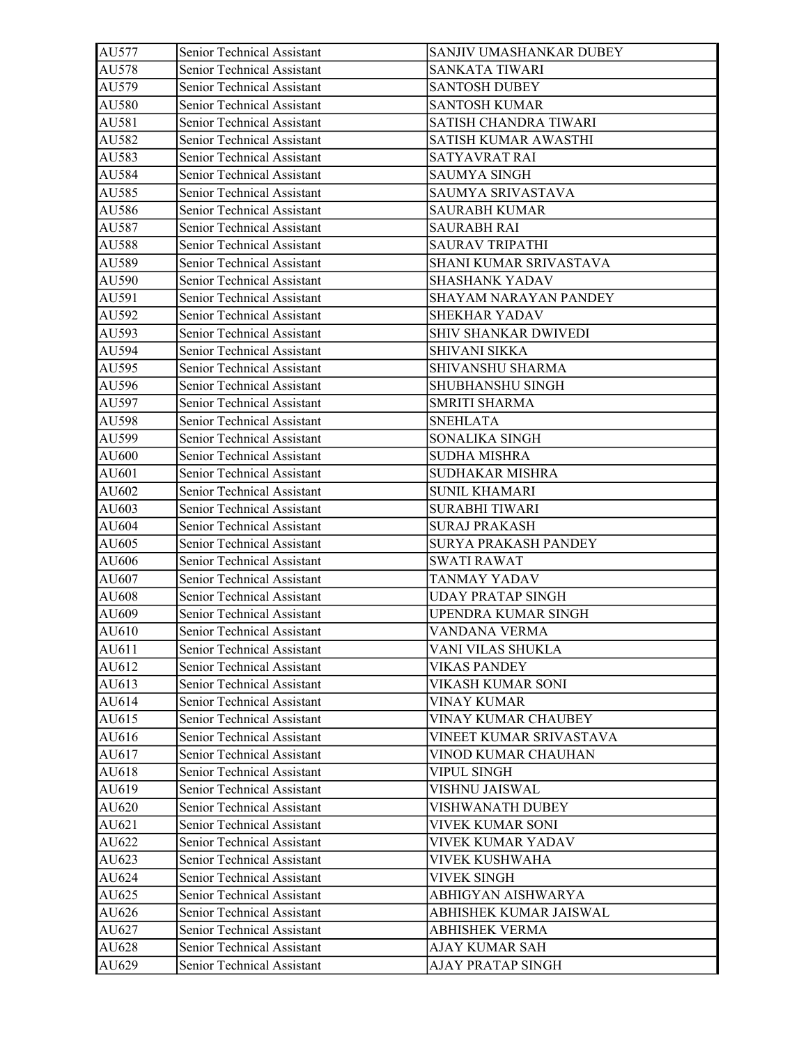| AU577 | Senior Technical Assistant        | SANJIV UMASHANKAR DUBEY  |
|-------|-----------------------------------|--------------------------|
| AU578 | Senior Technical Assistant        | SANKATA TIWARI           |
| AU579 | Senior Technical Assistant        | <b>SANTOSH DUBEY</b>     |
| AU580 | Senior Technical Assistant        | <b>SANTOSH KUMAR</b>     |
| AU581 | Senior Technical Assistant        | SATISH CHANDRA TIWARI    |
| AU582 | Senior Technical Assistant        | SATISH KUMAR AWASTHI     |
| AU583 | Senior Technical Assistant        | SATYAVRAT RAI            |
| AU584 | Senior Technical Assistant        | <b>SAUMYA SINGH</b>      |
| AU585 | Senior Technical Assistant        | SAUMYA SRIVASTAVA        |
| AU586 | Senior Technical Assistant        | <b>SAURABH KUMAR</b>     |
| AU587 | Senior Technical Assistant        | <b>SAURABH RAI</b>       |
| AU588 | Senior Technical Assistant        | <b>SAURAV TRIPATHI</b>   |
| AU589 | Senior Technical Assistant        | SHANI KUMAR SRIVASTAVA   |
| AU590 | Senior Technical Assistant        | <b>SHASHANK YADAV</b>    |
| AU591 | Senior Technical Assistant        | SHAYAM NARAYAN PANDEY    |
| AU592 | Senior Technical Assistant        | <b>SHEKHAR YADAV</b>     |
| AU593 | Senior Technical Assistant        | SHIV SHANKAR DWIVEDI     |
| AU594 | Senior Technical Assistant        | SHIVANI SIKKA            |
| AU595 | Senior Technical Assistant        | SHIVANSHU SHARMA         |
| AU596 | Senior Technical Assistant        | SHUBHANSHU SINGH         |
| AU597 | Senior Technical Assistant        | <b>SMRITI SHARMA</b>     |
| AU598 | Senior Technical Assistant        | <b>SNEHLATA</b>          |
| AU599 | Senior Technical Assistant        | SONALIKA SINGH           |
| AU600 | Senior Technical Assistant        | <b>SUDHA MISHRA</b>      |
| AU601 | Senior Technical Assistant        | SUDHAKAR MISHRA          |
| AU602 | Senior Technical Assistant        | <b>SUNIL KHAMARI</b>     |
| AU603 | Senior Technical Assistant        | <b>SURABHI TIWARI</b>    |
| AU604 | Senior Technical Assistant        | <b>SURAJ PRAKASH</b>     |
| AU605 | Senior Technical Assistant        | SURYA PRAKASH PANDEY     |
| AU606 | Senior Technical Assistant        | <b>SWATI RAWAT</b>       |
| AU607 | Senior Technical Assistant        | TANMAY YADAV             |
| AU608 | Senior Technical Assistant        | <b>UDAY PRATAP SINGH</b> |
| AU609 | Senior Technical Assistant        | UPENDRA KUMAR SINGH      |
| AU610 | <b>Senior Technical Assistant</b> | VANDANA VERMA            |
| AU611 | Senior Technical Assistant        | VANI VILAS SHUKLA        |
| AU612 | Senior Technical Assistant        | <b>VIKAS PANDEY</b>      |
| AU613 | Senior Technical Assistant        | VIKASH KUMAR SONI        |
| AU614 | Senior Technical Assistant        | VINAY KUMAR              |
| AU615 | Senior Technical Assistant        | VINAY KUMAR CHAUBEY      |
| AU616 | Senior Technical Assistant        | VINEET KUMAR SRIVASTAVA  |
| AU617 | Senior Technical Assistant        | VINOD KUMAR CHAUHAN      |
| AU618 | Senior Technical Assistant        | VIPUL SINGH              |
| AU619 | Senior Technical Assistant        | VISHNU JAISWAL           |
| AU620 | Senior Technical Assistant        | VISHWANATH DUBEY         |
| AU621 | Senior Technical Assistant        | VIVEK KUMAR SONI         |
| AU622 | Senior Technical Assistant        | VIVEK KUMAR YADAV        |
| AU623 | Senior Technical Assistant        | VIVEK KUSHWAHA           |
| AU624 | Senior Technical Assistant        | <b>VIVEK SINGH</b>       |
| AU625 | Senior Technical Assistant        | ABHIGYAN AISHWARYA       |
| AU626 | Senior Technical Assistant        | ABHISHEK KUMAR JAISWAL   |
| AU627 | Senior Technical Assistant        | <b>ABHISHEK VERMA</b>    |
| AU628 | Senior Technical Assistant        | AJAY KUMAR SAH           |
| AU629 | Senior Technical Assistant        | AJAY PRATAP SINGH        |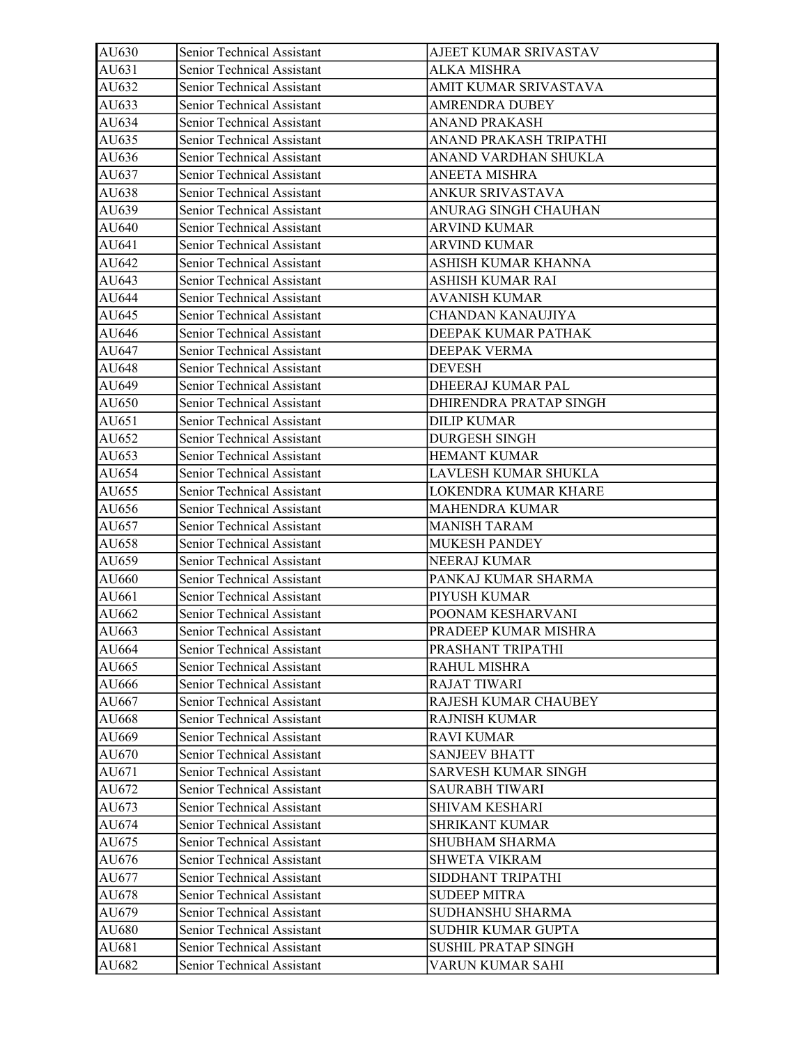| AU630 | Senior Technical Assistant | AJEET KUMAR SRIVASTAV      |
|-------|----------------------------|----------------------------|
| AU631 | Senior Technical Assistant | <b>ALKA MISHRA</b>         |
| AU632 | Senior Technical Assistant | AMIT KUMAR SRIVASTAVA      |
| AU633 | Senior Technical Assistant | <b>AMRENDRA DUBEY</b>      |
| AU634 | Senior Technical Assistant | <b>ANAND PRAKASH</b>       |
| AU635 | Senior Technical Assistant | ANAND PRAKASH TRIPATHI     |
| AU636 | Senior Technical Assistant | ANAND VARDHAN SHUKLA       |
| AU637 | Senior Technical Assistant | <b>ANEETA MISHRA</b>       |
| AU638 | Senior Technical Assistant | ANKUR SRIVASTAVA           |
| AU639 | Senior Technical Assistant | ANURAG SINGH CHAUHAN       |
| AU640 | Senior Technical Assistant | <b>ARVIND KUMAR</b>        |
| AU641 | Senior Technical Assistant | <b>ARVIND KUMAR</b>        |
| AU642 | Senior Technical Assistant | ASHISH KUMAR KHANNA        |
| AU643 | Senior Technical Assistant | ASHISH KUMAR RAI           |
| AU644 | Senior Technical Assistant | <b>AVANISH KUMAR</b>       |
| AU645 | Senior Technical Assistant | CHANDAN KANAUJIYA          |
| AU646 | Senior Technical Assistant | DEEPAK KUMAR PATHAK        |
| AU647 | Senior Technical Assistant | DEEPAK VERMA               |
| AU648 | Senior Technical Assistant | <b>DEVESH</b>              |
| AU649 | Senior Technical Assistant | DHEERAJ KUMAR PAL          |
| AU650 | Senior Technical Assistant | DHIRENDRA PRATAP SINGH     |
| AU651 | Senior Technical Assistant | <b>DILIP KUMAR</b>         |
| AU652 | Senior Technical Assistant | <b>DURGESH SINGH</b>       |
| AU653 | Senior Technical Assistant | <b>HEMANT KUMAR</b>        |
| AU654 | Senior Technical Assistant | LAVLESH KUMAR SHUKLA       |
| AU655 | Senior Technical Assistant | LOKENDRA KUMAR KHARE       |
| AU656 | Senior Technical Assistant | <b>MAHENDRA KUMAR</b>      |
| AU657 | Senior Technical Assistant | <b>MANISH TARAM</b>        |
| AU658 | Senior Technical Assistant | <b>MUKESH PANDEY</b>       |
| AU659 | Senior Technical Assistant | NEERAJ KUMAR               |
| AU660 | Senior Technical Assistant | PANKAJ KUMAR SHARMA        |
| AU661 | Senior Technical Assistant | PIYUSH KUMAR               |
| AU662 | Senior Technical Assistant | POONAM KESHARVANI          |
| AU663 | Senior Technical Assistant | PRADEEP KUMAR MISHRA       |
| AU664 | Senior Technical Assistant | PRASHANT TRIPATHI          |
| AU665 | Senior Technical Assistant | RAHUL MISHRA               |
| AU666 | Senior Technical Assistant | <b>RAJAT TIWARI</b>        |
| AU667 | Senior Technical Assistant | RAJESH KUMAR CHAUBEY       |
| AU668 | Senior Technical Assistant | <b>RAJNISH KUMAR</b>       |
| AU669 | Senior Technical Assistant | <b>RAVI KUMAR</b>          |
| AU670 | Senior Technical Assistant | <b>SANJEEV BHATT</b>       |
| AU671 | Senior Technical Assistant | SARVESH KUMAR SINGH        |
| AU672 | Senior Technical Assistant | <b>SAURABH TIWARI</b>      |
| AU673 | Senior Technical Assistant | <b>SHIVAM KESHARI</b>      |
| AU674 | Senior Technical Assistant | SHRIKANT KUMAR             |
| AU675 | Senior Technical Assistant | <b>SHUBHAM SHARMA</b>      |
| AU676 | Senior Technical Assistant | SHWETA VIKRAM              |
| AU677 | Senior Technical Assistant | SIDDHANT TRIPATHI          |
| AU678 | Senior Technical Assistant | <b>SUDEEP MITRA</b>        |
| AU679 | Senior Technical Assistant | SUDHANSHU SHARMA           |
| AU680 | Senior Technical Assistant | SUDHIR KUMAR GUPTA         |
| AU681 | Senior Technical Assistant | <b>SUSHIL PRATAP SINGH</b> |
| AU682 | Senior Technical Assistant | VARUN KUMAR SAHI           |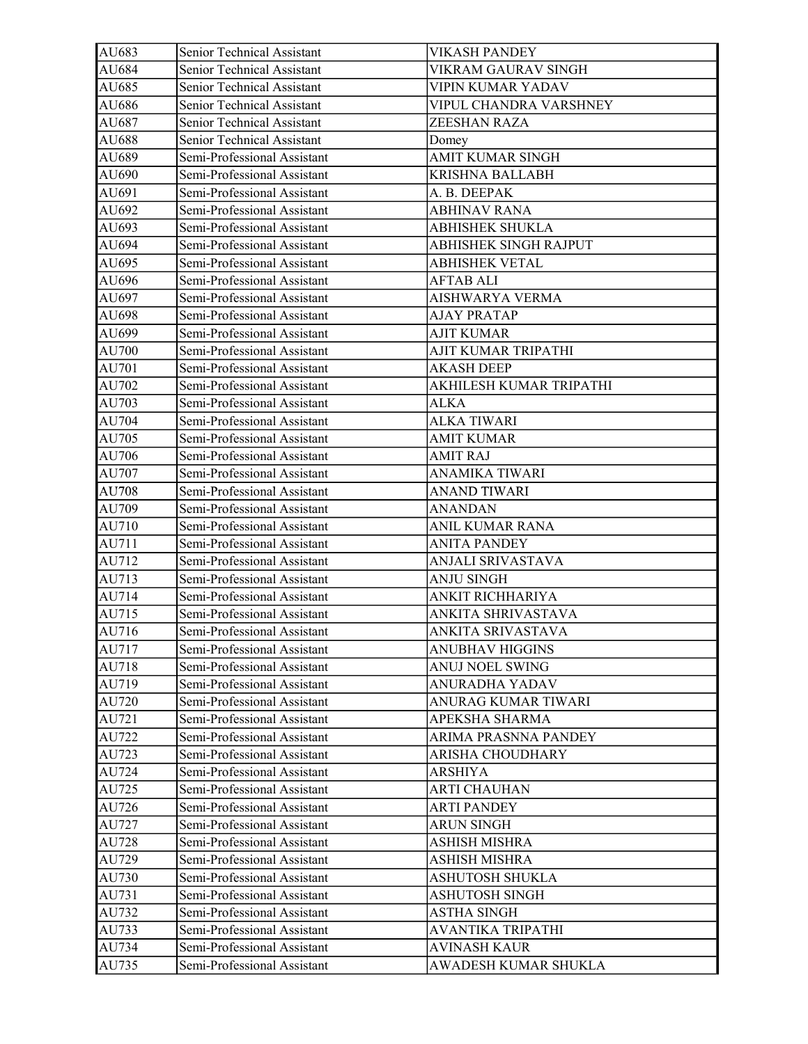| AU683 | Senior Technical Assistant  | <b>VIKASH PANDEY</b>     |
|-------|-----------------------------|--------------------------|
| AU684 | Senior Technical Assistant  | VIKRAM GAURAV SINGH      |
| AU685 | Senior Technical Assistant  | VIPIN KUMAR YADAV        |
| AU686 | Senior Technical Assistant  | VIPUL CHANDRA VARSHNEY   |
| AU687 | Senior Technical Assistant  | ZEESHAN RAZA             |
| AU688 | Senior Technical Assistant  | Domey                    |
| AU689 | Semi-Professional Assistant | AMIT KUMAR SINGH         |
| AU690 | Semi-Professional Assistant | KRISHNA BALLABH          |
| AU691 | Semi-Professional Assistant | A. B. DEEPAK             |
| AU692 | Semi-Professional Assistant | <b>ABHINAV RANA</b>      |
| AU693 | Semi-Professional Assistant | <b>ABHISHEK SHUKLA</b>   |
| AU694 | Semi-Professional Assistant | ABHISHEK SINGH RAJPUT    |
| AU695 | Semi-Professional Assistant | <b>ABHISHEK VETAL</b>    |
| AU696 | Semi-Professional Assistant | <b>AFTAB ALI</b>         |
| AU697 | Semi-Professional Assistant | AISHWARYA VERMA          |
| AU698 | Semi-Professional Assistant | <b>AJAY PRATAP</b>       |
| AU699 | Semi-Professional Assistant | <b>AJIT KUMAR</b>        |
| AU700 | Semi-Professional Assistant | AJIT KUMAR TRIPATHI      |
| AU701 | Semi-Professional Assistant | <b>AKASH DEEP</b>        |
| AU702 | Semi-Professional Assistant | AKHILESH KUMAR TRIPATHI  |
| AU703 | Semi-Professional Assistant | <b>ALKA</b>              |
| AU704 | Semi-Professional Assistant | <b>ALKA TIWARI</b>       |
| AU705 | Semi-Professional Assistant | <b>AMIT KUMAR</b>        |
| AU706 | Semi-Professional Assistant | <b>AMIT RAJ</b>          |
| AU707 | Semi-Professional Assistant | <b>ANAMIKA TIWARI</b>    |
| AU708 | Semi-Professional Assistant | <b>ANAND TIWARI</b>      |
| AU709 | Semi-Professional Assistant | <b>ANANDAN</b>           |
| AU710 | Semi-Professional Assistant | <b>ANIL KUMAR RANA</b>   |
| AU711 | Semi-Professional Assistant | <b>ANITA PANDEY</b>      |
| AU712 | Semi-Professional Assistant | <b>ANJALI SRIVASTAVA</b> |
| AU713 | Semi-Professional Assistant | <b>ANJU SINGH</b>        |
| AU714 | Semi-Professional Assistant | ANKIT RICHHARIYA         |
| AU715 | Semi-Professional Assistant | ANKITA SHRIVASTAVA       |
| AU716 | Semi-Professional Assistant | ANKITA SRIVASTAVA        |
| AU717 | Semi-Professional Assistant | <b>ANUBHAV HIGGINS</b>   |
| AU718 | Semi-Professional Assistant | <b>ANUJ NOEL SWING</b>   |
| AU719 | Semi-Professional Assistant | <b>ANURADHA YADAV</b>    |
| AU720 | Semi-Professional Assistant | ANURAG KUMAR TIWARI      |
| AU721 | Semi-Professional Assistant | APEKSHA SHARMA           |
| AU722 | Semi-Professional Assistant | ARIMA PRASNNA PANDEY     |
| AU723 | Semi-Professional Assistant | ARISHA CHOUDHARY         |
| AU724 | Semi-Professional Assistant | <b>ARSHIYA</b>           |
| AU725 | Semi-Professional Assistant | <b>ARTI CHAUHAN</b>      |
| AU726 | Semi-Professional Assistant | <b>ARTI PANDEY</b>       |
| AU727 | Semi-Professional Assistant | <b>ARUN SINGH</b>        |
| AU728 | Semi-Professional Assistant | ASHISH MISHRA            |
| AU729 | Semi-Professional Assistant | ASHISH MISHRA            |
| AU730 | Semi-Professional Assistant | ASHUTOSH SHUKLA          |
| AU731 | Semi-Professional Assistant | <b>ASHUTOSH SINGH</b>    |
| AU732 | Semi-Professional Assistant | ASTHA SINGH              |
| AU733 | Semi-Professional Assistant | <b>AVANTIKA TRIPATHI</b> |
| AU734 | Semi-Professional Assistant | <b>AVINASH KAUR</b>      |
| AU735 | Semi-Professional Assistant | AWADESH KUMAR SHUKLA     |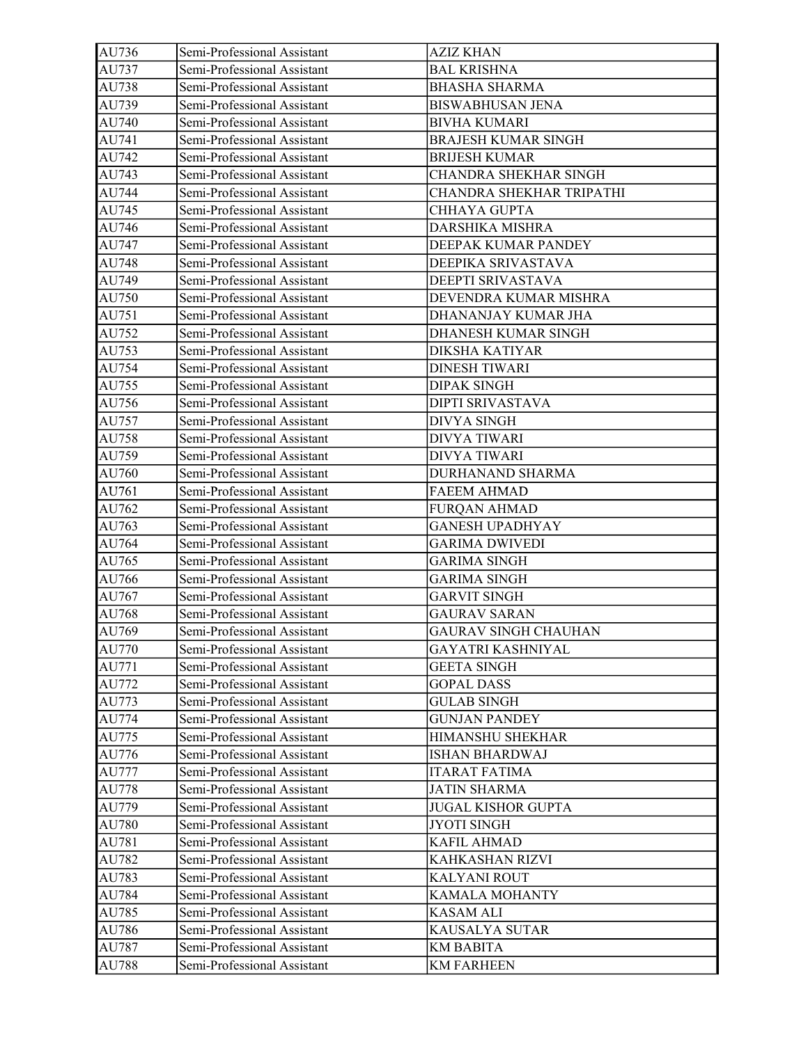| AU736 | Semi-Professional Assistant | <b>AZIZ KHAN</b>            |
|-------|-----------------------------|-----------------------------|
| AU737 | Semi-Professional Assistant | <b>BAL KRISHNA</b>          |
| AU738 | Semi-Professional Assistant | <b>BHASHA SHARMA</b>        |
| AU739 | Semi-Professional Assistant | <b>BISWABHUSAN JENA</b>     |
| AU740 | Semi-Professional Assistant | <b>BIVHA KUMARI</b>         |
| AU741 | Semi-Professional Assistant | <b>BRAJESH KUMAR SINGH</b>  |
| AU742 | Semi-Professional Assistant | <b>BRIJESH KUMAR</b>        |
| AU743 | Semi-Professional Assistant | CHANDRA SHEKHAR SINGH       |
| AU744 | Semi-Professional Assistant | CHANDRA SHEKHAR TRIPATHI    |
| AU745 | Semi-Professional Assistant | <b>CHHAYA GUPTA</b>         |
| AU746 | Semi-Professional Assistant | DARSHIKA MISHRA             |
| AU747 | Semi-Professional Assistant | DEEPAK KUMAR PANDEY         |
| AU748 | Semi-Professional Assistant | DEEPIKA SRIVASTAVA          |
| AU749 | Semi-Professional Assistant | DEEPTI SRIVASTAVA           |
| AU750 | Semi-Professional Assistant | DEVENDRA KUMAR MISHRA       |
| AU751 | Semi-Professional Assistant | DHANANJAY KUMAR JHA         |
| AU752 | Semi-Professional Assistant | DHANESH KUMAR SINGH         |
| AU753 | Semi-Professional Assistant | DIKSHA KATIYAR              |
| AU754 | Semi-Professional Assistant | <b>DINESH TIWARI</b>        |
| AU755 | Semi-Professional Assistant | <b>DIPAK SINGH</b>          |
| AU756 | Semi-Professional Assistant | DIPTI SRIVASTAVA            |
| AU757 | Semi-Professional Assistant | <b>DIVYA SINGH</b>          |
| AU758 | Semi-Professional Assistant | <b>DIVYA TIWARI</b>         |
| AU759 | Semi-Professional Assistant | <b>DIVYA TIWARI</b>         |
| AU760 | Semi-Professional Assistant | DURHANAND SHARMA            |
| AU761 | Semi-Professional Assistant | <b>FAEEM AHMAD</b>          |
| AU762 | Semi-Professional Assistant | <b>FURQAN AHMAD</b>         |
| AU763 | Semi-Professional Assistant | <b>GANESH UPADHYAY</b>      |
| AU764 | Semi-Professional Assistant | <b>GARIMA DWIVEDI</b>       |
| AU765 | Semi-Professional Assistant | <b>GARIMA SINGH</b>         |
| AU766 | Semi-Professional Assistant | <b>GARIMA SINGH</b>         |
| AU767 | Semi-Professional Assistant | <b>GARVIT SINGH</b>         |
| AU768 | Semi-Professional Assistant | <b>GAURAV SARAN</b>         |
| AU769 | Semi-Professional Assistant | <b>GAURAV SINGH CHAUHAN</b> |
| AU770 | Semi-Professional Assistant | GAYATRI KASHNIYAL           |
| AU771 | Semi-Professional Assistant | <b>GEETA SINGH</b>          |
| AU772 | Semi-Professional Assistant | <b>GOPAL DASS</b>           |
| AU773 | Semi-Professional Assistant | <b>GULAB SINGH</b>          |
| AU774 | Semi-Professional Assistant | <b>GUNJAN PANDEY</b>        |
| AU775 | Semi-Professional Assistant | HIMANSHU SHEKHAR            |
| AU776 | Semi-Professional Assistant | <b>ISHAN BHARDWAJ</b>       |
| AU777 | Semi-Professional Assistant | <b>ITARAT FATIMA</b>        |
| AU778 | Semi-Professional Assistant | <b>JATIN SHARMA</b>         |
| AU779 | Semi-Professional Assistant | <b>JUGAL KISHOR GUPTA</b>   |
| AU780 | Semi-Professional Assistant | <b>JYOTI SINGH</b>          |
| AU781 | Semi-Professional Assistant | <b>KAFIL AHMAD</b>          |
| AU782 | Semi-Professional Assistant | KAHKASHAN RIZVI             |
| AU783 | Semi-Professional Assistant | <b>KALYANI ROUT</b>         |
| AU784 | Semi-Professional Assistant | <b>KAMALA MOHANTY</b>       |
| AU785 | Semi-Professional Assistant | KASAM ALI                   |
| AU786 | Semi-Professional Assistant | KAUSALYA SUTAR              |
| AU787 | Semi-Professional Assistant | <b>KM BABITA</b>            |
| AU788 | Semi-Professional Assistant | <b>KM FARHEEN</b>           |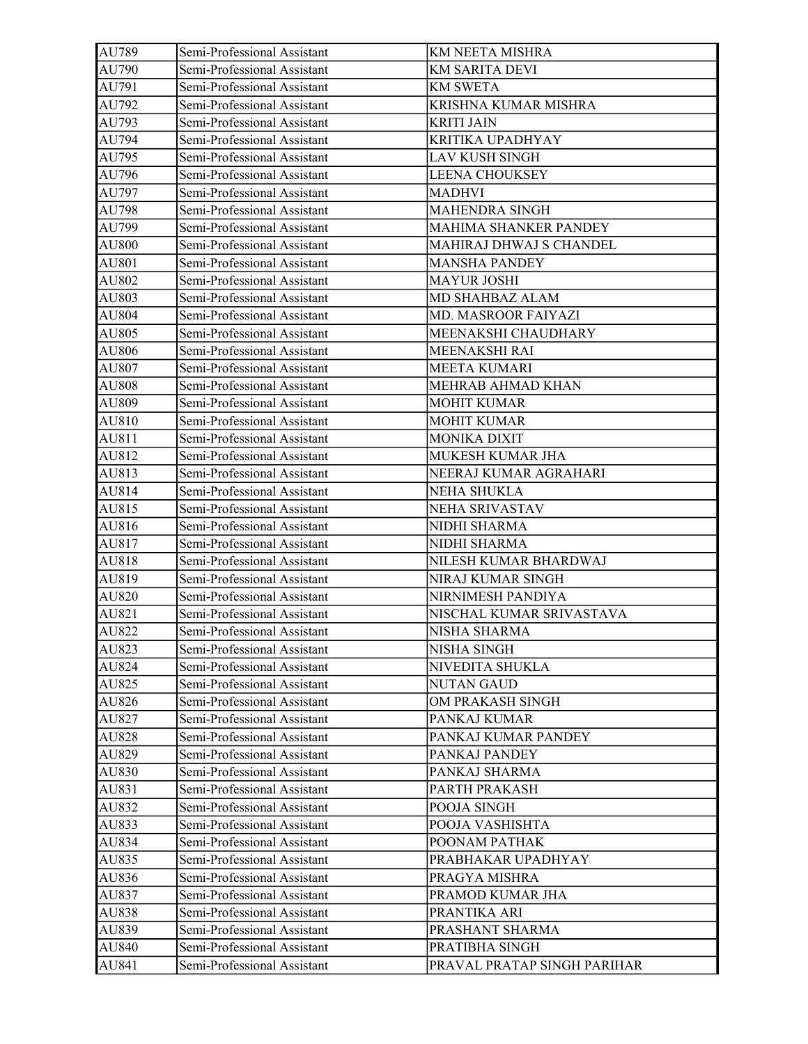| AU789 | Semi-Professional Assistant | KM NEETA MISHRA              |
|-------|-----------------------------|------------------------------|
| AU790 | Semi-Professional Assistant | <b>KM SARITA DEVI</b>        |
| AU791 | Semi-Professional Assistant | <b>KM SWETA</b>              |
| AU792 | Semi-Professional Assistant | KRISHNA KUMAR MISHRA         |
| AU793 | Semi-Professional Assistant | <b>KRITI JAIN</b>            |
| AU794 | Semi-Professional Assistant | KRITIKA UPADHYAY             |
| AU795 | Semi-Professional Assistant | <b>LAV KUSH SINGH</b>        |
| AU796 | Semi-Professional Assistant | <b>LEENA CHOUKSEY</b>        |
| AU797 | Semi-Professional Assistant | <b>MADHVI</b>                |
| AU798 | Semi-Professional Assistant | MAHENDRA SINGH               |
| AU799 | Semi-Professional Assistant | <b>MAHIMA SHANKER PANDEY</b> |
| AU800 | Semi-Professional Assistant | MAHIRAJ DHWAJ S CHANDEL      |
| AU801 | Semi-Professional Assistant | <b>MANSHA PANDEY</b>         |
| AU802 | Semi-Professional Assistant | <b>MAYUR JOSHI</b>           |
| AU803 | Semi-Professional Assistant | MD SHAHBAZ ALAM              |
| AU804 | Semi-Professional Assistant | <b>MD. MASROOR FAIYAZI</b>   |
| AU805 | Semi-Professional Assistant | MEENAKSHI CHAUDHARY          |
| AU806 | Semi-Professional Assistant | MEENAKSHI RAI                |
| AU807 | Semi-Professional Assistant | <b>MEETA KUMARI</b>          |
| AU808 | Semi-Professional Assistant | MEHRAB AHMAD KHAN            |
| AU809 | Semi-Professional Assistant | <b>MOHIT KUMAR</b>           |
| AU810 | Semi-Professional Assistant | <b>MOHIT KUMAR</b>           |
| AU811 | Semi-Professional Assistant | <b>MONIKA DIXIT</b>          |
| AU812 | Semi-Professional Assistant | MUKESH KUMAR JHA             |
| AU813 | Semi-Professional Assistant | NEERAJ KUMAR AGRAHARI        |
| AU814 | Semi-Professional Assistant | NEHA SHUKLA                  |
| AU815 | Semi-Professional Assistant | NEHA SRIVASTAV               |
| AU816 | Semi-Professional Assistant | NIDHI SHARMA                 |
| AU817 | Semi-Professional Assistant | NIDHI SHARMA                 |
| AU818 | Semi-Professional Assistant | NILESH KUMAR BHARDWAJ        |
| AU819 | Semi-Professional Assistant | NIRAJ KUMAR SINGH            |
| AU820 | Semi-Professional Assistant | NIRNIMESH PANDIYA            |
| AU821 | Semi-Professional Assistant | NISCHAL KUMAR SRIVASTAVA     |
| AU822 | Semi-Professional Assistant | NISHA SHARMA                 |
| AU823 | Semi-Professional Assistant | NISHA SINGH                  |
| AU824 | Semi-Professional Assistant | NIVEDITA SHUKLA              |
| AU825 | Semi-Professional Assistant | <b>NUTAN GAUD</b>            |
| AU826 | Semi-Professional Assistant | OM PRAKASH SINGH             |
| AU827 | Semi-Professional Assistant | PANKAJ KUMAR                 |
| AU828 | Semi-Professional Assistant | PANKAJ KUMAR PANDEY          |
| AU829 | Semi-Professional Assistant | PANKAJ PANDEY                |
| AU830 | Semi-Professional Assistant | PANKAJ SHARMA                |
| AU831 | Semi-Professional Assistant | PARTH PRAKASH                |
| AU832 | Semi-Professional Assistant | POOJA SINGH                  |
| AU833 | Semi-Professional Assistant | POOJA VASHISHTA              |
| AU834 | Semi-Professional Assistant | POONAM PATHAK                |
| AU835 | Semi-Professional Assistant | PRABHAKAR UPADHYAY           |
| AU836 | Semi-Professional Assistant | PRAGYA MISHRA                |
| AU837 | Semi-Professional Assistant | PRAMOD KUMAR JHA             |
| AU838 | Semi-Professional Assistant | PRANTIKA ARI                 |
| AU839 | Semi-Professional Assistant | PRASHANT SHARMA              |
| AU840 | Semi-Professional Assistant | PRATIBHA SINGH               |
| AU841 | Semi-Professional Assistant | PRAVAL PRATAP SINGH PARIHAR  |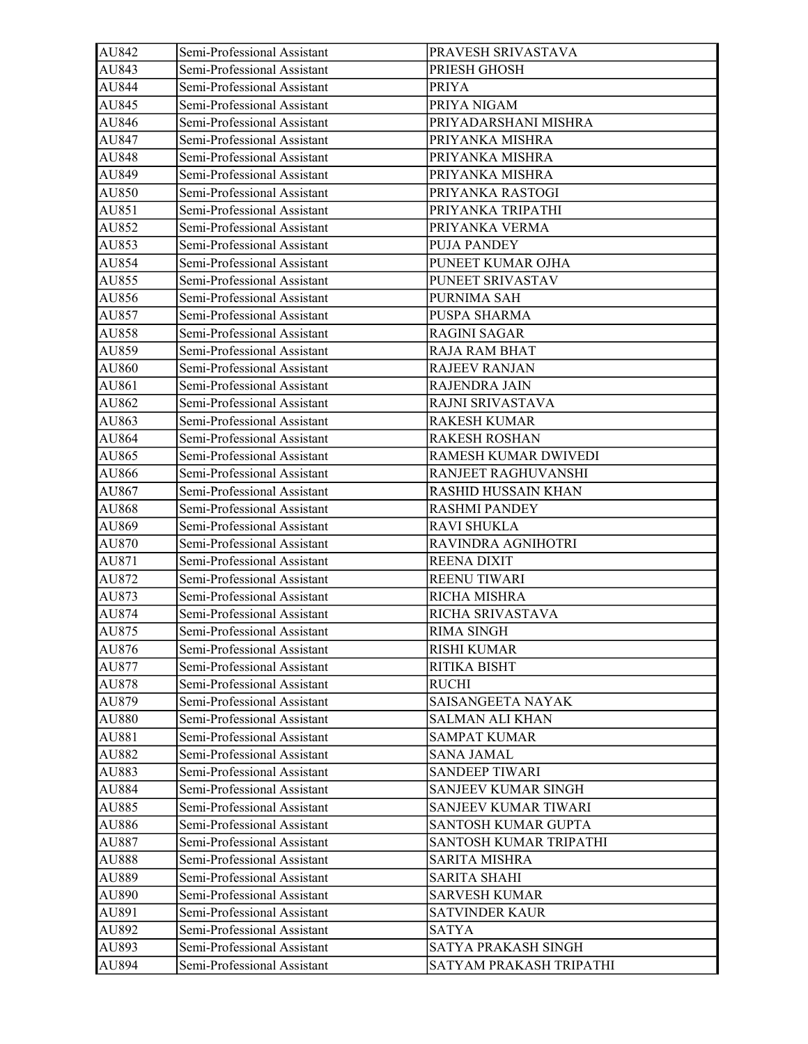| AU842 | Semi-Professional Assistant | PRAVESH SRIVASTAVA      |
|-------|-----------------------------|-------------------------|
| AU843 | Semi-Professional Assistant | PRIESH GHOSH            |
| AU844 | Semi-Professional Assistant | <b>PRIYA</b>            |
| AU845 | Semi-Professional Assistant | PRIYA NIGAM             |
| AU846 | Semi-Professional Assistant | PRIYADARSHANI MISHRA    |
| AU847 | Semi-Professional Assistant | PRIYANKA MISHRA         |
| AU848 | Semi-Professional Assistant | PRIYANKA MISHRA         |
| AU849 | Semi-Professional Assistant | PRIYANKA MISHRA         |
| AU850 | Semi-Professional Assistant | PRIYANKA RASTOGI        |
| AU851 | Semi-Professional Assistant | PRIYANKA TRIPATHI       |
| AU852 | Semi-Professional Assistant | PRIYANKA VERMA          |
| AU853 | Semi-Professional Assistant | PUJA PANDEY             |
| AU854 | Semi-Professional Assistant | PUNEET KUMAR OJHA       |
| AU855 | Semi-Professional Assistant | PUNEET SRIVASTAV        |
| AU856 | Semi-Professional Assistant | PURNIMA SAH             |
| AU857 | Semi-Professional Assistant | PUSPA SHARMA            |
| AU858 | Semi-Professional Assistant | <b>RAGINI SAGAR</b>     |
| AU859 | Semi-Professional Assistant | RAJA RAM BHAT           |
| AU860 | Semi-Professional Assistant | <b>RAJEEV RANJAN</b>    |
| AU861 | Semi-Professional Assistant | RAJENDRA JAIN           |
| AU862 | Semi-Professional Assistant | RAJNI SRIVASTAVA        |
| AU863 | Semi-Professional Assistant | <b>RAKESH KUMAR</b>     |
| AU864 | Semi-Professional Assistant | <b>RAKESH ROSHAN</b>    |
| AU865 | Semi-Professional Assistant | RAMESH KUMAR DWIVEDI    |
| AU866 | Semi-Professional Assistant | RANJEET RAGHUVANSHI     |
| AU867 | Semi-Professional Assistant | RASHID HUSSAIN KHAN     |
| AU868 | Semi-Professional Assistant | <b>RASHMI PANDEY</b>    |
| AU869 | Semi-Professional Assistant | <b>RAVI SHUKLA</b>      |
| AU870 | Semi-Professional Assistant | RAVINDRA AGNIHOTRI      |
| AU871 | Semi-Professional Assistant | REENA DIXIT             |
| AU872 | Semi-Professional Assistant | REENU TIWARI            |
| AU873 | Semi-Professional Assistant | RICHA MISHRA            |
| AU874 | Semi-Professional Assistant | RICHA SRIVASTAVA        |
| AU875 | Semi-Professional Assistant | <b>RIMA SINGH</b>       |
| AU876 | Semi-Professional Assistant | <b>RISHI KUMAR</b>      |
| AU877 | Semi-Professional Assistant | RITIKA BISHT            |
| AU878 | Semi-Professional Assistant | <b>RUCHI</b>            |
| AU879 | Semi-Professional Assistant | SAISANGEETA NAYAK       |
| AU880 | Semi-Professional Assistant | SALMAN ALI KHAN         |
| AU881 | Semi-Professional Assistant | <b>SAMPAT KUMAR</b>     |
| AU882 | Semi-Professional Assistant | <b>SANA JAMAL</b>       |
| AU883 | Semi-Professional Assistant | <b>SANDEEP TIWARI</b>   |
| AU884 | Semi-Professional Assistant | SANJEEV KUMAR SINGH     |
| AU885 | Semi-Professional Assistant | SANJEEV KUMAR TIWARI    |
| AU886 | Semi-Professional Assistant | SANTOSH KUMAR GUPTA     |
| AU887 | Semi-Professional Assistant | SANTOSH KUMAR TRIPATHI  |
| AU888 | Semi-Professional Assistant | SARITA MISHRA           |
| AU889 | Semi-Professional Assistant | <b>SARITA SHAHI</b>     |
| AU890 | Semi-Professional Assistant | <b>SARVESH KUMAR</b>    |
| AU891 | Semi-Professional Assistant | <b>SATVINDER KAUR</b>   |
| AU892 | Semi-Professional Assistant | SATYA                   |
| AU893 | Semi-Professional Assistant | SATYA PRAKASH SINGH     |
| AU894 | Semi-Professional Assistant | SATYAM PRAKASH TRIPATHI |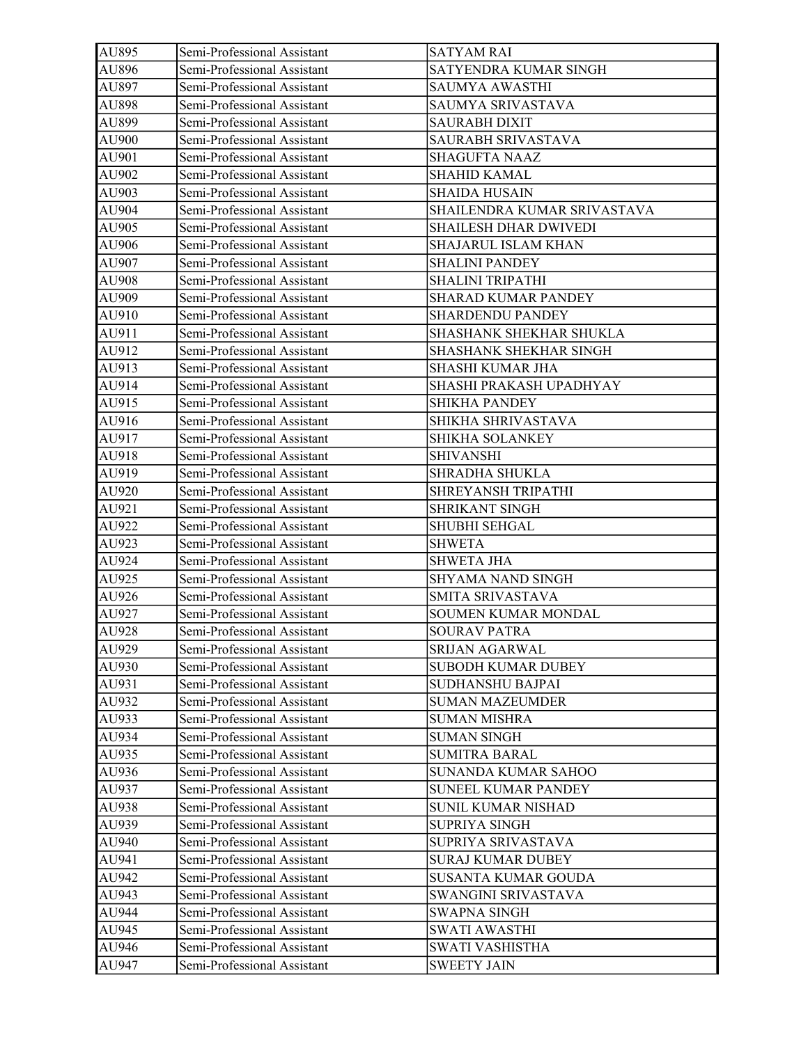| AU895 | Semi-Professional Assistant | <b>SATYAM RAI</b>            |
|-------|-----------------------------|------------------------------|
| AU896 | Semi-Professional Assistant | SATYENDRA KUMAR SINGH        |
| AU897 | Semi-Professional Assistant | SAUMYA AWASTHI               |
| AU898 | Semi-Professional Assistant | SAUMYA SRIVASTAVA            |
| AU899 | Semi-Professional Assistant | <b>SAURABH DIXIT</b>         |
| AU900 | Semi-Professional Assistant | SAURABH SRIVASTAVA           |
| AU901 | Semi-Professional Assistant | <b>SHAGUFTA NAAZ</b>         |
| AU902 | Semi-Professional Assistant | <b>SHAHID KAMAL</b>          |
| AU903 | Semi-Professional Assistant | <b>SHAIDA HUSAIN</b>         |
| AU904 | Semi-Professional Assistant | SHAILENDRA KUMAR SRIVASTAVA  |
| AU905 | Semi-Professional Assistant | <b>SHAILESH DHAR DWIVEDI</b> |
| AU906 | Semi-Professional Assistant | <b>SHAJARUL ISLAM KHAN</b>   |
| AU907 | Semi-Professional Assistant | <b>SHALINI PANDEY</b>        |
| AU908 | Semi-Professional Assistant | SHALINI TRIPATHI             |
| AU909 | Semi-Professional Assistant | SHARAD KUMAR PANDEY          |
| AU910 | Semi-Professional Assistant | <b>SHARDENDU PANDEY</b>      |
| AU911 | Semi-Professional Assistant | SHASHANK SHEKHAR SHUKLA      |
| AU912 | Semi-Professional Assistant | SHASHANK SHEKHAR SINGH       |
| AU913 | Semi-Professional Assistant | SHASHI KUMAR JHA             |
| AU914 | Semi-Professional Assistant | SHASHI PRAKASH UPADHYAY      |
| AU915 | Semi-Professional Assistant | SHIKHA PANDEY                |
| AU916 | Semi-Professional Assistant | SHIKHA SHRIVASTAVA           |
| AU917 | Semi-Professional Assistant | SHIKHA SOLANKEY              |
| AU918 | Semi-Professional Assistant | <b>SHIVANSHI</b>             |
| AU919 | Semi-Professional Assistant | SHRADHA SHUKLA               |
| AU920 | Semi-Professional Assistant | SHREYANSH TRIPATHI           |
| AU921 | Semi-Professional Assistant | SHRIKANT SINGH               |
| AU922 | Semi-Professional Assistant | SHUBHI SEHGAL                |
| AU923 | Semi-Professional Assistant | <b>SHWETA</b>                |
| AU924 | Semi-Professional Assistant | <b>SHWETA JHA</b>            |
| AU925 | Semi-Professional Assistant | SHYAMA NAND SINGH            |
| AU926 | Semi-Professional Assistant | SMITA SRIVASTAVA             |
| AU927 | Semi-Professional Assistant | SOUMEN KUMAR MONDAL          |
| AU928 | Semi-Professional Assistant | <b>SOURAV PATRA</b>          |
| AU929 | Semi-Professional Assistant | SRIJAN AGARWAL               |
| AU930 | Semi-Professional Assistant | <b>SUBODH KUMAR DUBEY</b>    |
| AU931 | Semi-Professional Assistant | SUDHANSHU BAJPAI             |
| AU932 | Semi-Professional Assistant | <b>SUMAN MAZEUMDER</b>       |
| AU933 | Semi-Professional Assistant | <b>SUMAN MISHRA</b>          |
| AU934 | Semi-Professional Assistant | <b>SUMAN SINGH</b>           |
| AU935 | Semi-Professional Assistant | <b>SUMITRA BARAL</b>         |
| AU936 | Semi-Professional Assistant | SUNANDA KUMAR SAHOO          |
| AU937 | Semi-Professional Assistant | <b>SUNEEL KUMAR PANDEY</b>   |
| AU938 | Semi-Professional Assistant | <b>SUNIL KUMAR NISHAD</b>    |
| AU939 | Semi-Professional Assistant | SUPRIYA SINGH                |
| AU940 | Semi-Professional Assistant | SUPRIYA SRIVASTAVA           |
| AU941 | Semi-Professional Assistant | SURAJ KUMAR DUBEY            |
| AU942 | Semi-Professional Assistant | SUSANTA KUMAR GOUDA          |
| AU943 | Semi-Professional Assistant | SWANGINI SRIVASTAVA          |
| AU944 | Semi-Professional Assistant | SWAPNA SINGH                 |
| AU945 | Semi-Professional Assistant | SWATI AWASTHI                |
| AU946 | Semi-Professional Assistant | SWATI VASHISTHA              |
| AU947 | Semi-Professional Assistant | <b>SWEETY JAIN</b>           |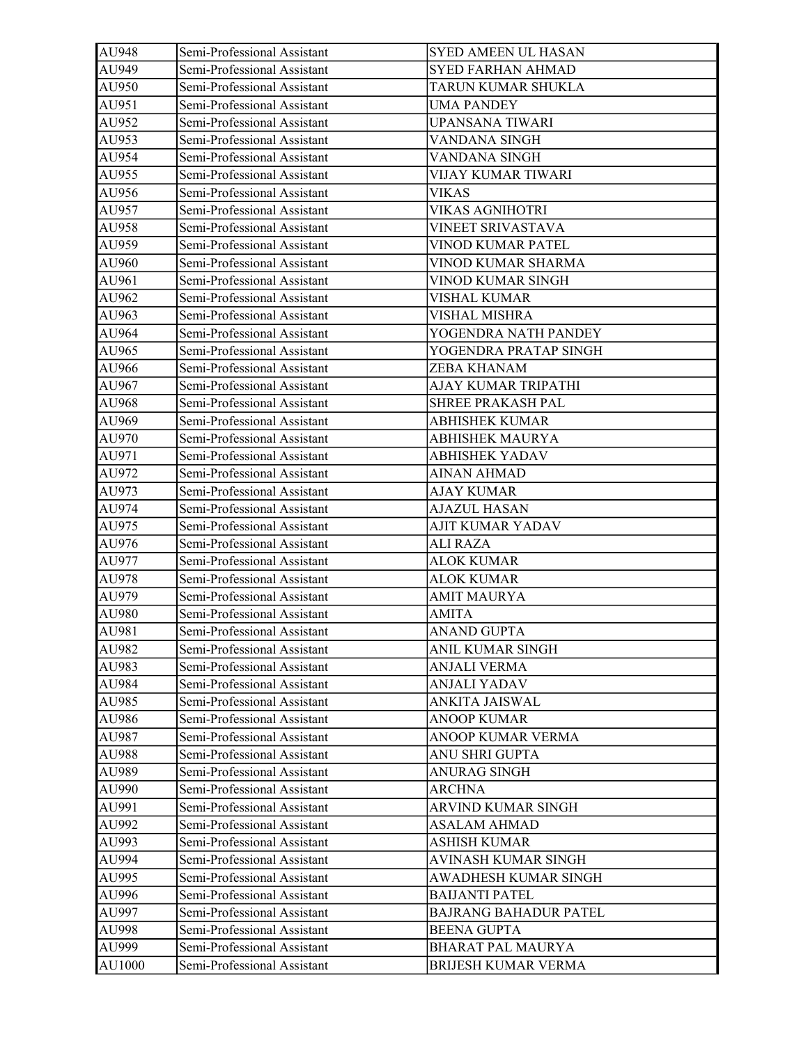| AU948  | Semi-Professional Assistant | SYED AMEEN UL HASAN          |
|--------|-----------------------------|------------------------------|
| AU949  | Semi-Professional Assistant | <b>SYED FARHAN AHMAD</b>     |
| AU950  | Semi-Professional Assistant | TARUN KUMAR SHUKLA           |
| AU951  | Semi-Professional Assistant | UMA PANDEY                   |
| AU952  | Semi-Professional Assistant | <b>UPANSANA TIWARI</b>       |
| AU953  | Semi-Professional Assistant | VANDANA SINGH                |
| AU954  | Semi-Professional Assistant | VANDANA SINGH                |
| AU955  | Semi-Professional Assistant | VIJAY KUMAR TIWARI           |
| AU956  | Semi-Professional Assistant | <b>VIKAS</b>                 |
| AU957  | Semi-Professional Assistant | <b>VIKAS AGNIHOTRI</b>       |
| AU958  | Semi-Professional Assistant | VINEET SRIVASTAVA            |
| AU959  | Semi-Professional Assistant | VINOD KUMAR PATEL            |
| AU960  | Semi-Professional Assistant | VINOD KUMAR SHARMA           |
| AU961  | Semi-Professional Assistant | VINOD KUMAR SINGH            |
| AU962  | Semi-Professional Assistant | VISHAL KUMAR                 |
| AU963  | Semi-Professional Assistant | <b>VISHAL MISHRA</b>         |
| AU964  | Semi-Professional Assistant | YOGENDRA NATH PANDEY         |
| AU965  | Semi-Professional Assistant | YOGENDRA PRATAP SINGH        |
| AU966  | Semi-Professional Assistant | ZEBA KHANAM                  |
| AU967  | Semi-Professional Assistant | AJAY KUMAR TRIPATHI          |
| AU968  | Semi-Professional Assistant | SHREE PRAKASH PAL            |
| AU969  | Semi-Professional Assistant | <b>ABHISHEK KUMAR</b>        |
| AU970  | Semi-Professional Assistant | <b>ABHISHEK MAURYA</b>       |
| AU971  | Semi-Professional Assistant | <b>ABHISHEK YADAV</b>        |
| AU972  | Semi-Professional Assistant | <b>AINAN AHMAD</b>           |
| AU973  | Semi-Professional Assistant | <b>AJAY KUMAR</b>            |
| AU974  | Semi-Professional Assistant | <b>AJAZUL HASAN</b>          |
| AU975  | Semi-Professional Assistant | AJIT KUMAR YADAV             |
| AU976  | Semi-Professional Assistant | ALI RAZA                     |
| AU977  | Semi-Professional Assistant | <b>ALOK KUMAR</b>            |
| AU978  | Semi-Professional Assistant | <b>ALOK KUMAR</b>            |
| AU979  | Semi-Professional Assistant | <b>AMIT MAURYA</b>           |
| AU980  | Semi-Professional Assistant | <b>AMITA</b>                 |
| AU981  | Semi-Professional Assistant | <b>ANAND GUPTA</b>           |
| AU982  | Semi-Professional Assistant | ANIL KUMAR SINGH             |
| AU983  | Semi-Professional Assistant | <b>ANJALI VERMA</b>          |
| AU984  | Semi-Professional Assistant | ANJALI YADAV                 |
| AU985  | Semi-Professional Assistant | ANKITA JAISWAL               |
| AU986  | Semi-Professional Assistant | <b>ANOOP KUMAR</b>           |
| AU987  | Semi-Professional Assistant | ANOOP KUMAR VERMA            |
| AU988  | Semi-Professional Assistant | ANU SHRI GUPTA               |
| AU989  | Semi-Professional Assistant | <b>ANURAG SINGH</b>          |
| AU990  | Semi-Professional Assistant | <b>ARCHNA</b>                |
| AU991  | Semi-Professional Assistant | ARVIND KUMAR SINGH           |
| AU992  | Semi-Professional Assistant | <b>ASALAM AHMAD</b>          |
| AU993  | Semi-Professional Assistant | ASHISH KUMAR                 |
| AU994  | Semi-Professional Assistant | AVINASH KUMAR SINGH          |
| AU995  | Semi-Professional Assistant | AWADHESH KUMAR SINGH         |
| AU996  | Semi-Professional Assistant | <b>BAIJANTI PATEL</b>        |
| AU997  | Semi-Professional Assistant | <b>BAJRANG BAHADUR PATEL</b> |
| AU998  | Semi-Professional Assistant | <b>BEENA GUPTA</b>           |
| AU999  | Semi-Professional Assistant | BHARAT PAL MAURYA            |
| AU1000 | Semi-Professional Assistant | BRIJESH KUMAR VERMA          |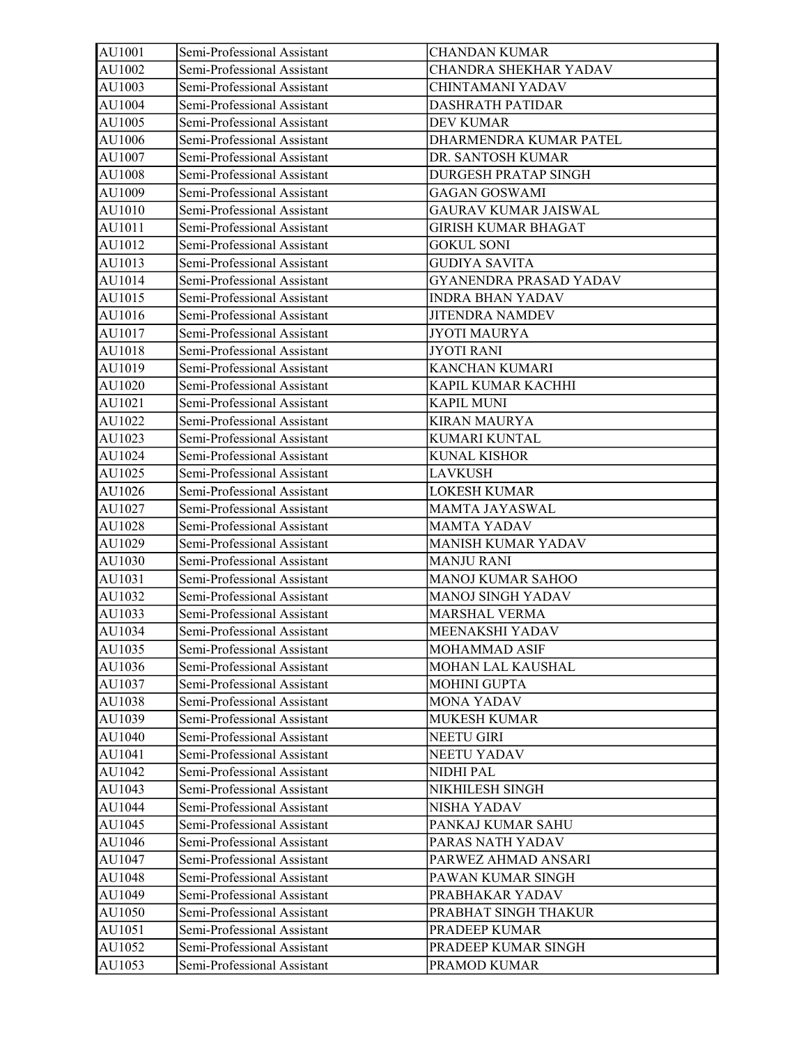| AU1001 | Semi-Professional Assistant | <b>CHANDAN KUMAR</b>        |
|--------|-----------------------------|-----------------------------|
| AU1002 | Semi-Professional Assistant | CHANDRA SHEKHAR YADAV       |
| AU1003 | Semi-Professional Assistant | CHINTAMANI YADAV            |
| AU1004 | Semi-Professional Assistant | <b>DASHRATH PATIDAR</b>     |
| AU1005 | Semi-Professional Assistant | DEV KUMAR                   |
| AU1006 | Semi-Professional Assistant | DHARMENDRA KUMAR PATEL      |
| AU1007 | Semi-Professional Assistant | DR. SANTOSH KUMAR           |
| AU1008 | Semi-Professional Assistant | DURGESH PRATAP SINGH        |
| AU1009 | Semi-Professional Assistant | <b>GAGAN GOSWAMI</b>        |
| AU1010 | Semi-Professional Assistant | <b>GAURAV KUMAR JAISWAL</b> |
| AU1011 | Semi-Professional Assistant | <b>GIRISH KUMAR BHAGAT</b>  |
| AU1012 | Semi-Professional Assistant | <b>GOKUL SONI</b>           |
| AU1013 | Semi-Professional Assistant | <b>GUDIYA SAVITA</b>        |
| AU1014 | Semi-Professional Assistant | GYANENDRA PRASAD YADAV      |
| AU1015 | Semi-Professional Assistant | <b>INDRA BHAN YADAV</b>     |
| AU1016 | Semi-Professional Assistant | <b>JITENDRA NAMDEV</b>      |
| AU1017 | Semi-Professional Assistant | <b>JYOTI MAURYA</b>         |
| AU1018 | Semi-Professional Assistant | <b>JYOTI RANI</b>           |
| AU1019 | Semi-Professional Assistant | <b>KANCHAN KUMARI</b>       |
| AU1020 | Semi-Professional Assistant | KAPIL KUMAR KACHHI          |
| AU1021 | Semi-Professional Assistant | <b>KAPIL MUNI</b>           |
| AU1022 | Semi-Professional Assistant | <b>KIRAN MAURYA</b>         |
| AU1023 | Semi-Professional Assistant | KUMARI KUNTAL               |
| AU1024 | Semi-Professional Assistant | <b>KUNAL KISHOR</b>         |
| AU1025 | Semi-Professional Assistant | <b>LAVKUSH</b>              |
| AU1026 | Semi-Professional Assistant | <b>LOKESH KUMAR</b>         |
| AU1027 | Semi-Professional Assistant | <b>MAMTA JAYASWAL</b>       |
| AU1028 | Semi-Professional Assistant | <b>MAMTA YADAV</b>          |
| AU1029 | Semi-Professional Assistant | <b>MANISH KUMAR YADAV</b>   |
| AU1030 | Semi-Professional Assistant | <b>MANJU RANI</b>           |
| AU1031 | Semi-Professional Assistant | MANOJ KUMAR SAHOO           |
| AU1032 | Semi-Professional Assistant | MANOJ SINGH YADAV           |
| AU1033 | Semi-Professional Assistant | MARSHAL VERMA               |
| AU1034 | Semi-Professional Assistant | MEENAKSHI YADAV             |
| AU1035 | Semi-Professional Assistant | MOHAMMAD ASIF               |
| AU1036 | Semi-Professional Assistant | MOHAN LAL KAUSHAL           |
| AU1037 | Semi-Professional Assistant | <b>MOHINI GUPTA</b>         |
| AU1038 | Semi-Professional Assistant | MONA YADAV                  |
| AU1039 | Semi-Professional Assistant | <b>MUKESH KUMAR</b>         |
| AU1040 | Semi-Professional Assistant | <b>NEETU GIRI</b>           |
| AU1041 | Semi-Professional Assistant | NEETU YADAV                 |
| AU1042 | Semi-Professional Assistant | NIDHI PAL                   |
| AU1043 | Semi-Professional Assistant | NIKHILESH SINGH             |
| AU1044 | Semi-Professional Assistant | NISHA YADAV                 |
| AU1045 | Semi-Professional Assistant | PANKAJ KUMAR SAHU           |
| AU1046 | Semi-Professional Assistant | PARAS NATH YADAV            |
| AU1047 | Semi-Professional Assistant | PARWEZ AHMAD ANSARI         |
| AU1048 | Semi-Professional Assistant | PAWAN KUMAR SINGH           |
| AU1049 | Semi-Professional Assistant | PRABHAKAR YADAV             |
| AU1050 | Semi-Professional Assistant | PRABHAT SINGH THAKUR        |
| AU1051 | Semi-Professional Assistant | PRADEEP KUMAR               |
| AU1052 | Semi-Professional Assistant | PRADEEP KUMAR SINGH         |
| AU1053 | Semi-Professional Assistant | PRAMOD KUMAR                |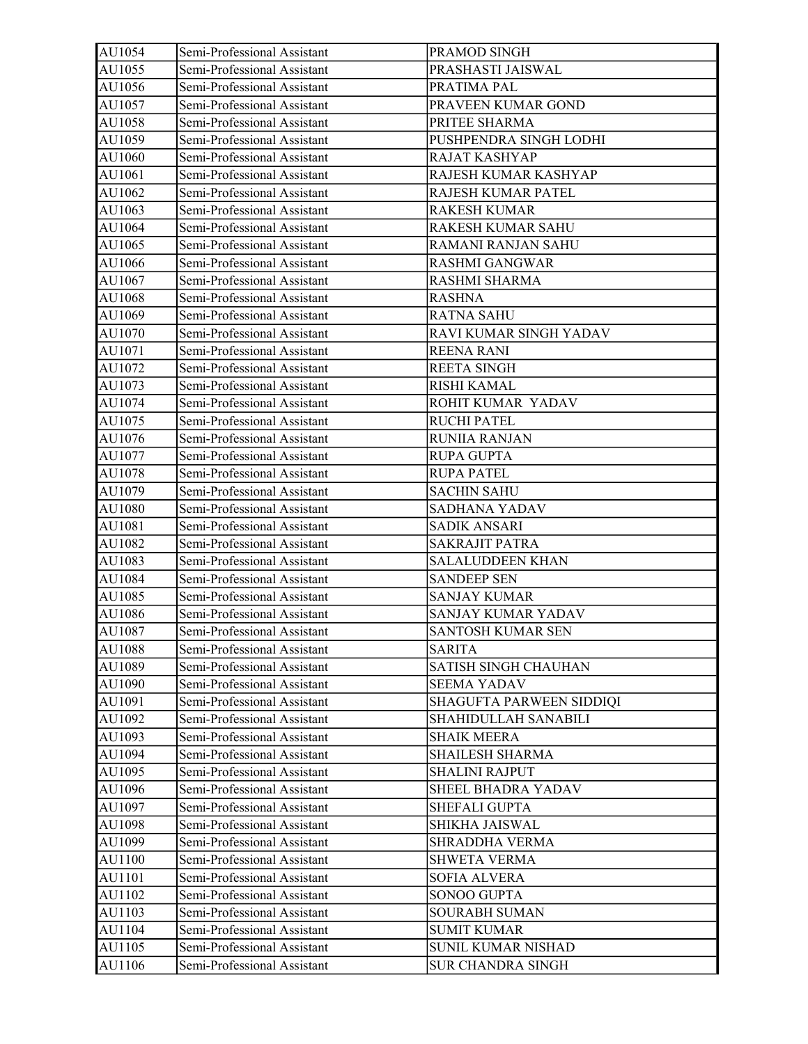| AU1054 | Semi-Professional Assistant | PRAMOD SINGH             |
|--------|-----------------------------|--------------------------|
| AU1055 | Semi-Professional Assistant | PRASHASTI JAISWAL        |
| AU1056 | Semi-Professional Assistant | PRATIMA PAL              |
| AU1057 | Semi-Professional Assistant | PRAVEEN KUMAR GOND       |
| AU1058 | Semi-Professional Assistant | PRITEE SHARMA            |
| AU1059 | Semi-Professional Assistant | PUSHPENDRA SINGH LODHI   |
| AU1060 | Semi-Professional Assistant | RAJAT KASHYAP            |
| AU1061 | Semi-Professional Assistant | RAJESH KUMAR KASHYAP     |
| AU1062 | Semi-Professional Assistant | RAJESH KUMAR PATEL       |
| AU1063 | Semi-Professional Assistant | <b>RAKESH KUMAR</b>      |
| AU1064 | Semi-Professional Assistant | <b>RAKESH KUMAR SAHU</b> |
| AU1065 | Semi-Professional Assistant | RAMANI RANJAN SAHU       |
| AU1066 | Semi-Professional Assistant | <b>RASHMI GANGWAR</b>    |
| AU1067 | Semi-Professional Assistant | RASHMI SHARMA            |
| AU1068 | Semi-Professional Assistant | <b>RASHNA</b>            |
| AU1069 | Semi-Professional Assistant | <b>RATNA SAHU</b>        |
| AU1070 | Semi-Professional Assistant | RAVI KUMAR SINGH YADAV   |
| AU1071 | Semi-Professional Assistant | <b>REENA RANI</b>        |
| AU1072 | Semi-Professional Assistant | <b>REETA SINGH</b>       |
| AU1073 | Semi-Professional Assistant | RISHI KAMAL              |
| AU1074 | Semi-Professional Assistant | ROHIT KUMAR YADAV        |
| AU1075 | Semi-Professional Assistant | <b>RUCHI PATEL</b>       |
| AU1076 | Semi-Professional Assistant | <b>RUNIIA RANJAN</b>     |
| AU1077 | Semi-Professional Assistant | <b>RUPA GUPTA</b>        |
| AU1078 | Semi-Professional Assistant | <b>RUPA PATEL</b>        |
| AU1079 | Semi-Professional Assistant | <b>SACHIN SAHU</b>       |
| AU1080 | Semi-Professional Assistant | SADHANA YADAV            |
| AU1081 | Semi-Professional Assistant | <b>SADIK ANSARI</b>      |
| AU1082 | Semi-Professional Assistant | <b>SAKRAJIT PATRA</b>    |
| AU1083 | Semi-Professional Assistant | <b>SALALUDDEEN KHAN</b>  |
| AU1084 | Semi-Professional Assistant | <b>SANDEEP SEN</b>       |
| AU1085 | Semi-Professional Assistant | <b>SANJAY KUMAR</b>      |
| AU1086 | Semi-Professional Assistant | SANJAY KUMAR YADAV       |
| AU1087 | Semi-Professional Assistant | SANTOSH KUMAR SEN        |
| AU1088 | Semi-Professional Assistant | <b>SARITA</b>            |
| AU1089 | Semi-Professional Assistant | SATISH SINGH CHAUHAN     |
| AU1090 | Semi-Professional Assistant | <b>SEEMA YADAV</b>       |
| AU1091 | Semi-Professional Assistant | SHAGUFTA PARWEEN SIDDIQI |
| AU1092 | Semi-Professional Assistant | SHAHIDULLAH SANABILI     |
| AU1093 | Semi-Professional Assistant | <b>SHAIK MEERA</b>       |
| AU1094 | Semi-Professional Assistant | <b>SHAILESH SHARMA</b>   |
| AU1095 | Semi-Professional Assistant | <b>SHALINI RAJPUT</b>    |
| AU1096 | Semi-Professional Assistant | SHEEL BHADRA YADAV       |
| AU1097 | Semi-Professional Assistant | SHEFALI GUPTA            |
| AU1098 | Semi-Professional Assistant | SHIKHA JAISWAL           |
| AU1099 | Semi-Professional Assistant | <b>SHRADDHA VERMA</b>    |
| AU1100 | Semi-Professional Assistant | SHWETA VERMA             |
| AU1101 | Semi-Professional Assistant | SOFIA ALVERA             |
| AU1102 | Semi-Professional Assistant | SONOO GUPTA              |
| AU1103 | Semi-Professional Assistant | <b>SOURABH SUMAN</b>     |
| AU1104 | Semi-Professional Assistant | <b>SUMIT KUMAR</b>       |
| AU1105 | Semi-Professional Assistant | SUNIL KUMAR NISHAD       |
| AU1106 | Semi-Professional Assistant | SUR CHANDRA SINGH        |
|        |                             |                          |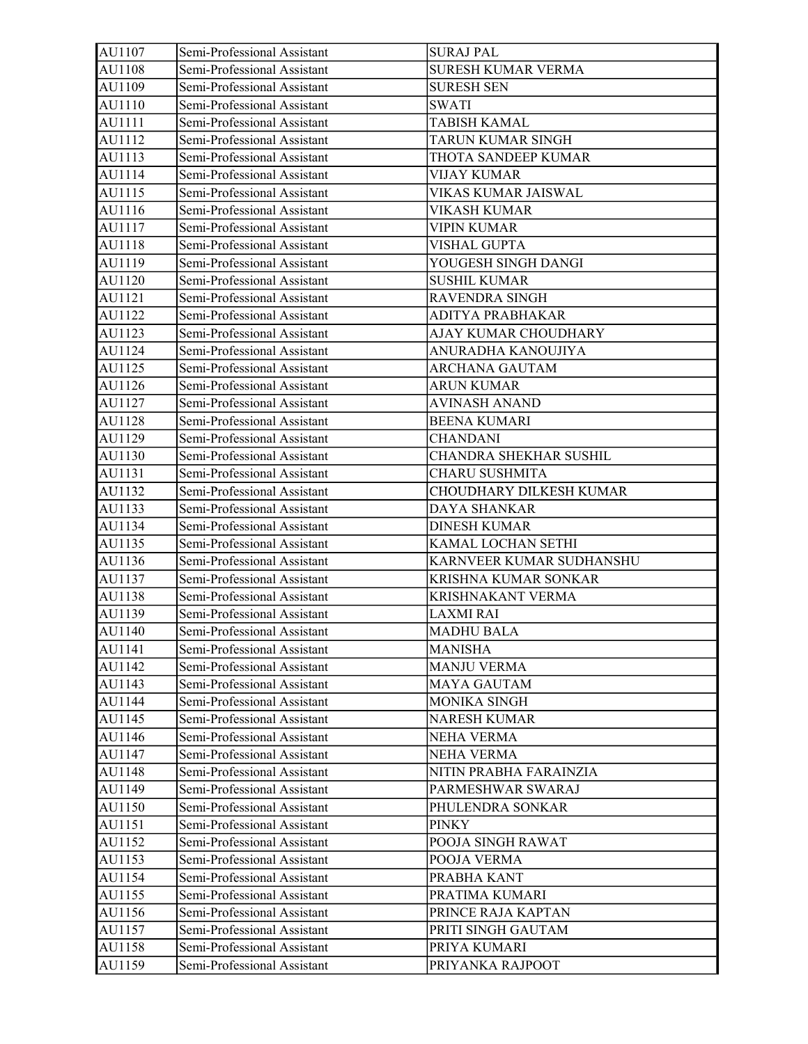| AU1107 | Semi-Professional Assistant | <b>SURAJ PAL</b>          |
|--------|-----------------------------|---------------------------|
| AU1108 | Semi-Professional Assistant | <b>SURESH KUMAR VERMA</b> |
| AU1109 | Semi-Professional Assistant | <b>SURESH SEN</b>         |
| AU1110 | Semi-Professional Assistant | <b>SWATI</b>              |
| AU1111 | Semi-Professional Assistant | TABISH KAMAL              |
| AU1112 | Semi-Professional Assistant | TARUN KUMAR SINGH         |
| AU1113 | Semi-Professional Assistant | THOTA SANDEEP KUMAR       |
| AU1114 | Semi-Professional Assistant | <b>VIJAY KUMAR</b>        |
| AU1115 | Semi-Professional Assistant | VIKAS KUMAR JAISWAL       |
| AU1116 | Semi-Professional Assistant | <b>VIKASH KUMAR</b>       |
| AU1117 | Semi-Professional Assistant | VIPIN KUMAR               |
| AU1118 | Semi-Professional Assistant | <b>VISHAL GUPTA</b>       |
| AU1119 | Semi-Professional Assistant | YOUGESH SINGH DANGI       |
| AU1120 | Semi-Professional Assistant | <b>SUSHIL KUMAR</b>       |
| AU1121 | Semi-Professional Assistant | RAVENDRA SINGH            |
| AU1122 | Semi-Professional Assistant | ADITYA PRABHAKAR          |
| AU1123 | Semi-Professional Assistant | AJAY KUMAR CHOUDHARY      |
| AU1124 | Semi-Professional Assistant | ANURADHA KANOUJIYA        |
| AU1125 | Semi-Professional Assistant | <b>ARCHANA GAUTAM</b>     |
| AU1126 | Semi-Professional Assistant | ARUN KUMAR                |
| AU1127 | Semi-Professional Assistant | <b>AVINASH ANAND</b>      |
| AU1128 | Semi-Professional Assistant | <b>BEENA KUMARI</b>       |
| AU1129 | Semi-Professional Assistant | <b>CHANDANI</b>           |
| AU1130 | Semi-Professional Assistant | CHANDRA SHEKHAR SUSHIL    |
| AU1131 | Semi-Professional Assistant | <b>CHARU SUSHMITA</b>     |
| AU1132 | Semi-Professional Assistant | CHOUDHARY DILKESH KUMAR   |
| AU1133 | Semi-Professional Assistant | DAYA SHANKAR              |
| AU1134 | Semi-Professional Assistant | <b>DINESH KUMAR</b>       |
| AU1135 | Semi-Professional Assistant | KAMAL LOCHAN SETHI        |
| AU1136 | Semi-Professional Assistant | KARNVEER KUMAR SUDHANSHU  |
| AU1137 | Semi-Professional Assistant | KRISHNA KUMAR SONKAR      |
| AU1138 | Semi-Professional Assistant | KRISHNAKANT VERMA         |
| AU1139 | Semi-Professional Assistant | <b>LAXMI RAI</b>          |
| AU1140 | Semi-Professional Assistant | <b>MADHU BALA</b>         |
| AU1141 | Semi-Professional Assistant | <b>MANISHA</b>            |
| AU1142 | Semi-Professional Assistant | <b>MANJU VERMA</b>        |
| AU1143 | Semi-Professional Assistant | <b>MAYA GAUTAM</b>        |
| AU1144 | Semi-Professional Assistant | MONIKA SINGH              |
| AU1145 | Semi-Professional Assistant | NARESH KUMAR              |
| AU1146 | Semi-Professional Assistant | NEHA VERMA                |
| AU1147 | Semi-Professional Assistant | NEHA VERMA                |
| AU1148 | Semi-Professional Assistant | NITIN PRABHA FARAINZIA    |
| AU1149 | Semi-Professional Assistant | PARMESHWAR SWARAJ         |
| AU1150 | Semi-Professional Assistant | PHULENDRA SONKAR          |
| AU1151 | Semi-Professional Assistant | <b>PINKY</b>              |
| AU1152 | Semi-Professional Assistant | POOJA SINGH RAWAT         |
| AU1153 | Semi-Professional Assistant | POOJA VERMA               |
| AU1154 | Semi-Professional Assistant | PRABHA KANT               |
| AU1155 | Semi-Professional Assistant | PRATIMA KUMARI            |
| AU1156 | Semi-Professional Assistant | PRINCE RAJA KAPTAN        |
| AU1157 | Semi-Professional Assistant | PRITI SINGH GAUTAM        |
| AU1158 | Semi-Professional Assistant | PRIYA KUMARI              |
| AU1159 | Semi-Professional Assistant | PRIYANKA RAJPOOT          |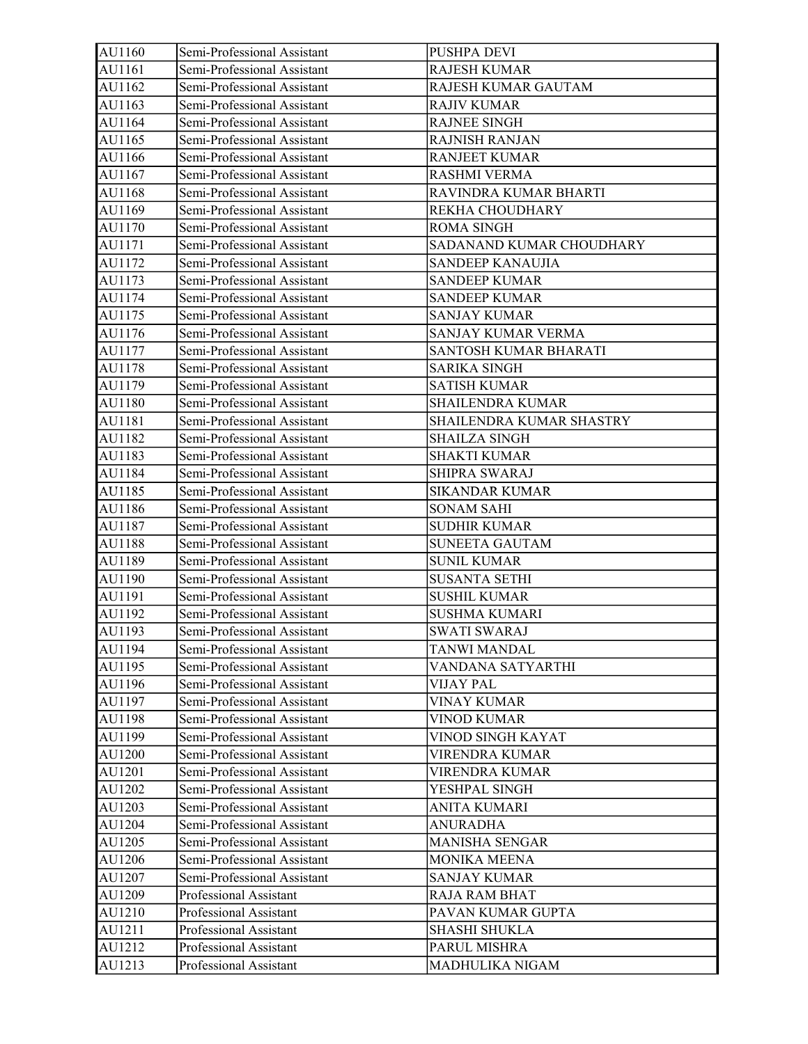| AU1160 | Semi-Professional Assistant | <b>PUSHPA DEVI</b>       |
|--------|-----------------------------|--------------------------|
| AU1161 | Semi-Professional Assistant | <b>RAJESH KUMAR</b>      |
| AU1162 | Semi-Professional Assistant | RAJESH KUMAR GAUTAM      |
| AU1163 | Semi-Professional Assistant | <b>RAJIV KUMAR</b>       |
| AU1164 | Semi-Professional Assistant | <b>RAJNEE SINGH</b>      |
| AU1165 | Semi-Professional Assistant | <b>RAJNISH RANJAN</b>    |
| AU1166 | Semi-Professional Assistant | <b>RANJEET KUMAR</b>     |
| AU1167 | Semi-Professional Assistant | <b>RASHMI VERMA</b>      |
| AU1168 | Semi-Professional Assistant | RAVINDRA KUMAR BHARTI    |
| AU1169 | Semi-Professional Assistant | REKHA CHOUDHARY          |
| AU1170 | Semi-Professional Assistant | <b>ROMA SINGH</b>        |
| AU1171 | Semi-Professional Assistant | SADANAND KUMAR CHOUDHARY |
| AU1172 | Semi-Professional Assistant | <b>SANDEEP KANAUJIA</b>  |
| AU1173 | Semi-Professional Assistant | <b>SANDEEP KUMAR</b>     |
| AU1174 | Semi-Professional Assistant | <b>SANDEEP KUMAR</b>     |
| AU1175 | Semi-Professional Assistant | <b>SANJAY KUMAR</b>      |
| AU1176 | Semi-Professional Assistant | SANJAY KUMAR VERMA       |
| AU1177 | Semi-Professional Assistant | SANTOSH KUMAR BHARATI    |
| AU1178 | Semi-Professional Assistant | <b>SARIKA SINGH</b>      |
| AU1179 | Semi-Professional Assistant | <b>SATISH KUMAR</b>      |
| AU1180 | Semi-Professional Assistant | <b>SHAILENDRA KUMAR</b>  |
| AU1181 | Semi-Professional Assistant | SHAILENDRA KUMAR SHASTRY |
| AU1182 | Semi-Professional Assistant | <b>SHAILZA SINGH</b>     |
| AU1183 | Semi-Professional Assistant | <b>SHAKTI KUMAR</b>      |
| AU1184 | Semi-Professional Assistant | SHIPRA SWARAJ            |
| AU1185 | Semi-Professional Assistant | <b>SIKANDAR KUMAR</b>    |
| AU1186 | Semi-Professional Assistant | <b>SONAM SAHI</b>        |
| AU1187 | Semi-Professional Assistant | <b>SUDHIR KUMAR</b>      |
| AU1188 | Semi-Professional Assistant | <b>SUNEETA GAUTAM</b>    |
| AU1189 | Semi-Professional Assistant | <b>SUNIL KUMAR</b>       |
| AU1190 | Semi-Professional Assistant | <b>SUSANTA SETHI</b>     |
| AU1191 | Semi-Professional Assistant | <b>SUSHIL KUMAR</b>      |
| AU1192 | Semi-Professional Assistant | <b>SUSHMA KUMARI</b>     |
| AU1193 | Semi-Professional Assistant | <b>SWATI SWARAJ</b>      |
| AU1194 | Semi-Professional Assistant | TANWI MANDAL             |
| AU1195 | Semi-Professional Assistant | VANDANA SATYARTHI        |
| AU1196 | Semi-Professional Assistant | VIJAY PAL                |
| AU1197 | Semi-Professional Assistant | VINAY KUMAR              |
| AU1198 | Semi-Professional Assistant | <b>VINOD KUMAR</b>       |
| AU1199 | Semi-Professional Assistant | VINOD SINGH KAYAT        |
| AU1200 | Semi-Professional Assistant | VIRENDRA KUMAR           |
| AU1201 | Semi-Professional Assistant | VIRENDRA KUMAR           |
| AU1202 | Semi-Professional Assistant | YESHPAL SINGH            |
| AU1203 | Semi-Professional Assistant | <b>ANITA KUMARI</b>      |
| AU1204 | Semi-Professional Assistant | <b>ANURADHA</b>          |
| AU1205 | Semi-Professional Assistant | MANISHA SENGAR           |
| AU1206 | Semi-Professional Assistant | MONIKA MEENA             |
| AU1207 | Semi-Professional Assistant | SANJAY KUMAR             |
| AU1209 | Professional Assistant      | <b>RAJA RAM BHAT</b>     |
| AU1210 | Professional Assistant      | PAVAN KUMAR GUPTA        |
| AU1211 | Professional Assistant      | SHASHI SHUKLA            |
| AU1212 | Professional Assistant      | PARUL MISHRA             |
| AU1213 | Professional Assistant      | MADHULIKA NIGAM          |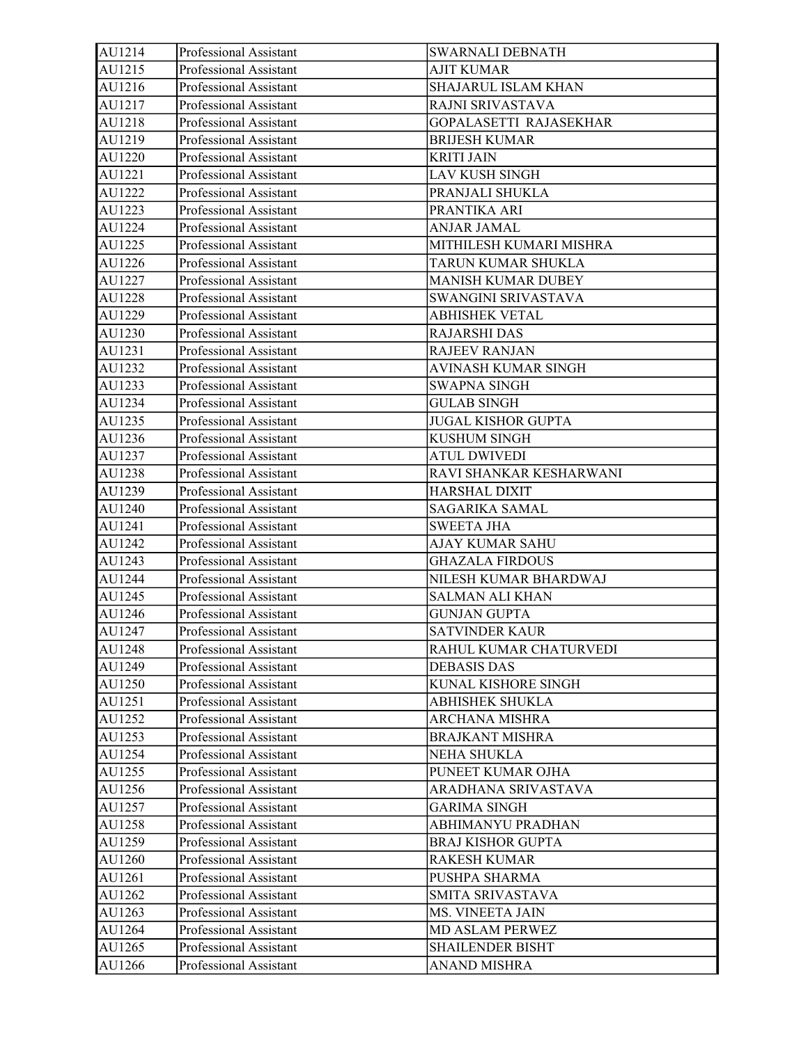| AU1214 | Professional Assistant | SWARNALI DEBNATH          |
|--------|------------------------|---------------------------|
| AU1215 | Professional Assistant | <b>AJIT KUMAR</b>         |
| AU1216 | Professional Assistant | SHAJARUL ISLAM KHAN       |
| AU1217 | Professional Assistant | RAJNI SRIVASTAVA          |
| AU1218 | Professional Assistant | GOPALASETTI RAJASEKHAR    |
| AU1219 | Professional Assistant | <b>BRIJESH KUMAR</b>      |
| AU1220 | Professional Assistant | <b>KRITI JAIN</b>         |
| AU1221 | Professional Assistant | <b>LAV KUSH SINGH</b>     |
| AU1222 | Professional Assistant | PRANJALI SHUKLA           |
| AU1223 | Professional Assistant | PRANTIKA ARI              |
| AU1224 | Professional Assistant | ANJAR JAMAL               |
| AU1225 | Professional Assistant | MITHILESH KUMARI MISHRA   |
| AU1226 | Professional Assistant | TARUN KUMAR SHUKLA        |
| AU1227 | Professional Assistant | MANISH KUMAR DUBEY        |
| AU1228 | Professional Assistant | SWANGINI SRIVASTAVA       |
| AU1229 | Professional Assistant | <b>ABHISHEK VETAL</b>     |
| AU1230 | Professional Assistant | <b>RAJARSHI DAS</b>       |
| AU1231 | Professional Assistant | <b>RAJEEV RANJAN</b>      |
| AU1232 | Professional Assistant | AVINASH KUMAR SINGH       |
| AU1233 | Professional Assistant | SWAPNA SINGH              |
| AU1234 | Professional Assistant | <b>GULAB SINGH</b>        |
| AU1235 | Professional Assistant | <b>JUGAL KISHOR GUPTA</b> |
| AU1236 | Professional Assistant | <b>KUSHUM SINGH</b>       |
| AU1237 | Professional Assistant | <b>ATUL DWIVEDI</b>       |
| AU1238 | Professional Assistant | RAVI SHANKAR KESHARWANI   |
| AU1239 | Professional Assistant | HARSHAL DIXIT             |
| AU1240 | Professional Assistant | SAGARIKA SAMAL            |
| AU1241 | Professional Assistant | <b>SWEETA JHA</b>         |
| AU1242 | Professional Assistant | AJAY KUMAR SAHU           |
| AU1243 | Professional Assistant | <b>GHAZALA FIRDOUS</b>    |
| AU1244 | Professional Assistant | NILESH KUMAR BHARDWAJ     |
| AU1245 | Professional Assistant | <b>SALMAN ALI KHAN</b>    |
| AU1246 | Professional Assistant | <b>GUNJAN GUPTA</b>       |
| AU1247 | Professional Assistant | <b>SATVINDER KAUR</b>     |
| AU1248 | Professional Assistant | RAHUL KUMAR CHATURVEDI    |
| AU1249 | Professional Assistant | <b>DEBASIS DAS</b>        |
| AU1250 | Professional Assistant | KUNAL KISHORE SINGH       |
| AU1251 | Professional Assistant | <b>ABHISHEK SHUKLA</b>    |
| AU1252 | Professional Assistant | <b>ARCHANA MISHRA</b>     |
| AU1253 | Professional Assistant | <b>BRAJKANT MISHRA</b>    |
| AU1254 | Professional Assistant | NEHA SHUKLA               |
| AU1255 | Professional Assistant | PUNEET KUMAR OJHA         |
| AU1256 | Professional Assistant | ARADHANA SRIVASTAVA       |
| AU1257 | Professional Assistant | <b>GARIMA SINGH</b>       |
| AU1258 | Professional Assistant | ABHIMANYU PRADHAN         |
| AU1259 | Professional Assistant | <b>BRAJ KISHOR GUPTA</b>  |
| AU1260 | Professional Assistant | <b>RAKESH KUMAR</b>       |
| AU1261 | Professional Assistant | PUSHPA SHARMA             |
| AU1262 | Professional Assistant | SMITA SRIVASTAVA          |
| AU1263 | Professional Assistant | MS. VINEETA JAIN          |
| AU1264 | Professional Assistant | <b>MD ASLAM PERWEZ</b>    |
| AU1265 | Professional Assistant | SHAILENDER BISHT          |
| AU1266 | Professional Assistant | <b>ANAND MISHRA</b>       |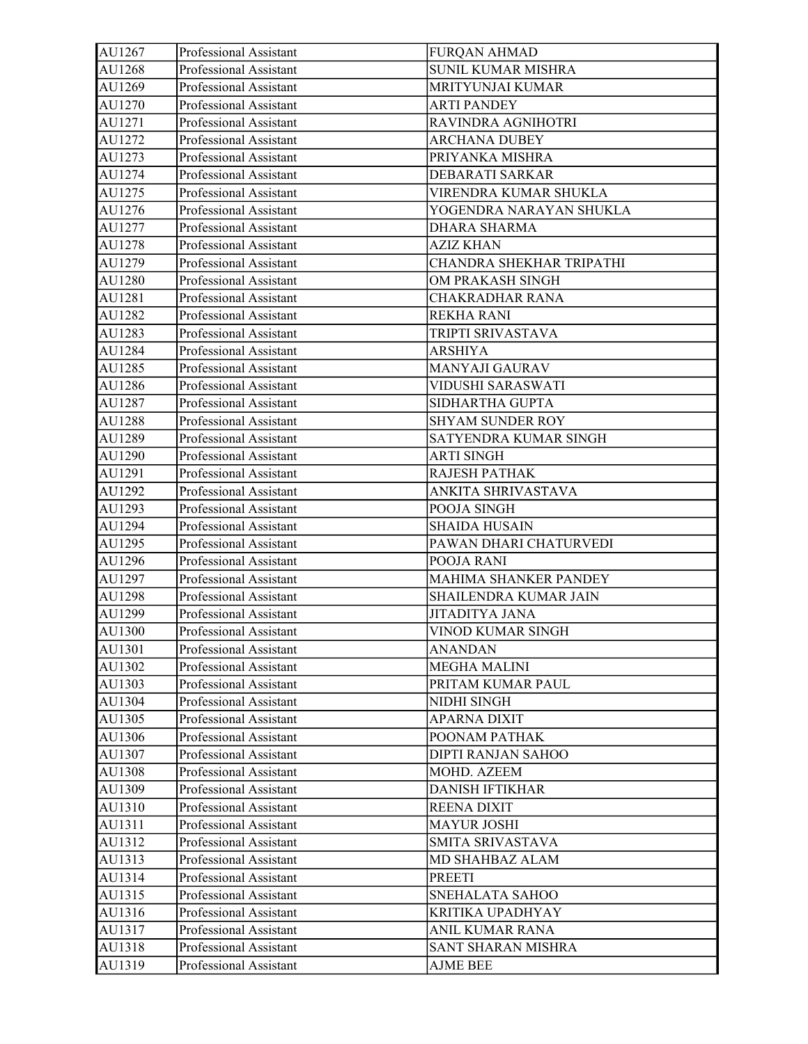| AU1267 | Professional Assistant | <b>FURQAN AHMAD</b>       |
|--------|------------------------|---------------------------|
| AU1268 | Professional Assistant | <b>SUNIL KUMAR MISHRA</b> |
| AU1269 | Professional Assistant | MRITYUNJAI KUMAR          |
| AU1270 | Professional Assistant | <b>ARTI PANDEY</b>        |
| AU1271 | Professional Assistant | RAVINDRA AGNIHOTRI        |
| AU1272 | Professional Assistant | <b>ARCHANA DUBEY</b>      |
| AU1273 | Professional Assistant | PRIYANKA MISHRA           |
| AU1274 | Professional Assistant | DEBARATI SARKAR           |
| AU1275 | Professional Assistant | VIRENDRA KUMAR SHUKLA     |
| AU1276 | Professional Assistant | YOGENDRA NARAYAN SHUKLA   |
| AU1277 | Professional Assistant | DHARA SHARMA              |
| AU1278 | Professional Assistant | <b>AZIZ KHAN</b>          |
| AU1279 | Professional Assistant | CHANDRA SHEKHAR TRIPATHI  |
| AU1280 | Professional Assistant | OM PRAKASH SINGH          |
| AU1281 | Professional Assistant | CHAKRADHAR RANA           |
| AU1282 | Professional Assistant | <b>REKHA RANI</b>         |
| AU1283 | Professional Assistant | TRIPTI SRIVASTAVA         |
| AU1284 | Professional Assistant | <b>ARSHIYA</b>            |
| AU1285 | Professional Assistant | MANYAJI GAURAV            |
| AU1286 | Professional Assistant | VIDUSHI SARASWATI         |
| AU1287 | Professional Assistant | SIDHARTHA GUPTA           |
| AU1288 | Professional Assistant | SHYAM SUNDER ROY          |
| AU1289 | Professional Assistant | SATYENDRA KUMAR SINGH     |
| AU1290 | Professional Assistant | <b>ARTI SINGH</b>         |
| AU1291 | Professional Assistant | RAJESH PATHAK             |
| AU1292 | Professional Assistant | ANKITA SHRIVASTAVA        |
| AU1293 | Professional Assistant | POOJA SINGH               |
| AU1294 | Professional Assistant | <b>SHAIDA HUSAIN</b>      |
| AU1295 | Professional Assistant | PAWAN DHARI CHATURVEDI    |
| AU1296 | Professional Assistant | POOJA RANI                |
| AU1297 | Professional Assistant | MAHIMA SHANKER PANDEY     |
| AU1298 | Professional Assistant | SHAILENDRA KUMAR JAIN     |
| AU1299 | Professional Assistant | <b>JITADITYA JANA</b>     |
| AU1300 | Professional Assistant | VINOD KUMAR SINGH         |
| AU1301 | Professional Assistant | ANANDAN                   |
| AU1302 | Professional Assistant | <b>MEGHA MALINI</b>       |
| AU1303 | Professional Assistant | PRITAM KUMAR PAUL         |
| AU1304 | Professional Assistant | NIDHI SINGH               |
| AU1305 | Professional Assistant | <b>APARNA DIXIT</b>       |
| AU1306 | Professional Assistant | POONAM PATHAK             |
| AU1307 | Professional Assistant | DIPTI RANJAN SAHOO        |
| AU1308 | Professional Assistant | MOHD. AZEEM               |
| AU1309 | Professional Assistant | <b>DANISH IFTIKHAR</b>    |
| AU1310 | Professional Assistant | <b>REENA DIXIT</b>        |
| AU1311 | Professional Assistant | <b>MAYUR JOSHI</b>        |
| AU1312 | Professional Assistant | SMITA SRIVASTAVA          |
| AU1313 | Professional Assistant | MD SHAHBAZ ALAM           |
| AU1314 | Professional Assistant | <b>PREETI</b>             |
| AU1315 | Professional Assistant | SNEHALATA SAHOO           |
| AU1316 | Professional Assistant | KRITIKA UPADHYAY          |
| AU1317 | Professional Assistant | ANIL KUMAR RANA           |
| AU1318 | Professional Assistant | SANT SHARAN MISHRA        |
| AU1319 | Professional Assistant | <b>AJME BEE</b>           |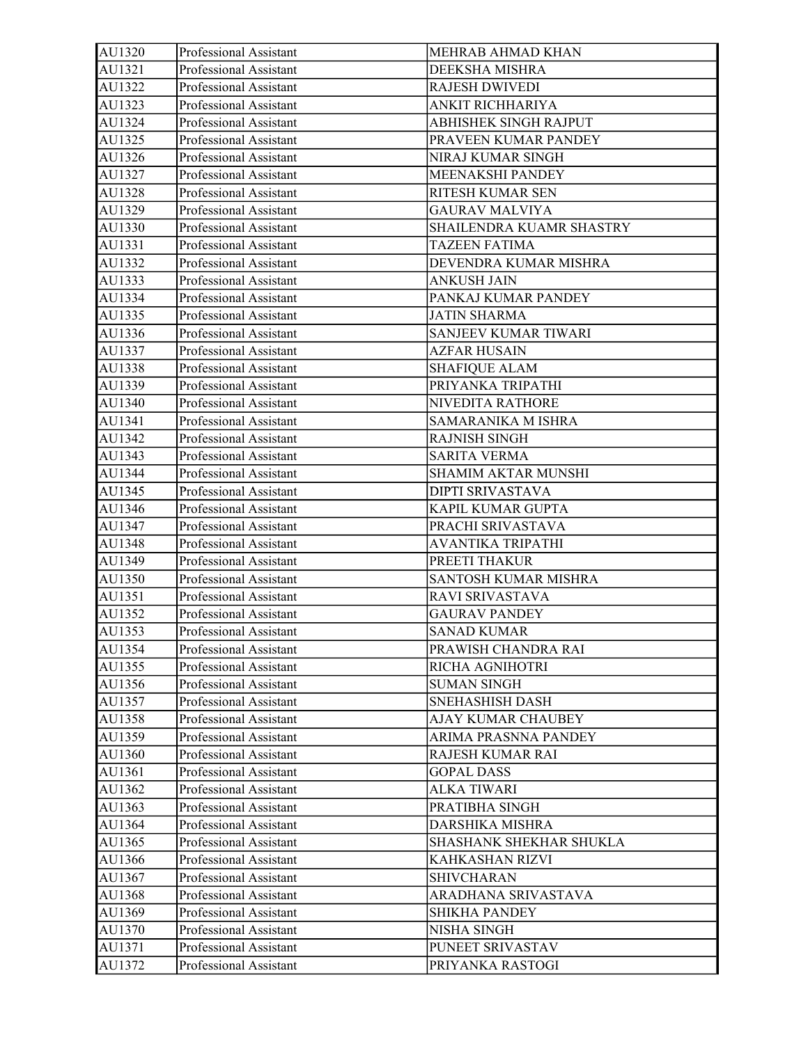| AU1320 | Professional Assistant | MEHRAB AHMAD KHAN        |
|--------|------------------------|--------------------------|
| AU1321 | Professional Assistant | DEEKSHA MISHRA           |
| AU1322 | Professional Assistant | <b>RAJESH DWIVEDI</b>    |
| AU1323 | Professional Assistant | ANKIT RICHHARIYA         |
| AU1324 | Professional Assistant | ABHISHEK SINGH RAJPUT    |
| AU1325 | Professional Assistant | PRAVEEN KUMAR PANDEY     |
| AU1326 | Professional Assistant | NIRAJ KUMAR SINGH        |
| AU1327 | Professional Assistant | MEENAKSHI PANDEY         |
| AU1328 | Professional Assistant | RITESH KUMAR SEN         |
| AU1329 | Professional Assistant | <b>GAURAV MALVIYA</b>    |
| AU1330 | Professional Assistant | SHAILENDRA KUAMR SHASTRY |
| AU1331 | Professional Assistant | <b>TAZEEN FATIMA</b>     |
| AU1332 | Professional Assistant | DEVENDRA KUMAR MISHRA    |
| AU1333 | Professional Assistant | <b>ANKUSH JAIN</b>       |
| AU1334 | Professional Assistant | PANKAJ KUMAR PANDEY      |
| AU1335 | Professional Assistant | <b>JATIN SHARMA</b>      |
| AU1336 | Professional Assistant | SANJEEV KUMAR TIWARI     |
| AU1337 | Professional Assistant | <b>AZFAR HUSAIN</b>      |
| AU1338 | Professional Assistant | <b>SHAFIQUE ALAM</b>     |
| AU1339 | Professional Assistant | PRIYANKA TRIPATHI        |
| AU1340 | Professional Assistant | NIVEDITA RATHORE         |
| AU1341 | Professional Assistant | SAMARANIKA M ISHRA       |
| AU1342 | Professional Assistant | <b>RAJNISH SINGH</b>     |
| AU1343 | Professional Assistant | <b>SARITA VERMA</b>      |
| AU1344 | Professional Assistant | SHAMIM AKTAR MUNSHI      |
| AU1345 | Professional Assistant | DIPTI SRIVASTAVA         |
| AU1346 | Professional Assistant | KAPIL KUMAR GUPTA        |
| AU1347 | Professional Assistant | PRACHI SRIVASTAVA        |
| AU1348 | Professional Assistant | AVANTIKA TRIPATHI        |
| AU1349 | Professional Assistant | PREETI THAKUR            |
| AU1350 | Professional Assistant | SANTOSH KUMAR MISHRA     |
| AU1351 | Professional Assistant | RAVI SRIVASTAVA          |
| AU1352 | Professional Assistant | <b>GAURAV PANDEY</b>     |
| AU1353 | Professional Assistant | <b>SANAD KUMAR</b>       |
| AU1354 | Professional Assistant | PRAWISH CHANDRA RAI      |
| AU1355 | Professional Assistant | RICHA AGNIHOTRI          |
| AU1356 | Professional Assistant | <b>SUMAN SINGH</b>       |
| AU1357 | Professional Assistant | SNEHASHISH DASH          |
| AU1358 | Professional Assistant | AJAY KUMAR CHAUBEY       |
| AU1359 | Professional Assistant | ARIMA PRASNNA PANDEY     |
| AU1360 | Professional Assistant | RAJESH KUMAR RAI         |
| AU1361 | Professional Assistant | <b>GOPAL DASS</b>        |
| AU1362 | Professional Assistant | <b>ALKA TIWARI</b>       |
| AU1363 | Professional Assistant | PRATIBHA SINGH           |
| AU1364 | Professional Assistant | DARSHIKA MISHRA          |
| AU1365 | Professional Assistant | SHASHANK SHEKHAR SHUKLA  |
| AU1366 | Professional Assistant | KAHKASHAN RIZVI          |
| AU1367 | Professional Assistant | <b>SHIVCHARAN</b>        |
| AU1368 | Professional Assistant | ARADHANA SRIVASTAVA      |
| AU1369 | Professional Assistant | <b>SHIKHA PANDEY</b>     |
| AU1370 | Professional Assistant | NISHA SINGH              |
| AU1371 | Professional Assistant | PUNEET SRIVASTAV         |
| AU1372 | Professional Assistant | PRIYANKA RASTOGI         |
|        |                        |                          |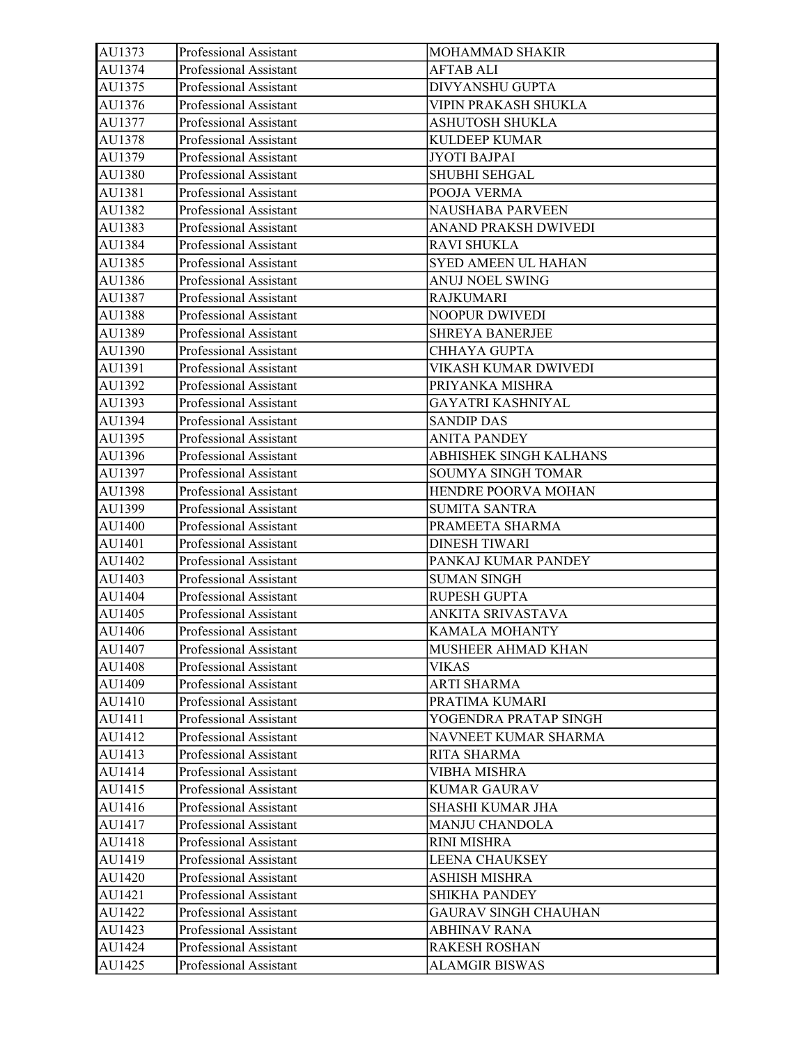| AU1373 | Professional Assistant | MOHAMMAD SHAKIR             |
|--------|------------------------|-----------------------------|
| AU1374 | Professional Assistant | <b>AFTAB ALI</b>            |
| AU1375 | Professional Assistant | DIVYANSHU GUPTA             |
| AU1376 | Professional Assistant | VIPIN PRAKASH SHUKLA        |
| AU1377 | Professional Assistant | <b>ASHUTOSH SHUKLA</b>      |
| AU1378 | Professional Assistant | <b>KULDEEP KUMAR</b>        |
| AU1379 | Professional Assistant | <b>JYOTI BAJPAI</b>         |
| AU1380 | Professional Assistant | SHUBHI SEHGAL               |
| AU1381 | Professional Assistant | POOJA VERMA                 |
| AU1382 | Professional Assistant | NAUSHABA PARVEEN            |
| AU1383 | Professional Assistant | ANAND PRAKSH DWIVEDI        |
| AU1384 | Professional Assistant | <b>RAVI SHUKLA</b>          |
| AU1385 | Professional Assistant | SYED AMEEN UL HAHAN         |
| AU1386 | Professional Assistant | ANUJ NOEL SWING             |
| AU1387 | Professional Assistant | <b>RAJKUMARI</b>            |
| AU1388 | Professional Assistant | <b>NOOPUR DWIVEDI</b>       |
| AU1389 | Professional Assistant | <b>SHREYA BANERJEE</b>      |
| AU1390 | Professional Assistant | <b>CHHAYA GUPTA</b>         |
| AU1391 | Professional Assistant | VIKASH KUMAR DWIVEDI        |
| AU1392 | Professional Assistant | PRIYANKA MISHRA             |
| AU1393 | Professional Assistant | <b>GAYATRI KASHNIYAL</b>    |
| AU1394 | Professional Assistant | <b>SANDIP DAS</b>           |
| AU1395 | Professional Assistant | <b>ANITA PANDEY</b>         |
| AU1396 | Professional Assistant | ABHISHEK SINGH KALHANS      |
| AU1397 | Professional Assistant | SOUMYA SINGH TOMAR          |
| AU1398 | Professional Assistant | HENDRE POORVA MOHAN         |
| AU1399 | Professional Assistant | <b>SUMITA SANTRA</b>        |
| AU1400 | Professional Assistant | PRAMEETA SHARMA             |
| AU1401 | Professional Assistant | <b>DINESH TIWARI</b>        |
| AU1402 | Professional Assistant | PANKAJ KUMAR PANDEY         |
| AU1403 | Professional Assistant | <b>SUMAN SINGH</b>          |
| AU1404 | Professional Assistant | RUPESH GUPTA                |
| AU1405 | Professional Assistant | ANKITA SRIVASTAVA           |
| AU1406 | Professional Assistant | <b>KAMALA MOHANTY</b>       |
| AU1407 | Professional Assistant | MUSHEER AHMAD KHAN          |
| AU1408 | Professional Assistant | <b>VIKAS</b>                |
| AU1409 | Professional Assistant | ARTI SHARMA                 |
| AU1410 | Professional Assistant | PRATIMA KUMARI              |
| AU1411 | Professional Assistant | YOGENDRA PRATAP SINGH       |
| AU1412 | Professional Assistant | NAVNEET KUMAR SHARMA        |
| AU1413 | Professional Assistant | RITA SHARMA                 |
| AU1414 | Professional Assistant | <b>VIBHA MISHRA</b>         |
| AU1415 | Professional Assistant | <b>KUMAR GAURAV</b>         |
| AU1416 | Professional Assistant | SHASHI KUMAR JHA            |
| AU1417 | Professional Assistant | <b>MANJU CHANDOLA</b>       |
| AU1418 | Professional Assistant | <b>RINI MISHRA</b>          |
| AU1419 | Professional Assistant | LEENA CHAUKSEY              |
| AU1420 | Professional Assistant | ASHISH MISHRA               |
| AU1421 | Professional Assistant | SHIKHA PANDEY               |
| AU1422 | Professional Assistant | <b>GAURAV SINGH CHAUHAN</b> |
| AU1423 | Professional Assistant | <b>ABHINAV RANA</b>         |
| AU1424 | Professional Assistant | <b>RAKESH ROSHAN</b>        |
| AU1425 | Professional Assistant | <b>ALAMGIR BISWAS</b>       |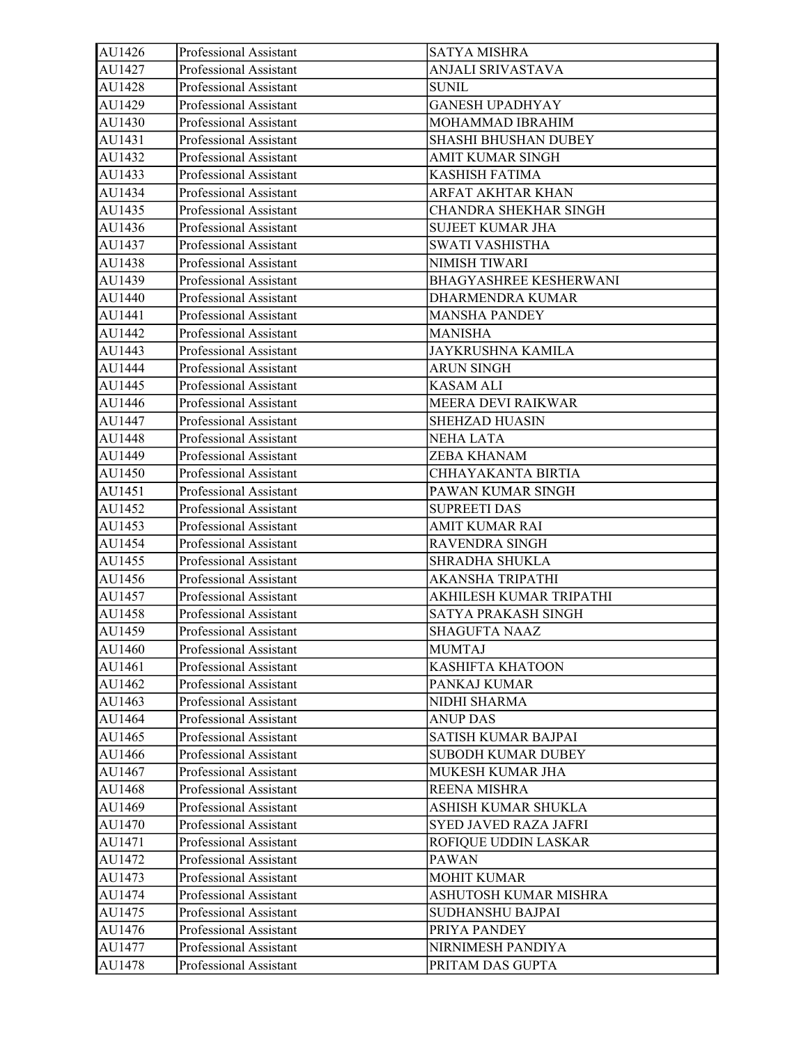| AU1426 | Professional Assistant | <b>SATYA MISHRA</b>           |
|--------|------------------------|-------------------------------|
| AU1427 | Professional Assistant | ANJALI SRIVASTAVA             |
| AU1428 | Professional Assistant | <b>SUNIL</b>                  |
| AU1429 | Professional Assistant | <b>GANESH UPADHYAY</b>        |
| AU1430 | Professional Assistant | MOHAMMAD IBRAHIM              |
| AU1431 | Professional Assistant | <b>SHASHI BHUSHAN DUBEY</b>   |
| AU1432 | Professional Assistant | <b>AMIT KUMAR SINGH</b>       |
| AU1433 | Professional Assistant | <b>KASHISH FATIMA</b>         |
| AU1434 | Professional Assistant | ARFAT AKHTAR KHAN             |
| AU1435 | Professional Assistant | CHANDRA SHEKHAR SINGH         |
| AU1436 | Professional Assistant | <b>SUJEET KUMAR JHA</b>       |
| AU1437 | Professional Assistant | SWATI VASHISTHA               |
| AU1438 | Professional Assistant | NIMISH TIWARI                 |
| AU1439 | Professional Assistant | <b>BHAGYASHREE KESHERWANI</b> |
| AU1440 | Professional Assistant | DHARMENDRA KUMAR              |
| AU1441 | Professional Assistant | <b>MANSHA PANDEY</b>          |
| AU1442 | Professional Assistant | <b>MANISHA</b>                |
| AU1443 | Professional Assistant | <b>JAYKRUSHNA KAMILA</b>      |
| AU1444 | Professional Assistant | <b>ARUN SINGH</b>             |
| AU1445 | Professional Assistant | KASAM ALI                     |
| AU1446 | Professional Assistant | MEERA DEVI RAIKWAR            |
| AU1447 | Professional Assistant | <b>SHEHZAD HUASIN</b>         |
| AU1448 | Professional Assistant | <b>NEHA LATA</b>              |
| AU1449 | Professional Assistant | ZEBA KHANAM                   |
| AU1450 | Professional Assistant | CHHAYAKANTA BIRTIA            |
| AU1451 | Professional Assistant | PAWAN KUMAR SINGH             |
| AU1452 | Professional Assistant | <b>SUPREETI DAS</b>           |
| AU1453 | Professional Assistant | AMIT KUMAR RAI                |
| AU1454 | Professional Assistant | <b>RAVENDRA SINGH</b>         |
| AU1455 | Professional Assistant | SHRADHA SHUKLA                |
| AU1456 | Professional Assistant | AKANSHA TRIPATHI              |
| AU1457 | Professional Assistant | AKHILESH KUMAR TRIPATHI       |
| AU1458 | Professional Assistant | SATYA PRAKASH SINGH           |
| AU1459 | Professional Assistant | <b>SHAGUFTA NAAZ</b>          |
| AU1460 | Professional Assistant | <b>MUMTAJ</b>                 |
| AU1461 | Professional Assistant | KASHIFTA KHATOON              |
| AU1462 | Professional Assistant | PANKAJ KUMAR                  |
| AU1463 | Professional Assistant | NIDHI SHARMA                  |
| AU1464 | Professional Assistant | <b>ANUP DAS</b>               |
| AU1465 | Professional Assistant | SATISH KUMAR BAJPAI           |
| AU1466 | Professional Assistant | <b>SUBODH KUMAR DUBEY</b>     |
| AU1467 | Professional Assistant | MUKESH KUMAR JHA              |
| AU1468 | Professional Assistant | REENA MISHRA                  |
| AU1469 | Professional Assistant | ASHISH KUMAR SHUKLA           |
| AU1470 | Professional Assistant | SYED JAVED RAZA JAFRI         |
| AU1471 | Professional Assistant | ROFIQUE UDDIN LASKAR          |
| AU1472 | Professional Assistant | PAWAN                         |
| AU1473 | Professional Assistant | <b>MOHIT KUMAR</b>            |
| AU1474 | Professional Assistant | ASHUTOSH KUMAR MISHRA         |
| AU1475 | Professional Assistant | SUDHANSHU BAJPAI              |
| AU1476 | Professional Assistant | PRIYA PANDEY                  |
| AU1477 | Professional Assistant | NIRNIMESH PANDIYA             |
| AU1478 | Professional Assistant | PRITAM DAS GUPTA              |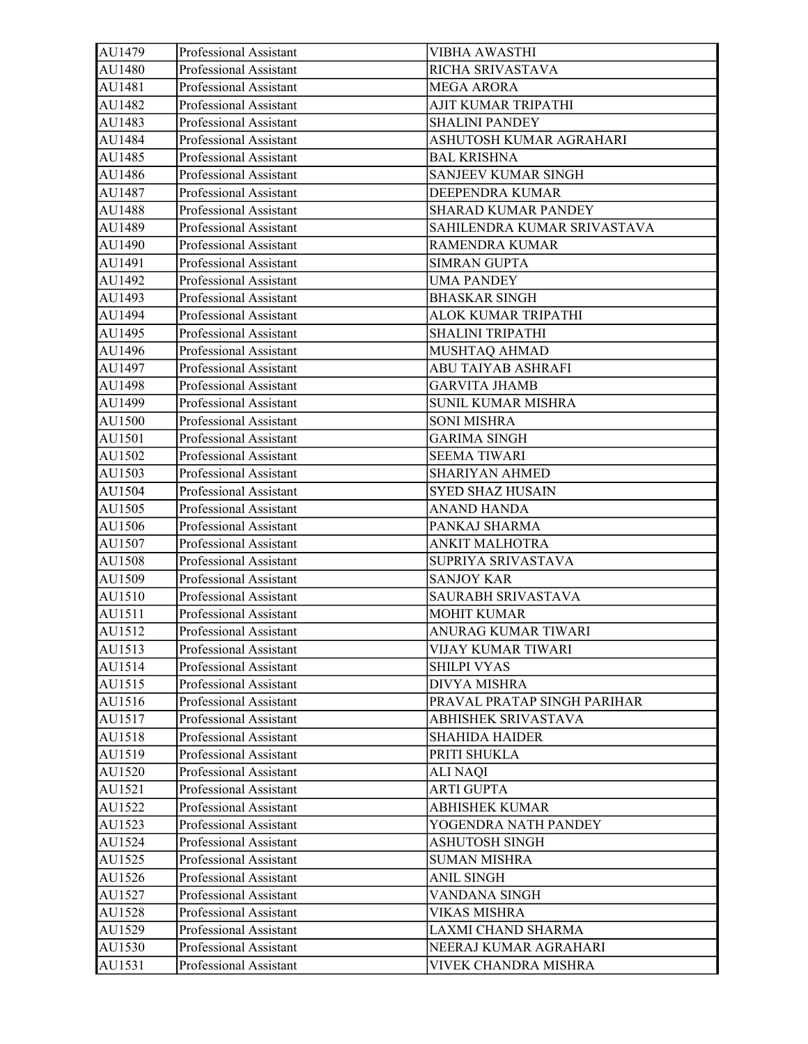| AU1479 | Professional Assistant | VIBHA AWASTHI               |
|--------|------------------------|-----------------------------|
| AU1480 | Professional Assistant | RICHA SRIVASTAVA            |
| AU1481 | Professional Assistant | <b>MEGA ARORA</b>           |
| AU1482 | Professional Assistant | AJIT KUMAR TRIPATHI         |
| AU1483 | Professional Assistant | <b>SHALINI PANDEY</b>       |
| AU1484 | Professional Assistant | ASHUTOSH KUMAR AGRAHARI     |
| AU1485 | Professional Assistant | <b>BAL KRISHNA</b>          |
| AU1486 | Professional Assistant | <b>SANJEEV KUMAR SINGH</b>  |
| AU1487 | Professional Assistant | DEEPENDRA KUMAR             |
| AU1488 | Professional Assistant | SHARAD KUMAR PANDEY         |
| AU1489 | Professional Assistant | SAHILENDRA KUMAR SRIVASTAVA |
| AU1490 | Professional Assistant | <b>RAMENDRA KUMAR</b>       |
| AU1491 | Professional Assistant | <b>SIMRAN GUPTA</b>         |
| AU1492 | Professional Assistant | <b>UMA PANDEY</b>           |
| AU1493 | Professional Assistant | <b>BHASKAR SINGH</b>        |
| AU1494 | Professional Assistant | ALOK KUMAR TRIPATHI         |
| AU1495 | Professional Assistant | SHALINI TRIPATHI            |
| AU1496 | Professional Assistant | MUSHTAQ AHMAD               |
| AU1497 | Professional Assistant | ABU TAIYAB ASHRAFI          |
| AU1498 | Professional Assistant | <b>GARVITA JHAMB</b>        |
| AU1499 | Professional Assistant | SUNIL KUMAR MISHRA          |
| AU1500 | Professional Assistant | <b>SONI MISHRA</b>          |
| AU1501 | Professional Assistant | <b>GARIMA SINGH</b>         |
| AU1502 | Professional Assistant | <b>SEEMA TIWARI</b>         |
| AU1503 | Professional Assistant | <b>SHARIYAN AHMED</b>       |
| AU1504 | Professional Assistant | <b>SYED SHAZ HUSAIN</b>     |
| AU1505 | Professional Assistant | ANAND HANDA                 |
| AU1506 | Professional Assistant | PANKAJ SHARMA               |
| AU1507 | Professional Assistant | ANKIT MALHOTRA              |
| AU1508 | Professional Assistant | SUPRIYA SRIVASTAVA          |
| AU1509 | Professional Assistant | <b>SANJOY KAR</b>           |
| AU1510 | Professional Assistant | SAURABH SRIVASTAVA          |
| AU1511 | Professional Assistant | <b>MOHIT KUMAR</b>          |
| AU1512 | Professional Assistant | ANURAG KUMAR TIWARI         |
| AU1513 | Professional Assistant | VIJAY KUMAR TIWARI          |
| AU1514 | Professional Assistant | <b>SHILPI VYAS</b>          |
| AU1515 | Professional Assistant | DIVYA MISHRA                |
| AU1516 | Professional Assistant | PRAVAL PRATAP SINGH PARIHAR |
| AU1517 | Professional Assistant | ABHISHEK SRIVASTAVA         |
| AU1518 | Professional Assistant | <b>SHAHIDA HAIDER</b>       |
| AU1519 | Professional Assistant | PRITI SHUKLA                |
| AU1520 | Professional Assistant | <b>ALI NAQI</b>             |
| AU1521 | Professional Assistant | <b>ARTI GUPTA</b>           |
| AU1522 | Professional Assistant | <b>ABHISHEK KUMAR</b>       |
| AU1523 | Professional Assistant | YOGENDRA NATH PANDEY        |
| AU1524 | Professional Assistant | <b>ASHUTOSH SINGH</b>       |
| AU1525 | Professional Assistant | <b>SUMAN MISHRA</b>         |
| AU1526 | Professional Assistant | <b>ANIL SINGH</b>           |
| AU1527 | Professional Assistant | VANDANA SINGH               |
| AU1528 | Professional Assistant | VIKAS MISHRA                |
| AU1529 | Professional Assistant | LAXMI CHAND SHARMA          |
| AU1530 | Professional Assistant | NEERAJ KUMAR AGRAHARI       |
| AU1531 | Professional Assistant | VIVEK CHANDRA MISHRA        |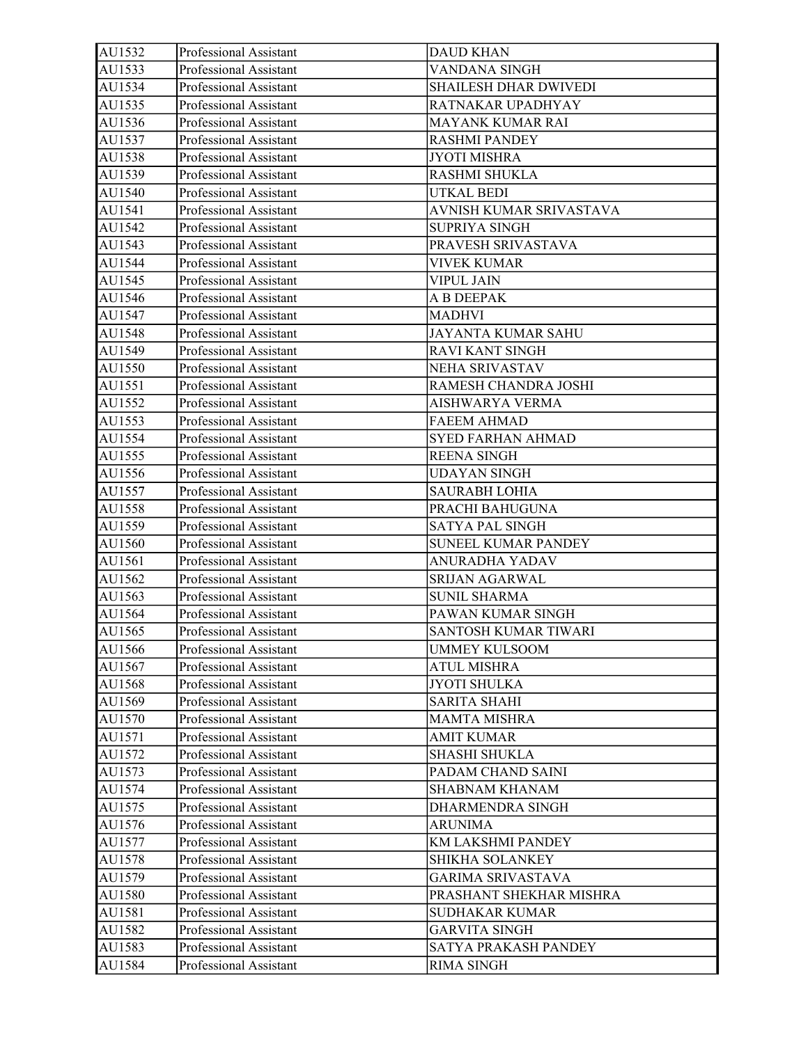| AU1532 | Professional Assistant | <b>DAUD KHAN</b>             |
|--------|------------------------|------------------------------|
| AU1533 | Professional Assistant | VANDANA SINGH                |
| AU1534 | Professional Assistant | <b>SHAILESH DHAR DWIVEDI</b> |
| AU1535 | Professional Assistant | RATNAKAR UPADHYAY            |
| AU1536 | Professional Assistant | MAYANK KUMAR RAI             |
| AU1537 | Professional Assistant | <b>RASHMI PANDEY</b>         |
| AU1538 | Professional Assistant | <b>JYOTI MISHRA</b>          |
| AU1539 | Professional Assistant | <b>RASHMI SHUKLA</b>         |
| AU1540 | Professional Assistant | UTKAL BEDI                   |
| AU1541 | Professional Assistant | AVNISH KUMAR SRIVASTAVA      |
| AU1542 | Professional Assistant | SUPRIYA SINGH                |
| AU1543 | Professional Assistant | PRAVESH SRIVASTAVA           |
| AU1544 | Professional Assistant | <b>VIVEK KUMAR</b>           |
| AU1545 | Professional Assistant | <b>VIPUL JAIN</b>            |
| AU1546 | Professional Assistant | A B DEEPAK                   |
| AU1547 | Professional Assistant | <b>MADHVI</b>                |
| AU1548 | Professional Assistant | JAYANTA KUMAR SAHU           |
| AU1549 | Professional Assistant | <b>RAVI KANT SINGH</b>       |
| AU1550 | Professional Assistant | NEHA SRIVASTAV               |
| AU1551 | Professional Assistant | RAMESH CHANDRA JOSHI         |
| AU1552 | Professional Assistant | AISHWARYA VERMA              |
| AU1553 | Professional Assistant | <b>FAEEM AHMAD</b>           |
| AU1554 | Professional Assistant | <b>SYED FARHAN AHMAD</b>     |
| AU1555 | Professional Assistant | <b>REENA SINGH</b>           |
| AU1556 | Professional Assistant | <b>UDAYAN SINGH</b>          |
| AU1557 | Professional Assistant | <b>SAURABH LOHIA</b>         |
| AU1558 | Professional Assistant | PRACHI BAHUGUNA              |
| AU1559 | Professional Assistant | <b>SATYA PAL SINGH</b>       |
| AU1560 | Professional Assistant | <b>SUNEEL KUMAR PANDEY</b>   |
| AU1561 | Professional Assistant | ANURADHA YADAV               |
| AU1562 | Professional Assistant | SRIJAN AGARWAL               |
| AU1563 | Professional Assistant | <b>SUNIL SHARMA</b>          |
| AU1564 | Professional Assistant | PAWAN KUMAR SINGH            |
| AU1565 | Professional Assistant | SANTOSH KUMAR TIWARI         |
| AU1566 | Professional Assistant | UMMEY KULSOOM                |
| AU1567 | Professional Assistant | ATUL MISHRA                  |
| AU1568 | Professional Assistant | <b>JYOTI SHULKA</b>          |
| AU1569 | Professional Assistant | <b>SARITA SHAHI</b>          |
| AU1570 | Professional Assistant | <b>MAMTA MISHRA</b>          |
| AU1571 | Professional Assistant | <b>AMIT KUMAR</b>            |
| AU1572 | Professional Assistant | SHASHI SHUKLA                |
| AU1573 | Professional Assistant | PADAM CHAND SAINI            |
| AU1574 | Professional Assistant | <b>SHABNAM KHANAM</b>        |
| AU1575 | Professional Assistant | DHARMENDRA SINGH             |
| AU1576 | Professional Assistant | <b>ARUNIMA</b>               |
| AU1577 | Professional Assistant | KM LAKSHMI PANDEY            |
| AU1578 | Professional Assistant | <b>SHIKHA SOLANKEY</b>       |
| AU1579 | Professional Assistant | <b>GARIMA SRIVASTAVA</b>     |
| AU1580 | Professional Assistant | PRASHANT SHEKHAR MISHRA      |
| AU1581 | Professional Assistant | <b>SUDHAKAR KUMAR</b>        |
| AU1582 | Professional Assistant | GARVITA SINGH                |
| AU1583 | Professional Assistant | SATYA PRAKASH PANDEY         |
| AU1584 | Professional Assistant | <b>RIMA SINGH</b>            |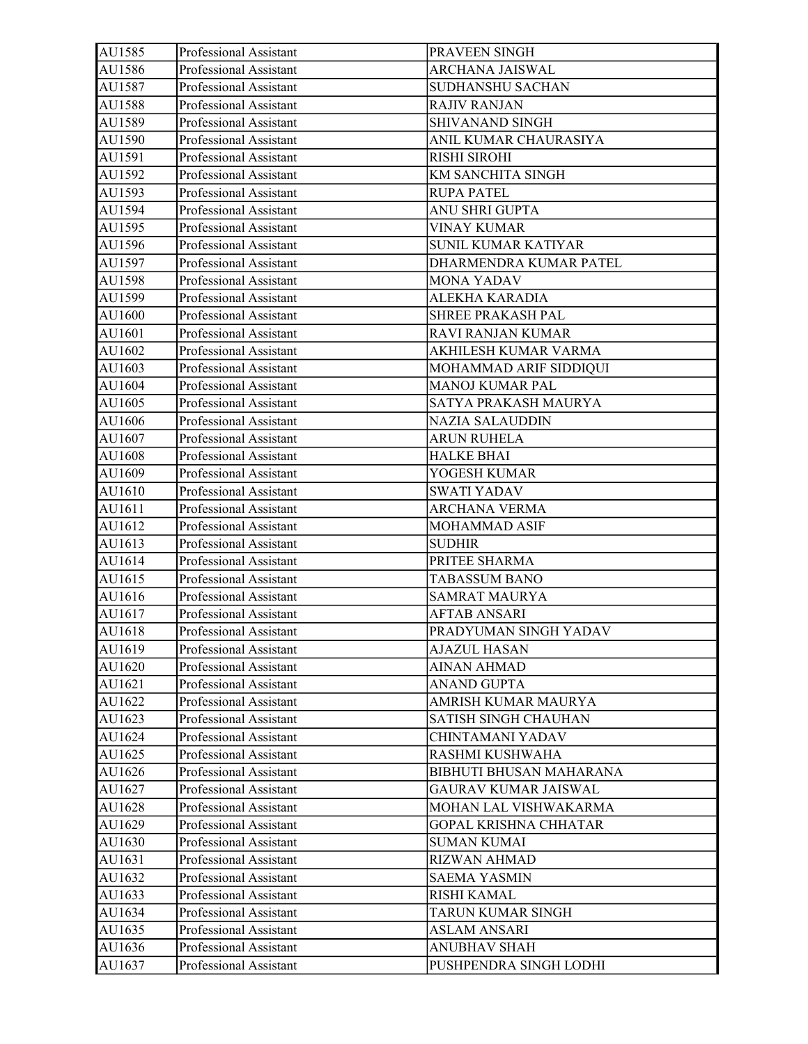| AU1585 | Professional Assistant | PRAVEEN SINGH                |
|--------|------------------------|------------------------------|
| AU1586 | Professional Assistant | ARCHANA JAISWAL              |
| AU1587 | Professional Assistant | <b>SUDHANSHU SACHAN</b>      |
| AU1588 | Professional Assistant | <b>RAJIV RANJAN</b>          |
| AU1589 | Professional Assistant | SHIVANAND SINGH              |
| AU1590 | Professional Assistant | ANIL KUMAR CHAURASIYA        |
| AU1591 | Professional Assistant | <b>RISHI SIROHI</b>          |
| AU1592 | Professional Assistant | KM SANCHITA SINGH            |
| AU1593 | Professional Assistant | <b>RUPA PATEL</b>            |
| AU1594 | Professional Assistant | ANU SHRI GUPTA               |
| AU1595 | Professional Assistant | <b>VINAY KUMAR</b>           |
| AU1596 | Professional Assistant | SUNIL KUMAR KATIYAR          |
| AU1597 | Professional Assistant | DHARMENDRA KUMAR PATEL       |
| AU1598 | Professional Assistant | MONA YADAV                   |
| AU1599 | Professional Assistant | ALEKHA KARADIA               |
| AU1600 | Professional Assistant | SHREE PRAKASH PAL            |
| AU1601 | Professional Assistant | RAVI RANJAN KUMAR            |
| AU1602 | Professional Assistant | AKHILESH KUMAR VARMA         |
| AU1603 | Professional Assistant | MOHAMMAD ARIF SIDDIQUI       |
| AU1604 | Professional Assistant | <b>MANOJ KUMAR PAL</b>       |
| AU1605 | Professional Assistant | SATYA PRAKASH MAURYA         |
| AU1606 | Professional Assistant | NAZIA SALAUDDIN              |
| AU1607 | Professional Assistant | <b>ARUN RUHELA</b>           |
| AU1608 | Professional Assistant | <b>HALKE BHAI</b>            |
| AU1609 | Professional Assistant | YOGESH KUMAR                 |
| AU1610 | Professional Assistant | <b>SWATI YADAV</b>           |
| AU1611 | Professional Assistant | <b>ARCHANA VERMA</b>         |
| AU1612 | Professional Assistant | MOHAMMAD ASIF                |
| AU1613 | Professional Assistant | <b>SUDHIR</b>                |
| AU1614 | Professional Assistant | PRITEE SHARMA                |
| AU1615 | Professional Assistant | <b>TABASSUM BANO</b>         |
| AU1616 | Professional Assistant | <b>SAMRAT MAURYA</b>         |
| AU1617 | Professional Assistant | <b>AFTAB ANSARI</b>          |
| AU1618 | Professional Assistant | PRADYUMAN SINGH YADAV        |
| AU1619 | Professional Assistant | <b>AJAZUL HASAN</b>          |
| AU1620 | Professional Assistant | <b>AINAN AHMAD</b>           |
| AU1621 | Professional Assistant | <b>ANAND GUPTA</b>           |
| AU1622 | Professional Assistant | AMRISH KUMAR MAURYA          |
| AU1623 | Professional Assistant | SATISH SINGH CHAUHAN         |
| AU1624 | Professional Assistant | CHINTAMANI YADAV             |
| AU1625 | Professional Assistant | RASHMI KUSHWAHA              |
| AU1626 | Professional Assistant | BIBHUTI BHUSAN MAHARANA      |
| AU1627 | Professional Assistant | <b>GAURAV KUMAR JAISWAL</b>  |
| AU1628 | Professional Assistant | MOHAN LAL VISHWAKARMA        |
| AU1629 | Professional Assistant | <b>GOPAL KRISHNA CHHATAR</b> |
| AU1630 | Professional Assistant | <b>SUMAN KUMAI</b>           |
| AU1631 | Professional Assistant | RIZWAN AHMAD                 |
| AU1632 | Professional Assistant | <b>SAEMA YASMIN</b>          |
| AU1633 | Professional Assistant | RISHI KAMAL                  |
| AU1634 | Professional Assistant | TARUN KUMAR SINGH            |
| AU1635 | Professional Assistant | ASLAM ANSARI                 |
| AU1636 | Professional Assistant | <b>ANUBHAV SHAH</b>          |
| AU1637 | Professional Assistant | PUSHPENDRA SINGH LODHI       |
|        |                        |                              |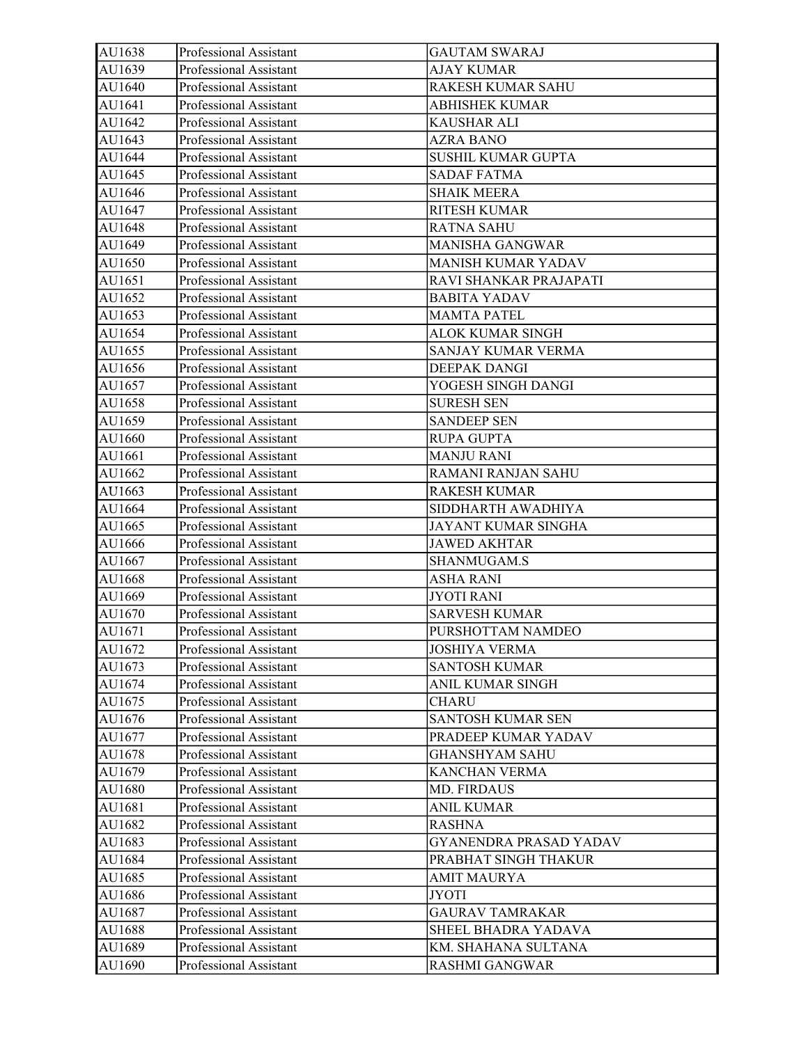| AU1638 | Professional Assistant | <b>GAUTAM SWARAJ</b>      |
|--------|------------------------|---------------------------|
| AU1639 | Professional Assistant | AJAY KUMAR                |
| AU1640 | Professional Assistant | RAKESH KUMAR SAHU         |
| AU1641 | Professional Assistant | <b>ABHISHEK KUMAR</b>     |
| AU1642 | Professional Assistant | KAUSHAR ALI               |
| AU1643 | Professional Assistant | AZRA BANO                 |
| AU1644 | Professional Assistant | <b>SUSHIL KUMAR GUPTA</b> |
| AU1645 | Professional Assistant | <b>SADAF FATMA</b>        |
| AU1646 | Professional Assistant | <b>SHAIK MEERA</b>        |
| AU1647 | Professional Assistant | RITESH KUMAR              |
| AU1648 | Professional Assistant | <b>RATNA SAHU</b>         |
| AU1649 | Professional Assistant | <b>MANISHA GANGWAR</b>    |
| AU1650 | Professional Assistant | MANISH KUMAR YADAV        |
| AU1651 | Professional Assistant | RAVI SHANKAR PRAJAPATI    |
| AU1652 | Professional Assistant | <b>BABITA YADAV</b>       |
| AU1653 | Professional Assistant | <b>MAMTA PATEL</b>        |
| AU1654 | Professional Assistant | <b>ALOK KUMAR SINGH</b>   |
| AU1655 | Professional Assistant | SANJAY KUMAR VERMA        |
| AU1656 | Professional Assistant | DEEPAK DANGI              |
| AU1657 | Professional Assistant | YOGESH SINGH DANGI        |
| AU1658 | Professional Assistant | <b>SURESH SEN</b>         |
| AU1659 | Professional Assistant | <b>SANDEEP SEN</b>        |
| AU1660 | Professional Assistant | <b>RUPA GUPTA</b>         |
| AU1661 | Professional Assistant | <b>MANJU RANI</b>         |
| AU1662 | Professional Assistant | RAMANI RANJAN SAHU        |
| AU1663 | Professional Assistant | <b>RAKESH KUMAR</b>       |
| AU1664 | Professional Assistant | SIDDHARTH AWADHIYA        |
| AU1665 | Professional Assistant | JAYANT KUMAR SINGHA       |
| AU1666 | Professional Assistant | <b>JAWED AKHTAR</b>       |
| AU1667 | Professional Assistant | SHANMUGAM.S               |
| AU1668 | Professional Assistant | ASHA RANI                 |
| AU1669 | Professional Assistant | JYOTI RANI                |
| AU1670 | Professional Assistant | <b>SARVESH KUMAR</b>      |
| AU1671 | Professional Assistant | PURSHOTTAM NAMDEO         |
| AU1672 | Professional Assistant | <b>JOSHIYA VERMA</b>      |
| AU1673 | Professional Assistant | <b>SANTOSH KUMAR</b>      |
| AU1674 | Professional Assistant | ANIL KUMAR SINGH          |
| AU1675 | Professional Assistant | <b>CHARU</b>              |
| AU1676 | Professional Assistant | SANTOSH KUMAR SEN         |
| AU1677 | Professional Assistant | PRADEEP KUMAR YADAV       |
| AU1678 | Professional Assistant | <b>GHANSHYAM SAHU</b>     |
| AU1679 | Professional Assistant | KANCHAN VERMA             |
| AU1680 | Professional Assistant | <b>MD. FIRDAUS</b>        |
| AU1681 | Professional Assistant | <b>ANIL KUMAR</b>         |
| AU1682 | Professional Assistant | <b>RASHNA</b>             |
| AU1683 | Professional Assistant | GYANENDRA PRASAD YADAV    |
| AU1684 | Professional Assistant | PRABHAT SINGH THAKUR      |
| AU1685 | Professional Assistant | <b>AMIT MAURYA</b>        |
| AU1686 | Professional Assistant | JYOTI                     |
| AU1687 | Professional Assistant | <b>GAURAV TAMRAKAR</b>    |
| AU1688 | Professional Assistant | SHEEL BHADRA YADAVA       |
| AU1689 | Professional Assistant | KM. SHAHANA SULTANA       |
| AU1690 | Professional Assistant | <b>RASHMI GANGWAR</b>     |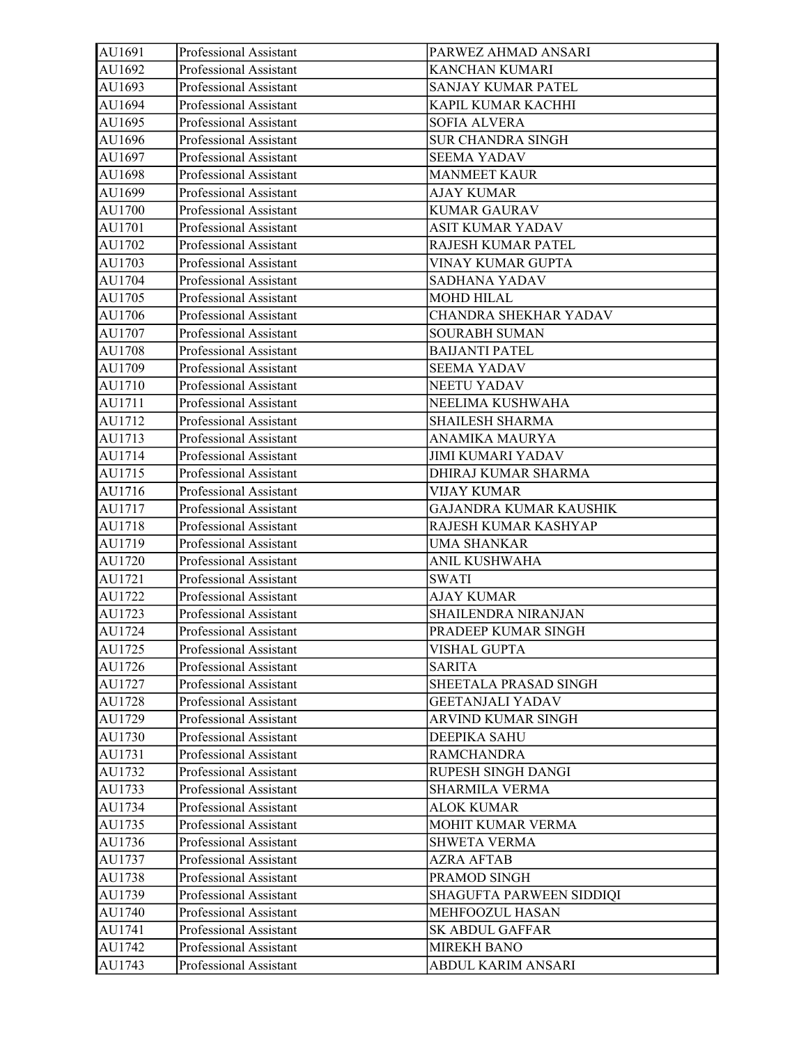| AU1691 | Professional Assistant | PARWEZ AHMAD ANSARI           |
|--------|------------------------|-------------------------------|
| AU1692 | Professional Assistant | KANCHAN KUMARI                |
| AU1693 | Professional Assistant | SANJAY KUMAR PATEL            |
| AU1694 | Professional Assistant | KAPIL KUMAR KACHHI            |
| AU1695 | Professional Assistant | <b>SOFIA ALVERA</b>           |
| AU1696 | Professional Assistant | <b>SUR CHANDRA SINGH</b>      |
| AU1697 | Professional Assistant | <b>SEEMA YADAV</b>            |
| AU1698 | Professional Assistant | <b>MANMEET KAUR</b>           |
| AU1699 | Professional Assistant | AJAY KUMAR                    |
| AU1700 | Professional Assistant | <b>KUMAR GAURAV</b>           |
| AU1701 | Professional Assistant | <b>ASIT KUMAR YADAV</b>       |
| AU1702 | Professional Assistant | RAJESH KUMAR PATEL            |
| AU1703 | Professional Assistant | VINAY KUMAR GUPTA             |
| AU1704 | Professional Assistant | SADHANA YADAV                 |
| AU1705 | Professional Assistant | MOHD HILAL                    |
| AU1706 | Professional Assistant | CHANDRA SHEKHAR YADAV         |
| AU1707 | Professional Assistant | <b>SOURABH SUMAN</b>          |
| AU1708 | Professional Assistant | <b>BAIJANTI PATEL</b>         |
| AU1709 | Professional Assistant | <b>SEEMA YADAV</b>            |
| AU1710 | Professional Assistant | NEETU YADAV                   |
| AU1711 | Professional Assistant | NEELIMA KUSHWAHA              |
| AU1712 | Professional Assistant | SHAILESH SHARMA               |
| AU1713 | Professional Assistant | ANAMIKA MAURYA                |
| AU1714 | Professional Assistant | <b>JIMI KUMARI YADAV</b>      |
| AU1715 | Professional Assistant | DHIRAJ KUMAR SHARMA           |
| AU1716 | Professional Assistant | <b>VIJAY KUMAR</b>            |
| AU1717 | Professional Assistant | <b>GAJANDRA KUMAR KAUSHIK</b> |
| AU1718 | Professional Assistant | RAJESH KUMAR KASHYAP          |
| AU1719 | Professional Assistant | UMA SHANKAR                   |
| AU1720 | Professional Assistant | <b>ANIL KUSHWAHA</b>          |
| AU1721 | Professional Assistant | <b>SWATI</b>                  |
| AU1722 | Professional Assistant | <b>AJAY KUMAR</b>             |
| AU1723 | Professional Assistant | SHAILENDRA NIRANJAN           |
| AU1724 | Professional Assistant | <b>PRADEEP KUMAR SINGH</b>    |
| AU1725 | Professional Assistant | <b>VISHAL GUPTA</b>           |
| AU1726 | Professional Assistant | <b>SARITA</b>                 |
| AU1727 | Professional Assistant | SHEETALA PRASAD SINGH         |
| AU1728 | Professional Assistant | <b>GEETANJALI YADAV</b>       |
| AU1729 | Professional Assistant | ARVIND KUMAR SINGH            |
| AU1730 | Professional Assistant | DEEPIKA SAHU                  |
| AU1731 | Professional Assistant | <b>RAMCHANDRA</b>             |
| AU1732 | Professional Assistant | RUPESH SINGH DANGI            |
| AU1733 | Professional Assistant | <b>SHARMILA VERMA</b>         |
| AU1734 | Professional Assistant | <b>ALOK KUMAR</b>             |
| AU1735 | Professional Assistant | MOHIT KUMAR VERMA             |
| AU1736 | Professional Assistant | <b>SHWETA VERMA</b>           |
| AU1737 | Professional Assistant | AZRA AFTAB                    |
| AU1738 | Professional Assistant | PRAMOD SINGH                  |
| AU1739 | Professional Assistant | SHAGUFTA PARWEEN SIDDIQI      |
| AU1740 | Professional Assistant | MEHFOOZUL HASAN               |
| AU1741 | Professional Assistant | SK ABDUL GAFFAR               |
| AU1742 | Professional Assistant | <b>MIREKH BANO</b>            |
| AU1743 | Professional Assistant | ABDUL KARIM ANSARI            |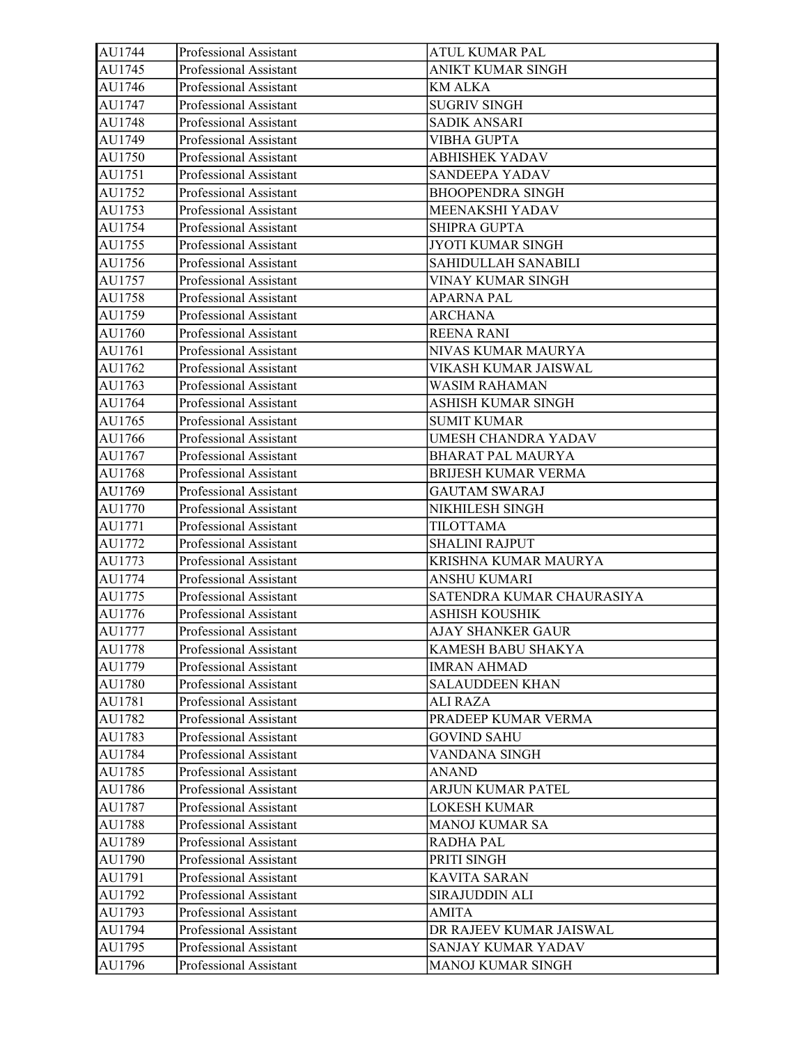| AU1744 | Professional Assistant | ATUL KUMAR PAL            |
|--------|------------------------|---------------------------|
| AU1745 | Professional Assistant | ANIKT KUMAR SINGH         |
| AU1746 | Professional Assistant | <b>KM ALKA</b>            |
| AU1747 | Professional Assistant | <b>SUGRIV SINGH</b>       |
| AU1748 | Professional Assistant | <b>SADIK ANSARI</b>       |
| AU1749 | Professional Assistant | <b>VIBHA GUPTA</b>        |
| AU1750 | Professional Assistant | <b>ABHISHEK YADAV</b>     |
| AU1751 | Professional Assistant | SANDEEPA YADAV            |
| AU1752 | Professional Assistant | <b>BHOOPENDRA SINGH</b>   |
| AU1753 | Professional Assistant | MEENAKSHI YADAV           |
| AU1754 | Professional Assistant | <b>SHIPRA GUPTA</b>       |
| AU1755 | Professional Assistant | JYOTI KUMAR SINGH         |
| AU1756 | Professional Assistant | SAHIDULLAH SANABILI       |
| AU1757 | Professional Assistant | VINAY KUMAR SINGH         |
| AU1758 | Professional Assistant | APARNA PAL                |
| AU1759 | Professional Assistant | <b>ARCHANA</b>            |
| AU1760 | Professional Assistant | <b>REENA RANI</b>         |
| AU1761 | Professional Assistant | NIVAS KUMAR MAURYA        |
| AU1762 | Professional Assistant | VIKASH KUMAR JAISWAL      |
| AU1763 | Professional Assistant | WASIM RAHAMAN             |
| AU1764 | Professional Assistant | ASHISH KUMAR SINGH        |
| AU1765 | Professional Assistant | <b>SUMIT KUMAR</b>        |
| AU1766 | Professional Assistant | UMESH CHANDRA YADAV       |
| AU1767 | Professional Assistant | <b>BHARAT PAL MAURYA</b>  |
| AU1768 | Professional Assistant | BRIJESH KUMAR VERMA       |
| AU1769 | Professional Assistant | <b>GAUTAM SWARAJ</b>      |
| AU1770 | Professional Assistant | NIKHILESH SINGH           |
| AU1771 | Professional Assistant | <b>TILOTTAMA</b>          |
| AU1772 | Professional Assistant | <b>SHALINI RAJPUT</b>     |
| AU1773 | Professional Assistant | KRISHNA KUMAR MAURYA      |
| AU1774 | Professional Assistant | ANSHU KUMARI              |
| AU1775 | Professional Assistant | SATENDRA KUMAR CHAURASIYA |
| AU1776 | Professional Assistant | ASHISH KOUSHIK            |
| AU1777 | Professional Assistant | AJAY SHANKER GAUR         |
| AU1778 | Professional Assistant | KAMESH BABU SHAKYA        |
| AU1779 | Professional Assistant | <b>IMRAN AHMAD</b>        |
| AU1780 | Professional Assistant | <b>SALAUDDEEN KHAN</b>    |
| AU1781 | Professional Assistant | ALI RAZA                  |
| AU1782 | Professional Assistant | PRADEEP KUMAR VERMA       |
| AU1783 | Professional Assistant | <b>GOVIND SAHU</b>        |
| AU1784 | Professional Assistant | VANDANA SINGH             |
| AU1785 | Professional Assistant | ANAND                     |
| AU1786 | Professional Assistant | ARJUN KUMAR PATEL         |
| AU1787 | Professional Assistant | <b>LOKESH KUMAR</b>       |
| AU1788 | Professional Assistant | <b>MANOJ KUMAR SA</b>     |
| AU1789 | Professional Assistant | RADHA PAL                 |
| AU1790 | Professional Assistant | PRITI SINGH               |
| AU1791 | Professional Assistant | <b>KAVITA SARAN</b>       |
| AU1792 | Professional Assistant | SIRAJUDDIN ALI            |
| AU1793 | Professional Assistant | AMITA                     |
| AU1794 | Professional Assistant | DR RAJEEV KUMAR JAISWAL   |
| AU1795 | Professional Assistant | SANJAY KUMAR YADAV        |
| AU1796 | Professional Assistant | MANOJ KUMAR SINGH         |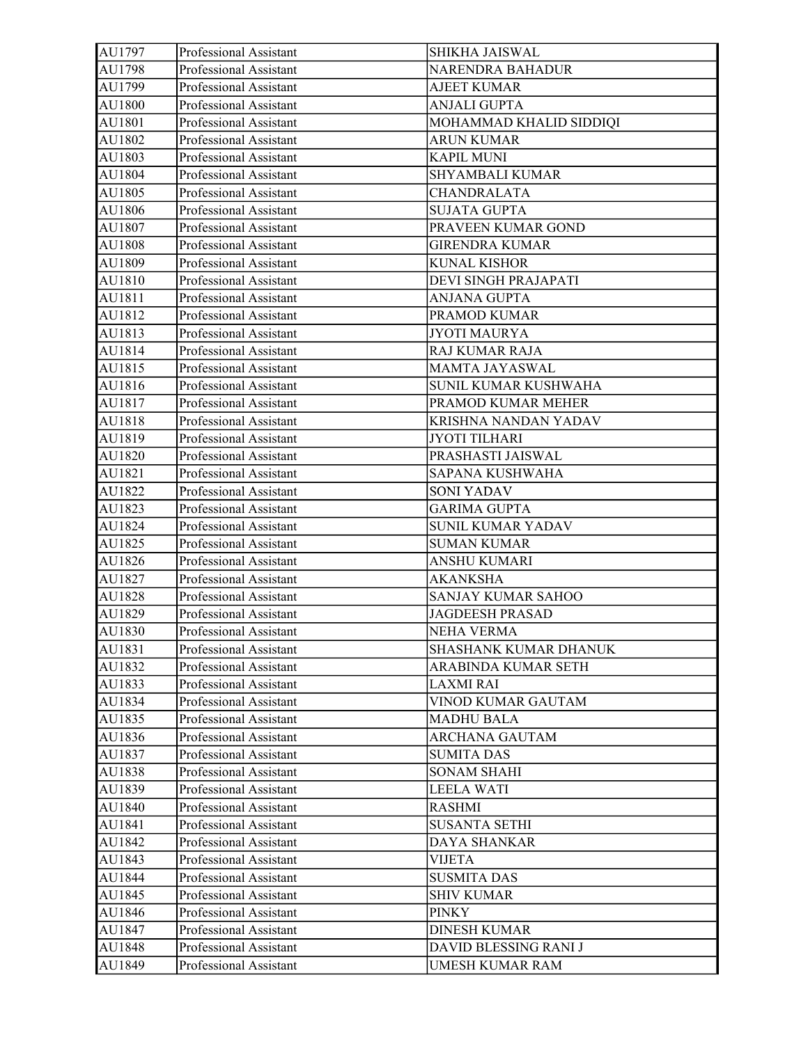| AU1797 | Professional Assistant | SHIKHA JAISWAL           |
|--------|------------------------|--------------------------|
| AU1798 | Professional Assistant | NARENDRA BAHADUR         |
| AU1799 | Professional Assistant | <b>AJEET KUMAR</b>       |
| AU1800 | Professional Assistant | <b>ANJALI GUPTA</b>      |
| AU1801 | Professional Assistant | MOHAMMAD KHALID SIDDIQI  |
| AU1802 | Professional Assistant | <b>ARUN KUMAR</b>        |
| AU1803 | Professional Assistant | <b>KAPIL MUNI</b>        |
| AU1804 | Professional Assistant | <b>SHYAMBALI KUMAR</b>   |
| AU1805 | Professional Assistant | CHANDRALATA              |
| AU1806 | Professional Assistant | <b>SUJATA GUPTA</b>      |
| AU1807 | Professional Assistant | PRAVEEN KUMAR GOND       |
| AU1808 | Professional Assistant | <b>GIRENDRA KUMAR</b>    |
| AU1809 | Professional Assistant | <b>KUNAL KISHOR</b>      |
| AU1810 | Professional Assistant | DEVI SINGH PRAJAPATI     |
| AU1811 | Professional Assistant | ANJANA GUPTA             |
| AU1812 | Professional Assistant | PRAMOD KUMAR             |
| AU1813 | Professional Assistant | <b>JYOTI MAURYA</b>      |
| AU1814 | Professional Assistant | <b>RAJ KUMAR RAJA</b>    |
| AU1815 | Professional Assistant | MAMTA JAYASWAL           |
| AU1816 | Professional Assistant | SUNIL KUMAR KUSHWAHA     |
| AU1817 | Professional Assistant | PRAMOD KUMAR MEHER       |
| AU1818 | Professional Assistant | KRISHNA NANDAN YADAV     |
| AU1819 | Professional Assistant | JYOTI TILHARI            |
| AU1820 | Professional Assistant | PRASHASTI JAISWAL        |
| AU1821 | Professional Assistant | SAPANA KUSHWAHA          |
| AU1822 | Professional Assistant | <b>SONI YADAV</b>        |
| AU1823 | Professional Assistant | <b>GARIMA GUPTA</b>      |
| AU1824 | Professional Assistant | <b>SUNIL KUMAR YADAV</b> |
| AU1825 | Professional Assistant | <b>SUMAN KUMAR</b>       |
| AU1826 | Professional Assistant | <b>ANSHU KUMARI</b>      |
| AU1827 | Professional Assistant | <b>AKANKSHA</b>          |
| AU1828 | Professional Assistant | SANJAY KUMAR SAHOO       |
| AU1829 | Professional Assistant | <b>JAGDEESH PRASAD</b>   |
| AU1830 | Professional Assistant | <b>NEHA VERMA</b>        |
| AU1831 | Professional Assistant | SHASHANK KUMAR DHANUK    |
| AU1832 | Professional Assistant | ARABINDA KUMAR SETH      |
| AU1833 | Professional Assistant | LAXMI RAI                |
| AU1834 | Professional Assistant | VINOD KUMAR GAUTAM       |
| AU1835 | Professional Assistant | <b>MADHU BALA</b>        |
| AU1836 | Professional Assistant | ARCHANA GAUTAM           |
| AU1837 | Professional Assistant | <b>SUMITA DAS</b>        |
| AU1838 | Professional Assistant | <b>SONAM SHAHI</b>       |
| AU1839 | Professional Assistant | LEELA WATI               |
| AU1840 | Professional Assistant | <b>RASHMI</b>            |
| AU1841 | Professional Assistant | <b>SUSANTA SETHI</b>     |
| AU1842 | Professional Assistant | DAYA SHANKAR             |
| AU1843 | Professional Assistant | VIJETA                   |
| AU1844 | Professional Assistant | <b>SUSMITA DAS</b>       |
| AU1845 | Professional Assistant | <b>SHIV KUMAR</b>        |
| AU1846 | Professional Assistant | <b>PINKY</b>             |
| AU1847 | Professional Assistant | <b>DINESH KUMAR</b>      |
| AU1848 | Professional Assistant | DAVID BLESSING RANI J    |
| AU1849 | Professional Assistant | <b>UMESH KUMAR RAM</b>   |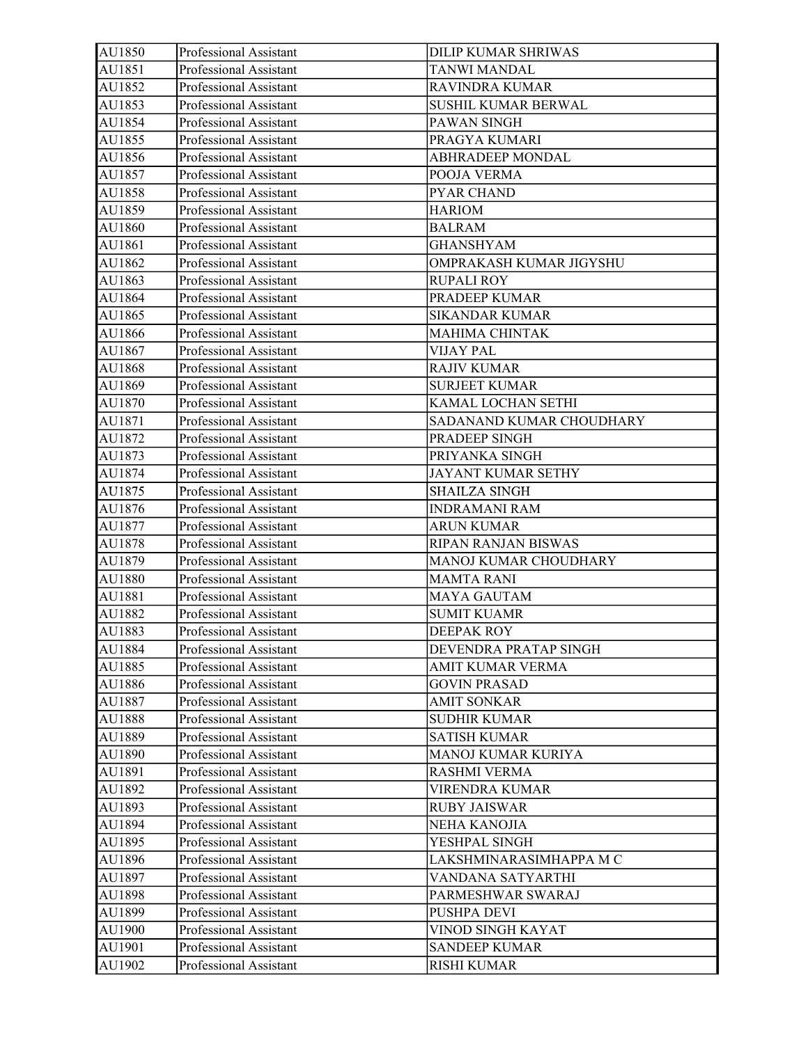| AU1850 | Professional Assistant | <b>DILIP KUMAR SHRIWAS</b> |
|--------|------------------------|----------------------------|
| AU1851 | Professional Assistant | <b>TANWI MANDAL</b>        |
| AU1852 | Professional Assistant | RAVINDRA KUMAR             |
| AU1853 | Professional Assistant | SUSHIL KUMAR BERWAL        |
| AU1854 | Professional Assistant | PAWAN SINGH                |
| AU1855 | Professional Assistant | PRAGYA KUMARI              |
| AU1856 | Professional Assistant | <b>ABHRADEEP MONDAL</b>    |
| AU1857 | Professional Assistant | POOJA VERMA                |
| AU1858 | Professional Assistant | PYAR CHAND                 |
| AU1859 | Professional Assistant | <b>HARIOM</b>              |
| AU1860 | Professional Assistant | <b>BALRAM</b>              |
| AU1861 | Professional Assistant | <b>GHANSHYAM</b>           |
| AU1862 | Professional Assistant | OMPRAKASH KUMAR JIGYSHU    |
| AU1863 | Professional Assistant | <b>RUPALI ROY</b>          |
| AU1864 | Professional Assistant | PRADEEP KUMAR              |
| AU1865 | Professional Assistant | <b>SIKANDAR KUMAR</b>      |
| AU1866 | Professional Assistant | <b>MAHIMA CHINTAK</b>      |
| AU1867 | Professional Assistant | VIJAY PAL                  |
| AU1868 | Professional Assistant | <b>RAJIV KUMAR</b>         |
| AU1869 | Professional Assistant | <b>SURJEET KUMAR</b>       |
| AU1870 | Professional Assistant | KAMAL LOCHAN SETHI         |
| AU1871 | Professional Assistant | SADANAND KUMAR CHOUDHARY   |
| AU1872 | Professional Assistant | PRADEEP SINGH              |
| AU1873 | Professional Assistant | PRIYANKA SINGH             |
| AU1874 | Professional Assistant | JAYANT KUMAR SETHY         |
| AU1875 | Professional Assistant | <b>SHAILZA SINGH</b>       |
| AU1876 | Professional Assistant | <b>INDRAMANI RAM</b>       |
| AU1877 | Professional Assistant | <b>ARUN KUMAR</b>          |
| AU1878 | Professional Assistant | RIPAN RANJAN BISWAS        |
| AU1879 | Professional Assistant | MANOJ KUMAR CHOUDHARY      |
| AU1880 | Professional Assistant | <b>MAMTA RANI</b>          |
| AU1881 | Professional Assistant | <b>MAYA GAUTAM</b>         |
| AU1882 | Professional Assistant | <b>SUMIT KUAMR</b>         |
| AU1883 | Professional Assistant | DEEPAK ROY                 |
| AU1884 | Professional Assistant | DEVENDRA PRATAP SINGH      |
| AU1885 | Professional Assistant | AMIT KUMAR VERMA           |
| AU1886 | Professional Assistant | <b>GOVIN PRASAD</b>        |
| AU1887 | Professional Assistant | <b>AMIT SONKAR</b>         |
| AU1888 | Professional Assistant | <b>SUDHIR KUMAR</b>        |
| AU1889 | Professional Assistant | <b>SATISH KUMAR</b>        |
| AU1890 | Professional Assistant | MANOJ KUMAR KURIYA         |
| AU1891 | Professional Assistant | <b>RASHMI VERMA</b>        |
| AU1892 | Professional Assistant | VIRENDRA KUMAR             |
| AU1893 | Professional Assistant | <b>RUBY JAISWAR</b>        |
| AU1894 | Professional Assistant | NEHA KANOJIA               |
| AU1895 | Professional Assistant | YESHPAL SINGH              |
| AU1896 | Professional Assistant | LAKSHMINARASIMHAPPA M C    |
| AU1897 | Professional Assistant | VANDANA SATYARTHI          |
| AU1898 | Professional Assistant | PARMESHWAR SWARAJ          |
| AU1899 | Professional Assistant | PUSHPA DEVI                |
| AU1900 | Professional Assistant | VINOD SINGH KAYAT          |
| AU1901 | Professional Assistant | <b>SANDEEP KUMAR</b>       |
| AU1902 | Professional Assistant | RISHI KUMAR                |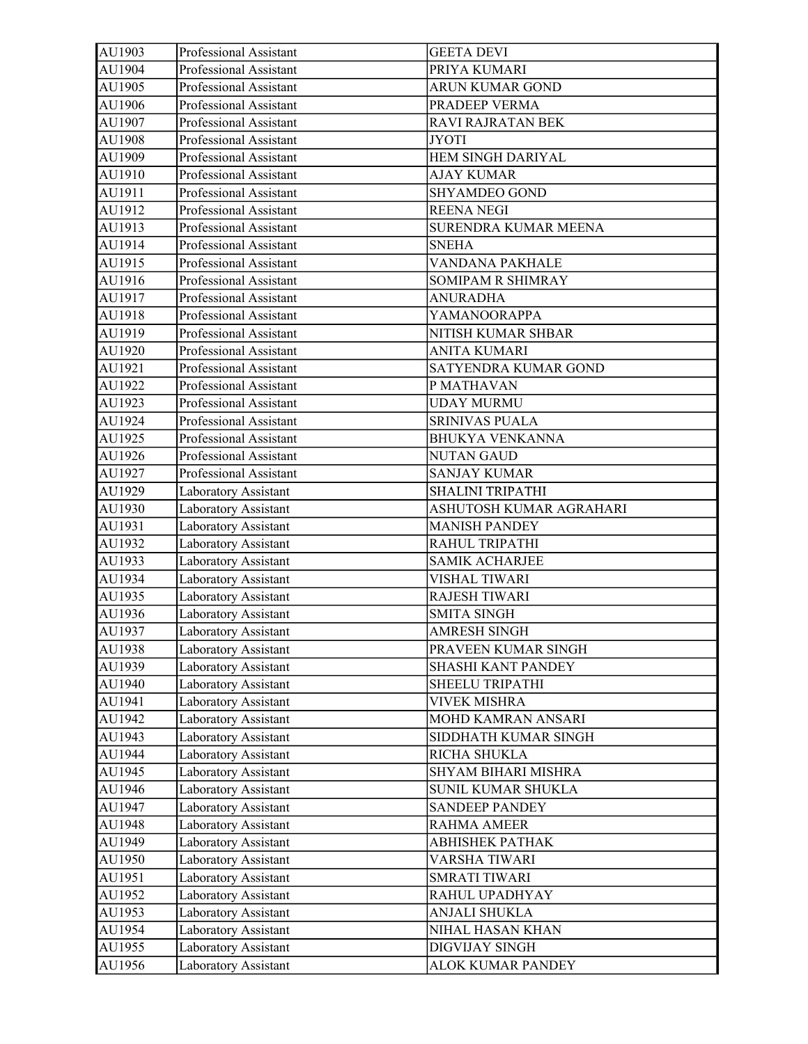| AU1903 | Professional Assistant | <b>GEETA DEVI</b>       |
|--------|------------------------|-------------------------|
| AU1904 | Professional Assistant | PRIYA KUMARI            |
| AU1905 | Professional Assistant | <b>ARUN KUMAR GOND</b>  |
| AU1906 | Professional Assistant | PRADEEP VERMA           |
| AU1907 | Professional Assistant | RAVI RAJRATAN BEK       |
| AU1908 | Professional Assistant | <b>JYOTI</b>            |
| AU1909 | Professional Assistant | HEM SINGH DARIYAL       |
| AU1910 | Professional Assistant | <b>AJAY KUMAR</b>       |
| AU1911 | Professional Assistant | <b>SHYAMDEO GOND</b>    |
| AU1912 | Professional Assistant | <b>REENA NEGI</b>       |
| AU1913 | Professional Assistant | SURENDRA KUMAR MEENA    |
| AU1914 | Professional Assistant | <b>SNEHA</b>            |
| AU1915 | Professional Assistant | VANDANA PAKHALE         |
| AU1916 | Professional Assistant | SOMIPAM R SHIMRAY       |
| AU1917 | Professional Assistant | <b>ANURADHA</b>         |
| AU1918 | Professional Assistant | YAMANOORAPPA            |
| AU1919 | Professional Assistant | NITISH KUMAR SHBAR      |
| AU1920 | Professional Assistant | <b>ANITA KUMARI</b>     |
| AU1921 | Professional Assistant | SATYENDRA KUMAR GOND    |
| AU1922 | Professional Assistant | P MATHAVAN              |
| AU1923 | Professional Assistant | <b>UDAY MURMU</b>       |
| AU1924 | Professional Assistant | <b>SRINIVAS PUALA</b>   |
| AU1925 | Professional Assistant | <b>BHUKYA VENKANNA</b>  |
| AU1926 | Professional Assistant | <b>NUTAN GAUD</b>       |
| AU1927 | Professional Assistant | <b>SANJAY KUMAR</b>     |
| AU1929 | Laboratory Assistant   | <b>SHALINI TRIPATHI</b> |
| AU1930 | Laboratory Assistant   | ASHUTOSH KUMAR AGRAHARI |
| AU1931 | Laboratory Assistant   | <b>MANISH PANDEY</b>    |
| AU1932 | Laboratory Assistant   | RAHUL TRIPATHI          |
| AU1933 | Laboratory Assistant   | <b>SAMIK ACHARJEE</b>   |
| AU1934 | Laboratory Assistant   | VISHAL TIWARI           |
| AU1935 | Laboratory Assistant   | <b>RAJESH TIWARI</b>    |
| AU1936 | Laboratory Assistant   | <b>SMITA SINGH</b>      |
| AU1937 | Laboratory Assistant   | AMRESH SINGH            |
| AU1938 | Laboratory Assistant   | PRAVEEN KUMAR SINGH     |
| AU1939 | Laboratory Assistant   | SHASHI KANT PANDEY      |
| AU1940 | Laboratory Assistant   | SHEELU TRIPATHI         |
| AU1941 | Laboratory Assistant   | <b>VIVEK MISHRA</b>     |
| AU1942 | Laboratory Assistant   | MOHD KAMRAN ANSARI      |
| AU1943 | Laboratory Assistant   | SIDDHATH KUMAR SINGH    |
| AU1944 | Laboratory Assistant   | RICHA SHUKLA            |
| AU1945 | Laboratory Assistant   | SHYAM BIHARI MISHRA     |
| AU1946 | Laboratory Assistant   | SUNIL KUMAR SHUKLA      |
| AU1947 | Laboratory Assistant   | <b>SANDEEP PANDEY</b>   |
| AU1948 | Laboratory Assistant   | <b>RAHMA AMEER</b>      |
| AU1949 | Laboratory Assistant   | ABHISHEK PATHAK         |
| AU1950 | Laboratory Assistant   | VARSHA TIWARI           |
| AU1951 | Laboratory Assistant   | <b>SMRATI TIWARI</b>    |
| AU1952 | Laboratory Assistant   | RAHUL UPADHYAY          |
| AU1953 | Laboratory Assistant   | <b>ANJALI SHUKLA</b>    |
| AU1954 | Laboratory Assistant   | NIHAL HASAN KHAN        |
| AU1955 | Laboratory Assistant   | DIGVIJAY SINGH          |
| AU1956 | Laboratory Assistant   | ALOK KUMAR PANDEY       |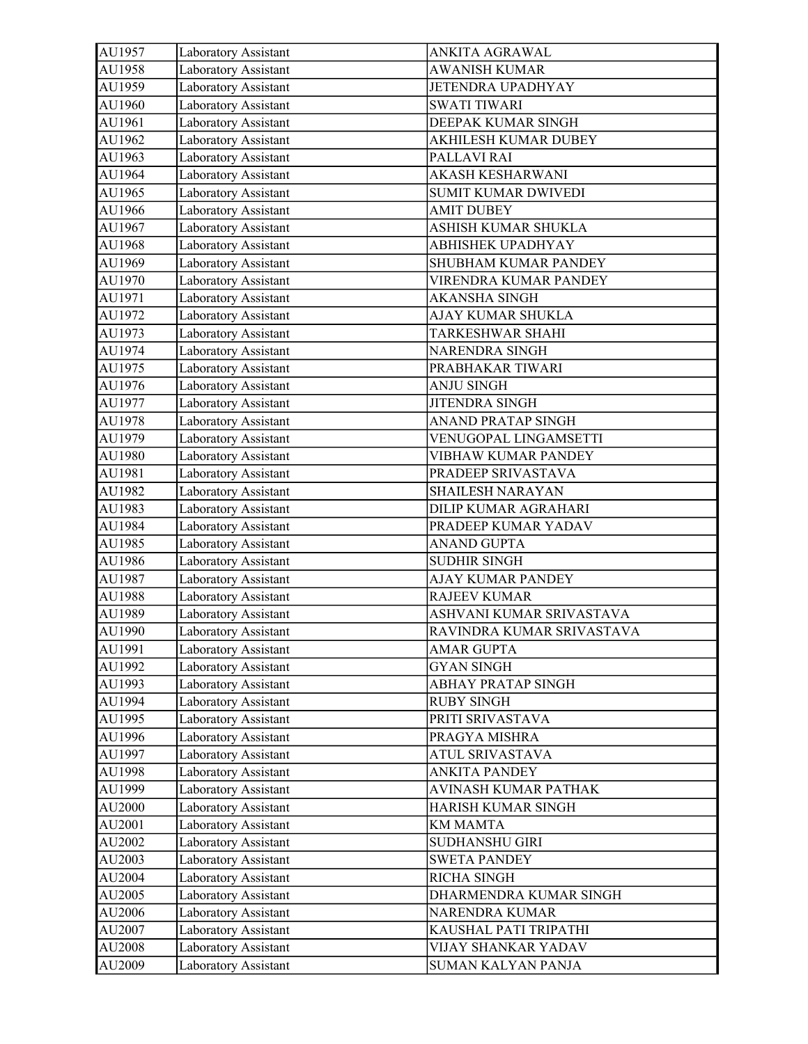| Laboratory Assistant | ANKITA AGRAWAL                                                                                                                                                                                                                                                                                                                                                                                                                                                                                                                                                                                                                                                                                                                                                                                                                                                                                                                                                                                                                                                                                                                               |
|----------------------|----------------------------------------------------------------------------------------------------------------------------------------------------------------------------------------------------------------------------------------------------------------------------------------------------------------------------------------------------------------------------------------------------------------------------------------------------------------------------------------------------------------------------------------------------------------------------------------------------------------------------------------------------------------------------------------------------------------------------------------------------------------------------------------------------------------------------------------------------------------------------------------------------------------------------------------------------------------------------------------------------------------------------------------------------------------------------------------------------------------------------------------------|
| Laboratory Assistant | <b>AWANISH KUMAR</b>                                                                                                                                                                                                                                                                                                                                                                                                                                                                                                                                                                                                                                                                                                                                                                                                                                                                                                                                                                                                                                                                                                                         |
| Laboratory Assistant | JETENDRA UPADHYAY                                                                                                                                                                                                                                                                                                                                                                                                                                                                                                                                                                                                                                                                                                                                                                                                                                                                                                                                                                                                                                                                                                                            |
| Laboratory Assistant | <b>SWATI TIWARI</b>                                                                                                                                                                                                                                                                                                                                                                                                                                                                                                                                                                                                                                                                                                                                                                                                                                                                                                                                                                                                                                                                                                                          |
|                      | DEEPAK KUMAR SINGH                                                                                                                                                                                                                                                                                                                                                                                                                                                                                                                                                                                                                                                                                                                                                                                                                                                                                                                                                                                                                                                                                                                           |
|                      | AKHILESH KUMAR DUBEY                                                                                                                                                                                                                                                                                                                                                                                                                                                                                                                                                                                                                                                                                                                                                                                                                                                                                                                                                                                                                                                                                                                         |
|                      | PALLAVI RAI                                                                                                                                                                                                                                                                                                                                                                                                                                                                                                                                                                                                                                                                                                                                                                                                                                                                                                                                                                                                                                                                                                                                  |
|                      | <b>AKASH KESHARWANI</b>                                                                                                                                                                                                                                                                                                                                                                                                                                                                                                                                                                                                                                                                                                                                                                                                                                                                                                                                                                                                                                                                                                                      |
|                      | <b>SUMIT KUMAR DWIVEDI</b>                                                                                                                                                                                                                                                                                                                                                                                                                                                                                                                                                                                                                                                                                                                                                                                                                                                                                                                                                                                                                                                                                                                   |
| Laboratory Assistant | <b>AMIT DUBEY</b>                                                                                                                                                                                                                                                                                                                                                                                                                                                                                                                                                                                                                                                                                                                                                                                                                                                                                                                                                                                                                                                                                                                            |
| Laboratory Assistant | ASHISH KUMAR SHUKLA                                                                                                                                                                                                                                                                                                                                                                                                                                                                                                                                                                                                                                                                                                                                                                                                                                                                                                                                                                                                                                                                                                                          |
| Laboratory Assistant | ABHISHEK UPADHYAY                                                                                                                                                                                                                                                                                                                                                                                                                                                                                                                                                                                                                                                                                                                                                                                                                                                                                                                                                                                                                                                                                                                            |
|                      | SHUBHAM KUMAR PANDEY                                                                                                                                                                                                                                                                                                                                                                                                                                                                                                                                                                                                                                                                                                                                                                                                                                                                                                                                                                                                                                                                                                                         |
|                      | VIRENDRA KUMAR PANDEY                                                                                                                                                                                                                                                                                                                                                                                                                                                                                                                                                                                                                                                                                                                                                                                                                                                                                                                                                                                                                                                                                                                        |
|                      | <b>AKANSHA SINGH</b>                                                                                                                                                                                                                                                                                                                                                                                                                                                                                                                                                                                                                                                                                                                                                                                                                                                                                                                                                                                                                                                                                                                         |
|                      | AJAY KUMAR SHUKLA                                                                                                                                                                                                                                                                                                                                                                                                                                                                                                                                                                                                                                                                                                                                                                                                                                                                                                                                                                                                                                                                                                                            |
|                      | TARKESHWAR SHAHI                                                                                                                                                                                                                                                                                                                                                                                                                                                                                                                                                                                                                                                                                                                                                                                                                                                                                                                                                                                                                                                                                                                             |
|                      | <b>NARENDRA SINGH</b>                                                                                                                                                                                                                                                                                                                                                                                                                                                                                                                                                                                                                                                                                                                                                                                                                                                                                                                                                                                                                                                                                                                        |
|                      | PRABHAKAR TIWARI                                                                                                                                                                                                                                                                                                                                                                                                                                                                                                                                                                                                                                                                                                                                                                                                                                                                                                                                                                                                                                                                                                                             |
|                      | <b>ANJU SINGH</b>                                                                                                                                                                                                                                                                                                                                                                                                                                                                                                                                                                                                                                                                                                                                                                                                                                                                                                                                                                                                                                                                                                                            |
|                      | <b>JITENDRA SINGH</b>                                                                                                                                                                                                                                                                                                                                                                                                                                                                                                                                                                                                                                                                                                                                                                                                                                                                                                                                                                                                                                                                                                                        |
|                      | <b>ANAND PRATAP SINGH</b>                                                                                                                                                                                                                                                                                                                                                                                                                                                                                                                                                                                                                                                                                                                                                                                                                                                                                                                                                                                                                                                                                                                    |
|                      | VENUGOPAL LINGAMSETTI                                                                                                                                                                                                                                                                                                                                                                                                                                                                                                                                                                                                                                                                                                                                                                                                                                                                                                                                                                                                                                                                                                                        |
|                      | VIBHAW KUMAR PANDEY                                                                                                                                                                                                                                                                                                                                                                                                                                                                                                                                                                                                                                                                                                                                                                                                                                                                                                                                                                                                                                                                                                                          |
|                      | PRADEEP SRIVASTAVA                                                                                                                                                                                                                                                                                                                                                                                                                                                                                                                                                                                                                                                                                                                                                                                                                                                                                                                                                                                                                                                                                                                           |
|                      | SHAILESH NARAYAN                                                                                                                                                                                                                                                                                                                                                                                                                                                                                                                                                                                                                                                                                                                                                                                                                                                                                                                                                                                                                                                                                                                             |
|                      | DILIP KUMAR AGRAHARI                                                                                                                                                                                                                                                                                                                                                                                                                                                                                                                                                                                                                                                                                                                                                                                                                                                                                                                                                                                                                                                                                                                         |
|                      | PRADEEP KUMAR YADAV                                                                                                                                                                                                                                                                                                                                                                                                                                                                                                                                                                                                                                                                                                                                                                                                                                                                                                                                                                                                                                                                                                                          |
|                      | ANAND GUPTA                                                                                                                                                                                                                                                                                                                                                                                                                                                                                                                                                                                                                                                                                                                                                                                                                                                                                                                                                                                                                                                                                                                                  |
|                      | <b>SUDHIR SINGH</b>                                                                                                                                                                                                                                                                                                                                                                                                                                                                                                                                                                                                                                                                                                                                                                                                                                                                                                                                                                                                                                                                                                                          |
|                      | AJAY KUMAR PANDEY                                                                                                                                                                                                                                                                                                                                                                                                                                                                                                                                                                                                                                                                                                                                                                                                                                                                                                                                                                                                                                                                                                                            |
|                      | <b>RAJEEV KUMAR</b>                                                                                                                                                                                                                                                                                                                                                                                                                                                                                                                                                                                                                                                                                                                                                                                                                                                                                                                                                                                                                                                                                                                          |
|                      | ASHVANI KUMAR SRIVASTAVA                                                                                                                                                                                                                                                                                                                                                                                                                                                                                                                                                                                                                                                                                                                                                                                                                                                                                                                                                                                                                                                                                                                     |
|                      | RAVINDRA KUMAR SRIVASTAVA                                                                                                                                                                                                                                                                                                                                                                                                                                                                                                                                                                                                                                                                                                                                                                                                                                                                                                                                                                                                                                                                                                                    |
|                      | <b>AMAR GUPTA</b>                                                                                                                                                                                                                                                                                                                                                                                                                                                                                                                                                                                                                                                                                                                                                                                                                                                                                                                                                                                                                                                                                                                            |
|                      | <b>GYAN SINGH</b>                                                                                                                                                                                                                                                                                                                                                                                                                                                                                                                                                                                                                                                                                                                                                                                                                                                                                                                                                                                                                                                                                                                            |
|                      | ABHAY PRATAP SINGH                                                                                                                                                                                                                                                                                                                                                                                                                                                                                                                                                                                                                                                                                                                                                                                                                                                                                                                                                                                                                                                                                                                           |
|                      | <b>RUBY SINGH</b>                                                                                                                                                                                                                                                                                                                                                                                                                                                                                                                                                                                                                                                                                                                                                                                                                                                                                                                                                                                                                                                                                                                            |
|                      | PRITI SRIVASTAVA                                                                                                                                                                                                                                                                                                                                                                                                                                                                                                                                                                                                                                                                                                                                                                                                                                                                                                                                                                                                                                                                                                                             |
|                      | PRAGYA MISHRA                                                                                                                                                                                                                                                                                                                                                                                                                                                                                                                                                                                                                                                                                                                                                                                                                                                                                                                                                                                                                                                                                                                                |
|                      | ATUL SRIVASTAVA                                                                                                                                                                                                                                                                                                                                                                                                                                                                                                                                                                                                                                                                                                                                                                                                                                                                                                                                                                                                                                                                                                                              |
|                      | <b>ANKITA PANDEY</b>                                                                                                                                                                                                                                                                                                                                                                                                                                                                                                                                                                                                                                                                                                                                                                                                                                                                                                                                                                                                                                                                                                                         |
|                      | AVINASH KUMAR PATHAK                                                                                                                                                                                                                                                                                                                                                                                                                                                                                                                                                                                                                                                                                                                                                                                                                                                                                                                                                                                                                                                                                                                         |
|                      | HARISH KUMAR SINGH                                                                                                                                                                                                                                                                                                                                                                                                                                                                                                                                                                                                                                                                                                                                                                                                                                                                                                                                                                                                                                                                                                                           |
|                      | <b>KM MAMTA</b>                                                                                                                                                                                                                                                                                                                                                                                                                                                                                                                                                                                                                                                                                                                                                                                                                                                                                                                                                                                                                                                                                                                              |
|                      | SUDHANSHU GIRI                                                                                                                                                                                                                                                                                                                                                                                                                                                                                                                                                                                                                                                                                                                                                                                                                                                                                                                                                                                                                                                                                                                               |
|                      | <b>SWETA PANDEY</b>                                                                                                                                                                                                                                                                                                                                                                                                                                                                                                                                                                                                                                                                                                                                                                                                                                                                                                                                                                                                                                                                                                                          |
|                      | RICHA SINGH                                                                                                                                                                                                                                                                                                                                                                                                                                                                                                                                                                                                                                                                                                                                                                                                                                                                                                                                                                                                                                                                                                                                  |
|                      | DHARMENDRA KUMAR SINGH                                                                                                                                                                                                                                                                                                                                                                                                                                                                                                                                                                                                                                                                                                                                                                                                                                                                                                                                                                                                                                                                                                                       |
|                      | NARENDRA KUMAR                                                                                                                                                                                                                                                                                                                                                                                                                                                                                                                                                                                                                                                                                                                                                                                                                                                                                                                                                                                                                                                                                                                               |
|                      | KAUSHAL PATI TRIPATHI                                                                                                                                                                                                                                                                                                                                                                                                                                                                                                                                                                                                                                                                                                                                                                                                                                                                                                                                                                                                                                                                                                                        |
|                      | VIJAY SHANKAR YADAV                                                                                                                                                                                                                                                                                                                                                                                                                                                                                                                                                                                                                                                                                                                                                                                                                                                                                                                                                                                                                                                                                                                          |
|                      | SUMAN KALYAN PANJA                                                                                                                                                                                                                                                                                                                                                                                                                                                                                                                                                                                                                                                                                                                                                                                                                                                                                                                                                                                                                                                                                                                           |
|                      | Laboratory Assistant<br>Laboratory Assistant<br>Laboratory Assistant<br>Laboratory Assistant<br>Laboratory Assistant<br>Laboratory Assistant<br>Laboratory Assistant<br>Laboratory Assistant<br>Laboratory Assistant<br>Laboratory Assistant<br>Laboratory Assistant<br>Laboratory Assistant<br>Laboratory Assistant<br>Laboratory Assistant<br>Laboratory Assistant<br>Laboratory Assistant<br>Laboratory Assistant<br>Laboratory Assistant<br>Laboratory Assistant<br>Laboratory Assistant<br>Laboratory Assistant<br>Laboratory Assistant<br>Laboratory Assistant<br>Laboratory Assistant<br>Laboratory Assistant<br>Laboratory Assistant<br>Laboratory Assistant<br>Laboratory Assistant<br>Laboratory Assistant<br>Laboratory Assistant<br>Laboratory Assistant<br>Laboratory Assistant<br>Laboratory Assistant<br>Laboratory Assistant<br>Laboratory Assistant<br>Laboratory Assistant<br>Laboratory Assistant<br>Laboratory Assistant<br>Laboratory Assistant<br>Laboratory Assistant<br>Laboratory Assistant<br>Laboratory Assistant<br>Laboratory Assistant<br>Laboratory Assistant<br>Laboratory Assistant<br>Laboratory Assistant |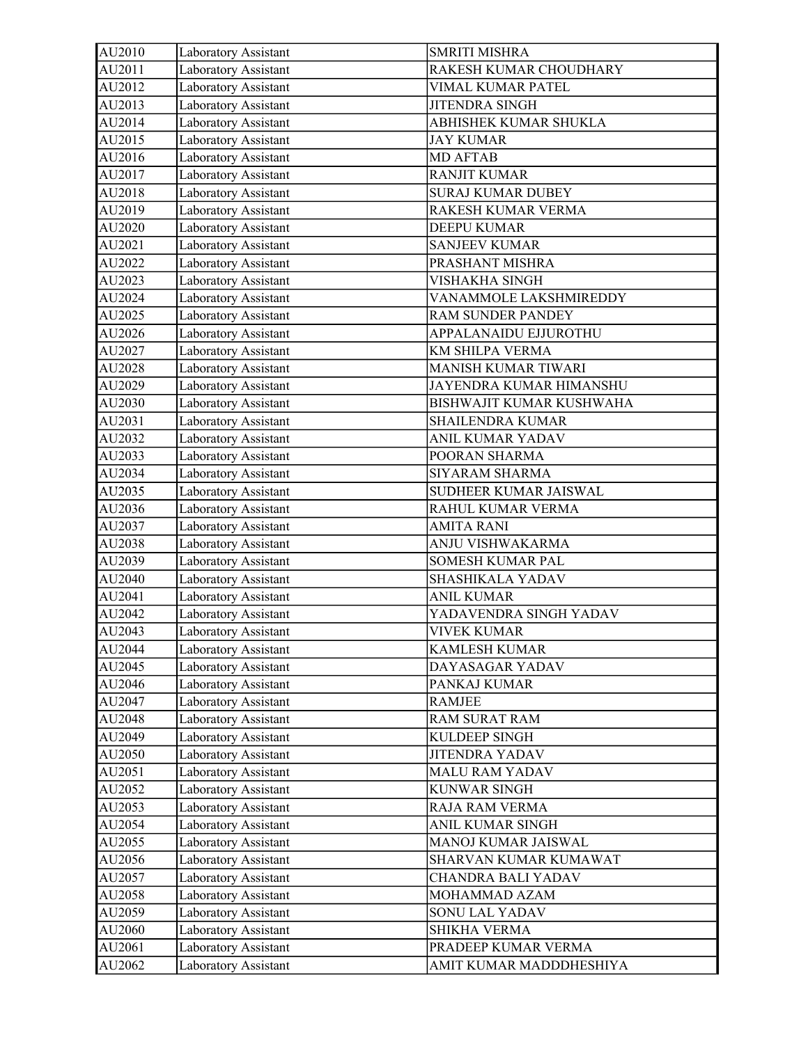| AU2010 | Laboratory Assistant | <b>SMRITI MISHRA</b>       |
|--------|----------------------|----------------------------|
| AU2011 | Laboratory Assistant | RAKESH KUMAR CHOUDHARY     |
| AU2012 | Laboratory Assistant | VIMAL KUMAR PATEL          |
| AU2013 | Laboratory Assistant | JITENDRA SINGH             |
| AU2014 | Laboratory Assistant | ABHISHEK KUMAR SHUKLA      |
| AU2015 | Laboratory Assistant | <b>JAY KUMAR</b>           |
| AU2016 | Laboratory Assistant | <b>MD AFTAB</b>            |
| AU2017 | Laboratory Assistant | <b>RANJIT KUMAR</b>        |
| AU2018 | Laboratory Assistant | <b>SURAJ KUMAR DUBEY</b>   |
| AU2019 | Laboratory Assistant | RAKESH KUMAR VERMA         |
| AU2020 | Laboratory Assistant | <b>DEEPU KUMAR</b>         |
| AU2021 | Laboratory Assistant | <b>SANJEEV KUMAR</b>       |
| AU2022 | Laboratory Assistant | PRASHANT MISHRA            |
| AU2023 | Laboratory Assistant | VISHAKHA SINGH             |
| AU2024 | Laboratory Assistant | VANAMMOLE LAKSHMIREDDY     |
| AU2025 | Laboratory Assistant | <b>RAM SUNDER PANDEY</b>   |
| AU2026 | Laboratory Assistant | APPALANAIDU EJJUROTHU      |
| AU2027 | Laboratory Assistant | KM SHILPA VERMA            |
| AU2028 | Laboratory Assistant | <b>MANISH KUMAR TIWARI</b> |
| AU2029 | Laboratory Assistant | JAYENDRA KUMAR HIMANSHU    |
| AU2030 | Laboratory Assistant | BISHWAJIT KUMAR KUSHWAHA   |
| AU2031 | Laboratory Assistant | SHAILENDRA KUMAR           |
| AU2032 | Laboratory Assistant | ANIL KUMAR YADAV           |
| AU2033 | Laboratory Assistant | POORAN SHARMA              |
| AU2034 | Laboratory Assistant | SIYARAM SHARMA             |
| AU2035 | Laboratory Assistant | SUDHEER KUMAR JAISWAL      |
| AU2036 | Laboratory Assistant | RAHUL KUMAR VERMA          |
| AU2037 | Laboratory Assistant | <b>AMITA RANI</b>          |
| AU2038 | Laboratory Assistant | ANJU VISHWAKARMA           |
| AU2039 | Laboratory Assistant | <b>SOMESH KUMAR PAL</b>    |
| AU2040 | Laboratory Assistant | SHASHIKALA YADAV           |
| AU2041 | Laboratory Assistant | <b>ANIL KUMAR</b>          |
| AU2042 | Laboratory Assistant | YADAVENDRA SINGH YADAV     |
| AU2043 | Laboratory Assistant | <b>VIVEK KUMAR</b>         |
| AU2044 | Laboratory Assistant | <b>KAMLESH KUMAR</b>       |
| AU2045 | Laboratory Assistant | DAYASAGAR YADAV            |
| AU2046 | Laboratory Assistant | PANKAJ KUMAR               |
| AU2047 | Laboratory Assistant | RAMJEE                     |
| AU2048 | Laboratory Assistant | RAM SURAT RAM              |
| AU2049 | Laboratory Assistant | KULDEEP SINGH              |
| AU2050 | Laboratory Assistant | <b>JITENDRA YADAV</b>      |
| AU2051 | Laboratory Assistant | <b>MALU RAM YADAV</b>      |
| AU2052 | Laboratory Assistant | KUNWAR SINGH               |
| AU2053 | Laboratory Assistant | RAJA RAM VERMA             |
| AU2054 | Laboratory Assistant | ANIL KUMAR SINGH           |
| AU2055 | Laboratory Assistant | MANOJ KUMAR JAISWAL        |
| AU2056 | Laboratory Assistant | SHARVAN KUMAR KUMAWAT      |
| AU2057 | Laboratory Assistant | CHANDRA BALI YADAV         |
| AU2058 | Laboratory Assistant | MOHAMMAD AZAM              |
| AU2059 | Laboratory Assistant | SONU LAL YADAV             |
| AU2060 | Laboratory Assistant | <b>SHIKHA VERMA</b>        |
| AU2061 | Laboratory Assistant | PRADEEP KUMAR VERMA        |
| AU2062 | Laboratory Assistant | AMIT KUMAR MADDDHESHIYA    |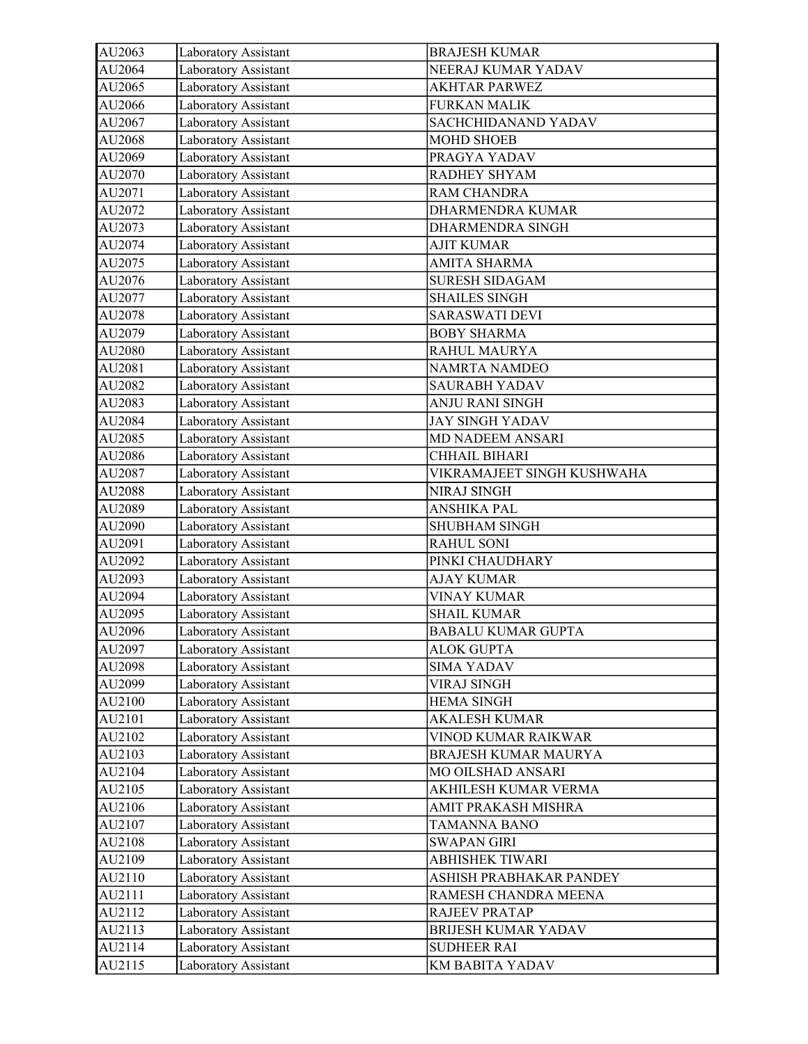| AU2063 | Laboratory Assistant | <b>BRAJESH KUMAR</b>       |
|--------|----------------------|----------------------------|
| AU2064 | Laboratory Assistant | NEERAJ KUMAR YADAV         |
| AU2065 | Laboratory Assistant | <b>AKHTAR PARWEZ</b>       |
| AU2066 | Laboratory Assistant | <b>FURKAN MALIK</b>        |
| AU2067 | Laboratory Assistant | SACHCHIDANAND YADAV        |
| AU2068 | Laboratory Assistant | <b>MOHD SHOEB</b>          |
| AU2069 | Laboratory Assistant | PRAGYA YADAV               |
| AU2070 | Laboratory Assistant | RADHEY SHYAM               |
| AU2071 | Laboratory Assistant | RAM CHANDRA                |
| AU2072 | Laboratory Assistant | DHARMENDRA KUMAR           |
| AU2073 | Laboratory Assistant | DHARMENDRA SINGH           |
| AU2074 | Laboratory Assistant | <b>AJIT KUMAR</b>          |
| AU2075 | Laboratory Assistant | <b>AMITA SHARMA</b>        |
| AU2076 | Laboratory Assistant | <b>SURESH SIDAGAM</b>      |
| AU2077 | Laboratory Assistant | <b>SHAILES SINGH</b>       |
| AU2078 | Laboratory Assistant | <b>SARASWATI DEVI</b>      |
| AU2079 | Laboratory Assistant | <b>BOBY SHARMA</b>         |
| AU2080 | Laboratory Assistant | RAHUL MAURYA               |
| AU2081 | Laboratory Assistant | <b>NAMRTA NAMDEO</b>       |
| AU2082 | Laboratory Assistant | <b>SAURABH YADAV</b>       |
| AU2083 | Laboratory Assistant | <b>ANJU RANI SINGH</b>     |
| AU2084 | Laboratory Assistant | <b>JAY SINGH YADAV</b>     |
| AU2085 | Laboratory Assistant | MD NADEEM ANSARI           |
| AU2086 | Laboratory Assistant | CHHAIL BIHARI              |
| AU2087 | Laboratory Assistant | VIKRAMAJEET SINGH KUSHWAHA |
| AU2088 | Laboratory Assistant | <b>NIRAJ SINGH</b>         |
| AU2089 | Laboratory Assistant | ANSHIKA PAL                |
| AU2090 | Laboratory Assistant | <b>SHUBHAM SINGH</b>       |
| AU2091 | Laboratory Assistant | <b>RAHUL SONI</b>          |
| AU2092 | Laboratory Assistant | PINKI CHAUDHARY            |
| AU2093 | Laboratory Assistant | <b>AJAY KUMAR</b>          |
| AU2094 | Laboratory Assistant | <b>VINAY KUMAR</b>         |
| AU2095 | Laboratory Assistant | <b>SHAIL KUMAR</b>         |
| AU2096 | Laboratory Assistant | <b>BABALU KUMAR GUPTA</b>  |
| AU2097 | Laboratory Assistant | <b>ALOK GUPTA</b>          |
| AU2098 | Laboratory Assistant | <b>SIMA YADAV</b>          |
| AU2099 | Laboratory Assistant | <b>VIRAJ SINGH</b>         |
| AU2100 | Laboratory Assistant | <b>HEMA SINGH</b>          |
| AU2101 | Laboratory Assistant | <b>AKALESH KUMAR</b>       |
| AU2102 | Laboratory Assistant | VINOD KUMAR RAIKWAR        |
| AU2103 | Laboratory Assistant | BRAJESH KUMAR MAURYA       |
| AU2104 | Laboratory Assistant | MO OILSHAD ANSARI          |
| AU2105 | Laboratory Assistant | AKHILESH KUMAR VERMA       |
| AU2106 | Laboratory Assistant | AMIT PRAKASH MISHRA        |
| AU2107 | Laboratory Assistant | <b>TAMANNA BANO</b>        |
| AU2108 | Laboratory Assistant | <b>SWAPAN GIRI</b>         |
| AU2109 | Laboratory Assistant | ABHISHEK TIWARI            |
| AU2110 | Laboratory Assistant | ASHISH PRABHAKAR PANDEY    |
| AU2111 | Laboratory Assistant | RAMESH CHANDRA MEENA       |
| AU2112 | Laboratory Assistant | <b>RAJEEV PRATAP</b>       |
| AU2113 | Laboratory Assistant | BRIJESH KUMAR YADAV        |
| AU2114 | Laboratory Assistant | <b>SUDHEER RAI</b>         |
| AU2115 | Laboratory Assistant | KM BABITA YADAV            |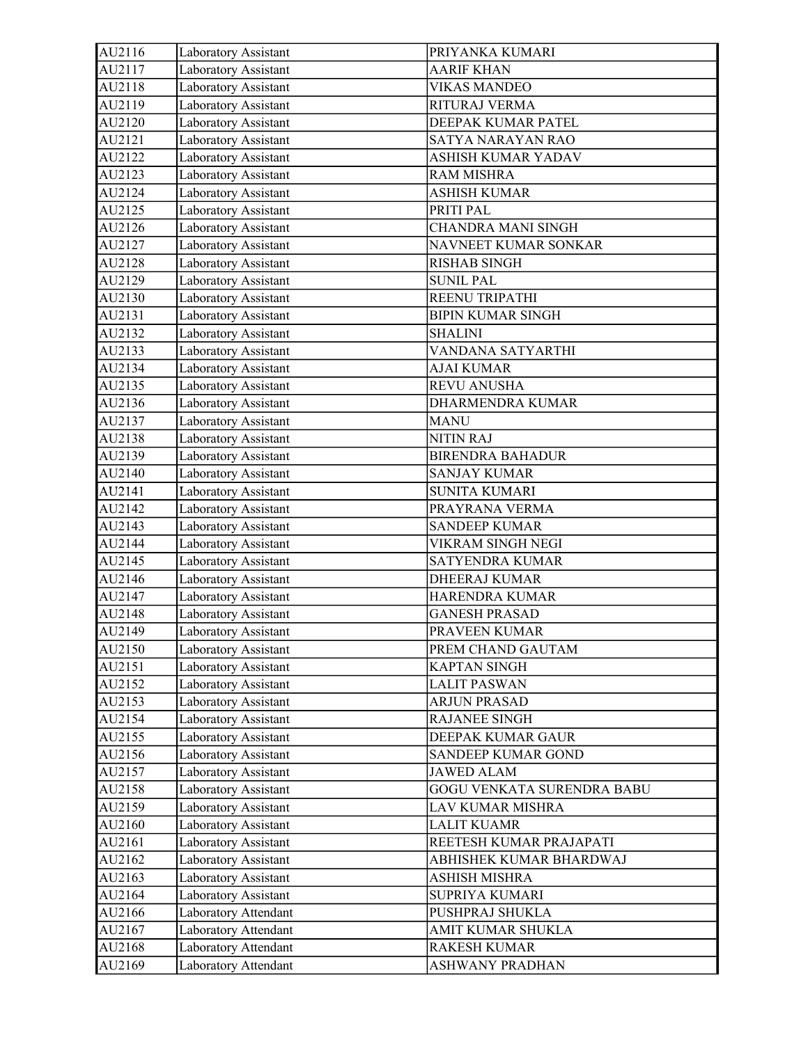| AU2116 | Laboratory Assistant | PRIYANKA KUMARI            |
|--------|----------------------|----------------------------|
| AU2117 | Laboratory Assistant | <b>AARIF KHAN</b>          |
| AU2118 | Laboratory Assistant | <b>VIKAS MANDEO</b>        |
| AU2119 | Laboratory Assistant | RITURAJ VERMA              |
| AU2120 | Laboratory Assistant | DEEPAK KUMAR PATEL         |
| AU2121 | Laboratory Assistant | SATYA NARAYAN RAO          |
| AU2122 | Laboratory Assistant | ASHISH KUMAR YADAV         |
| AU2123 | Laboratory Assistant | <b>RAM MISHRA</b>          |
| AU2124 | Laboratory Assistant | <b>ASHISH KUMAR</b>        |
| AU2125 | Laboratory Assistant | PRITI PAL                  |
| AU2126 | Laboratory Assistant | <b>CHANDRA MANI SINGH</b>  |
| AU2127 | Laboratory Assistant | NAVNEET KUMAR SONKAR       |
| AU2128 | Laboratory Assistant | <b>RISHAB SINGH</b>        |
| AU2129 | Laboratory Assistant | <b>SUNIL PAL</b>           |
| AU2130 | Laboratory Assistant | REENU TRIPATHI             |
| AU2131 | Laboratory Assistant | <b>BIPIN KUMAR SINGH</b>   |
| AU2132 | Laboratory Assistant | <b>SHALINI</b>             |
| AU2133 | Laboratory Assistant | VANDANA SATYARTHI          |
| AU2134 | Laboratory Assistant | <b>AJAI KUMAR</b>          |
| AU2135 | Laboratory Assistant | <b>REVU ANUSHA</b>         |
| AU2136 | Laboratory Assistant | <b>DHARMENDRA KUMAR</b>    |
| AU2137 | Laboratory Assistant | <b>MANU</b>                |
| AU2138 | Laboratory Assistant | <b>NITIN RAJ</b>           |
| AU2139 | Laboratory Assistant | <b>BIRENDRA BAHADUR</b>    |
| AU2140 | Laboratory Assistant | <b>SANJAY KUMAR</b>        |
| AU2141 | Laboratory Assistant | <b>SUNITA KUMARI</b>       |
| AU2142 | Laboratory Assistant | PRAYRANA VERMA             |
| AU2143 | Laboratory Assistant | <b>SANDEEP KUMAR</b>       |
| AU2144 | Laboratory Assistant | VIKRAM SINGH NEGI          |
| AU2145 | Laboratory Assistant | <b>SATYENDRA KUMAR</b>     |
| AU2146 | Laboratory Assistant | DHEERAJ KUMAR              |
| AU2147 | Laboratory Assistant | HARENDRA KUMAR             |
| AU2148 | Laboratory Assistant | <b>GANESH PRASAD</b>       |
| AU2149 | Laboratory Assistant | PRAVEEN KUMAR              |
| AU2150 | Laboratory Assistant | PREM CHAND GAUTAM          |
| AU2151 | Laboratory Assistant | <b>KAPTAN SINGH</b>        |
| AU2152 | Laboratory Assistant | <b>LALIT PASWAN</b>        |
| AU2153 | Laboratory Assistant | <b>ARJUN PRASAD</b>        |
| AU2154 | Laboratory Assistant | RAJANEE SINGH              |
| AU2155 | Laboratory Assistant | DEEPAK KUMAR GAUR          |
| AU2156 | Laboratory Assistant | SANDEEP KUMAR GOND         |
| AU2157 | Laboratory Assistant | <b>JAWED ALAM</b>          |
| AU2158 | Laboratory Assistant | GOGU VENKATA SURENDRA BABU |
| AU2159 | Laboratory Assistant | LAV KUMAR MISHRA           |
| AU2160 | Laboratory Assistant | <b>LALIT KUAMR</b>         |
| AU2161 | Laboratory Assistant | REETESH KUMAR PRAJAPATI    |
| AU2162 | Laboratory Assistant | ABHISHEK KUMAR BHARDWAJ    |
| AU2163 | Laboratory Assistant | ASHISH MISHRA              |
| AU2164 | Laboratory Assistant | SUPRIYA KUMARI             |
| AU2166 | Laboratory Attendant | PUSHPRAJ SHUKLA            |
| AU2167 | Laboratory Attendant | AMIT KUMAR SHUKLA          |
| AU2168 | Laboratory Attendant | RAKESH KUMAR               |
| AU2169 | Laboratory Attendant | ASHWANY PRADHAN            |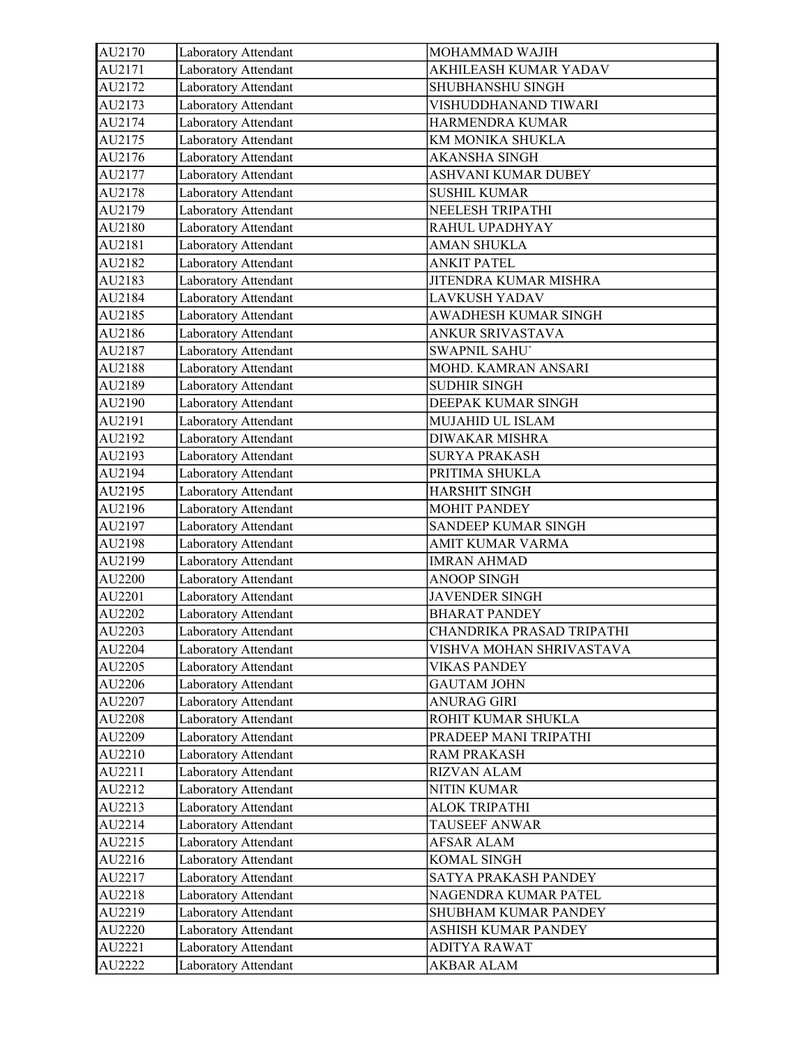| AU2170 | Laboratory Attendant | MOHAMMAD WAJIH            |
|--------|----------------------|---------------------------|
| AU2171 | Laboratory Attendant | AKHILEASH KUMAR YADAV     |
| AU2172 | Laboratory Attendant | SHUBHANSHU SINGH          |
| AU2173 | Laboratory Attendant | VISHUDDHANAND TIWARI      |
| AU2174 | Laboratory Attendant | HARMENDRA KUMAR           |
| AU2175 | Laboratory Attendant | KM MONIKA SHUKLA          |
| AU2176 | Laboratory Attendant | <b>AKANSHA SINGH</b>      |
| AU2177 | Laboratory Attendant | ASHVANI KUMAR DUBEY       |
| AU2178 | Laboratory Attendant | <b>SUSHIL KUMAR</b>       |
| AU2179 | Laboratory Attendant | NEELESH TRIPATHI          |
| AU2180 | Laboratory Attendant | RAHUL UPADHYAY            |
| AU2181 | Laboratory Attendant | <b>AMAN SHUKLA</b>        |
| AU2182 | Laboratory Attendant | <b>ANKIT PATEL</b>        |
| AU2183 | Laboratory Attendant | JITENDRA KUMAR MISHRA     |
| AU2184 | Laboratory Attendant | LAVKUSH YADAV             |
| AU2185 | Laboratory Attendant | AWADHESH KUMAR SINGH      |
| AU2186 | Laboratory Attendant | ANKUR SRIVASTAVA          |
| AU2187 | Laboratory Attendant | <b>SWAPNIL SAHU'</b>      |
| AU2188 | Laboratory Attendant | MOHD. KAMRAN ANSARI       |
| AU2189 | Laboratory Attendant | <b>SUDHIR SINGH</b>       |
| AU2190 | Laboratory Attendant | DEEPAK KUMAR SINGH        |
| AU2191 | Laboratory Attendant | MUJAHID UL ISLAM          |
| AU2192 | Laboratory Attendant | <b>DIWAKAR MISHRA</b>     |
| AU2193 | Laboratory Attendant | <b>SURYA PRAKASH</b>      |
| AU2194 | Laboratory Attendant | PRITIMA SHUKLA            |
| AU2195 | Laboratory Attendant | <b>HARSHIT SINGH</b>      |
| AU2196 | Laboratory Attendant | <b>MOHIT PANDEY</b>       |
| AU2197 | Laboratory Attendant | SANDEEP KUMAR SINGH       |
| AU2198 | Laboratory Attendant | AMIT KUMAR VARMA          |
| AU2199 | Laboratory Attendant | <b>IMRAN AHMAD</b>        |
| AU2200 | Laboratory Attendant | <b>ANOOP SINGH</b>        |
| AU2201 | Laboratory Attendant | <b>JAVENDER SINGH</b>     |
| AU2202 | Laboratory Attendant | <b>BHARAT PANDEY</b>      |
| AU2203 | Laboratory Attendant | CHANDRIKA PRASAD TRIPATHI |
| AU2204 | Laboratory Attendant | VISHVA MOHAN SHRIVASTAVA  |
| AU2205 | Laboratory Attendant | <b>VIKAS PANDEY</b>       |
| AU2206 | Laboratory Attendant | <b>GAUTAM JOHN</b>        |
| AU2207 | Laboratory Attendant | <b>ANURAG GIRI</b>        |
| AU2208 | Laboratory Attendant | ROHIT KUMAR SHUKLA        |
| AU2209 | Laboratory Attendant | PRADEEP MANI TRIPATHI     |
| AU2210 | Laboratory Attendant | <b>RAM PRAKASH</b>        |
| AU2211 | Laboratory Attendant | <b>RIZVAN ALAM</b>        |
| AU2212 | Laboratory Attendant | <b>NITIN KUMAR</b>        |
| AU2213 | Laboratory Attendant | <b>ALOK TRIPATHI</b>      |
| AU2214 | Laboratory Attendant | TAUSEEF ANWAR             |
| AU2215 | Laboratory Attendant | AFSAR ALAM                |
| AU2216 | Laboratory Attendant | KOMAL SINGH               |
| AU2217 | Laboratory Attendant | SATYA PRAKASH PANDEY      |
| AU2218 | Laboratory Attendant | NAGENDRA KUMAR PATEL      |
| AU2219 | Laboratory Attendant | SHUBHAM KUMAR PANDEY      |
| AU2220 | Laboratory Attendant | ASHISH KUMAR PANDEY       |
| AU2221 | Laboratory Attendant | ADITYA RAWAT              |
| AU2222 | Laboratory Attendant | AKBAR ALAM                |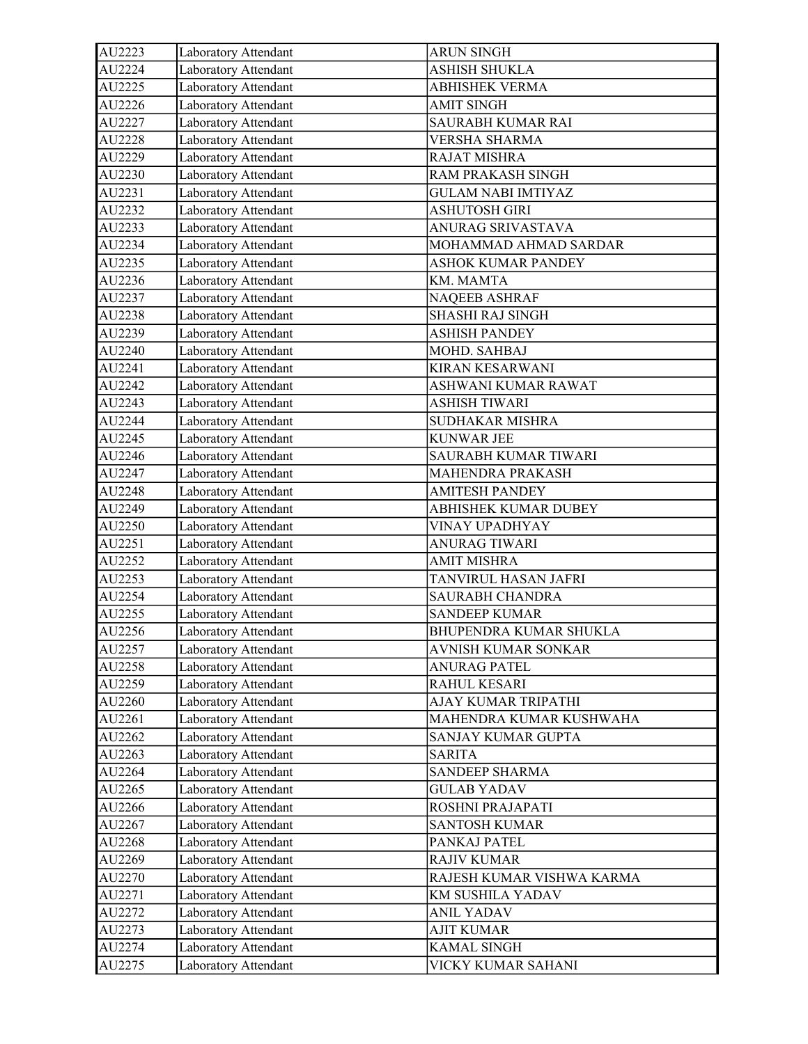| AU2224<br>Laboratory Attendant<br><b>ASHISH SHUKLA</b><br>AU2225<br>Laboratory Attendant<br><b>ABHISHEK VERMA</b><br>AU2226<br>Laboratory Attendant<br><b>AMIT SINGH</b><br>AU2227<br>Laboratory Attendant<br>SAURABH KUMAR RAI<br>AU2228<br>Laboratory Attendant<br><b>VERSHA SHARMA</b><br>AU2229<br>Laboratory Attendant<br><b>RAJAT MISHRA</b><br>AU2230<br>RAM PRAKASH SINGH<br>Laboratory Attendant<br>AU2231<br>Laboratory Attendant<br><b>GULAM NABI IMTIYAZ</b><br>Laboratory Attendant<br>AU2232<br><b>ASHUTOSH GIRI</b><br>Laboratory Attendant<br>AU2233<br>ANURAG SRIVASTAVA<br>AU2234<br>Laboratory Attendant<br>MOHAMMAD AHMAD SARDAR<br>AU2235<br>Laboratory Attendant<br>ASHOK KUMAR PANDEY<br>AU2236<br>Laboratory Attendant<br>KM. MAMTA<br>AU2237<br>Laboratory Attendant<br>NAQEEB ASHRAF<br>AU2238<br>Laboratory Attendant<br><b>SHASHI RAJ SINGH</b><br>AU2239<br>Laboratory Attendant<br><b>ASHISH PANDEY</b><br>Laboratory Attendant<br>MOHD. SAHBAJ<br>AU2240<br>AU2241<br>Laboratory Attendant<br><b>KIRAN KESARWANI</b><br>Laboratory Attendant<br>AU2242<br>ASHWANI KUMAR RAWAT<br>AU2243<br>Laboratory Attendant<br><b>ASHISH TIWARI</b><br>AU2244<br>SUDHAKAR MISHRA<br>Laboratory Attendant<br>AU2245<br>Laboratory Attendant<br><b>KUNWAR JEE</b><br>AU2246<br>Laboratory Attendant<br>SAURABH KUMAR TIWARI<br>AU2247<br>Laboratory Attendant<br>MAHENDRA PRAKASH<br>AU2248<br>Laboratory Attendant<br><b>AMITESH PANDEY</b><br>Laboratory Attendant<br>AU2249<br>ABHISHEK KUMAR DUBEY<br>AU2250<br>Laboratory Attendant<br>VINAY UPADHYAY<br>AU2251<br>Laboratory Attendant<br>ANURAG TIWARI<br>AU2252<br>Laboratory Attendant<br><b>AMIT MISHRA</b><br>AU2253<br>Laboratory Attendant<br>TANVIRUL HASAN JAFRI<br>Laboratory Attendant<br>AU2254<br>SAURABH CHANDRA<br>AU2255<br>Laboratory Attendant<br><b>SANDEEP KUMAR</b><br>AU2256<br>Laboratory Attendant<br>BHUPENDRA KUMAR SHUKLA<br>AVNISH KUMAR SONKAR<br>AU2257<br>Laboratory Attendant<br>AU2258<br>Laboratory Attendant<br><b>ANURAG PATEL</b><br>Laboratory Attendant<br>RAHUL KESARI<br>AU2259<br>Laboratory Attendant<br>AJAY KUMAR TRIPATHI<br>AU2260<br>Laboratory Attendant<br>MAHENDRA KUMAR KUSHWAHA<br>AU2261<br>Laboratory Attendant<br>AU2262<br>SANJAY KUMAR GUPTA |
|-------------------------------------------------------------------------------------------------------------------------------------------------------------------------------------------------------------------------------------------------------------------------------------------------------------------------------------------------------------------------------------------------------------------------------------------------------------------------------------------------------------------------------------------------------------------------------------------------------------------------------------------------------------------------------------------------------------------------------------------------------------------------------------------------------------------------------------------------------------------------------------------------------------------------------------------------------------------------------------------------------------------------------------------------------------------------------------------------------------------------------------------------------------------------------------------------------------------------------------------------------------------------------------------------------------------------------------------------------------------------------------------------------------------------------------------------------------------------------------------------------------------------------------------------------------------------------------------------------------------------------------------------------------------------------------------------------------------------------------------------------------------------------------------------------------------------------------------------------------------------------------------------------------------------------------------------------------------------------------------------------------------------------------------------------------------------------------------------------------------------------------------------------------------------------------------------------------------------------------------------------------------------------|
|                                                                                                                                                                                                                                                                                                                                                                                                                                                                                                                                                                                                                                                                                                                                                                                                                                                                                                                                                                                                                                                                                                                                                                                                                                                                                                                                                                                                                                                                                                                                                                                                                                                                                                                                                                                                                                                                                                                                                                                                                                                                                                                                                                                                                                                                               |
|                                                                                                                                                                                                                                                                                                                                                                                                                                                                                                                                                                                                                                                                                                                                                                                                                                                                                                                                                                                                                                                                                                                                                                                                                                                                                                                                                                                                                                                                                                                                                                                                                                                                                                                                                                                                                                                                                                                                                                                                                                                                                                                                                                                                                                                                               |
|                                                                                                                                                                                                                                                                                                                                                                                                                                                                                                                                                                                                                                                                                                                                                                                                                                                                                                                                                                                                                                                                                                                                                                                                                                                                                                                                                                                                                                                                                                                                                                                                                                                                                                                                                                                                                                                                                                                                                                                                                                                                                                                                                                                                                                                                               |
|                                                                                                                                                                                                                                                                                                                                                                                                                                                                                                                                                                                                                                                                                                                                                                                                                                                                                                                                                                                                                                                                                                                                                                                                                                                                                                                                                                                                                                                                                                                                                                                                                                                                                                                                                                                                                                                                                                                                                                                                                                                                                                                                                                                                                                                                               |
|                                                                                                                                                                                                                                                                                                                                                                                                                                                                                                                                                                                                                                                                                                                                                                                                                                                                                                                                                                                                                                                                                                                                                                                                                                                                                                                                                                                                                                                                                                                                                                                                                                                                                                                                                                                                                                                                                                                                                                                                                                                                                                                                                                                                                                                                               |
|                                                                                                                                                                                                                                                                                                                                                                                                                                                                                                                                                                                                                                                                                                                                                                                                                                                                                                                                                                                                                                                                                                                                                                                                                                                                                                                                                                                                                                                                                                                                                                                                                                                                                                                                                                                                                                                                                                                                                                                                                                                                                                                                                                                                                                                                               |
|                                                                                                                                                                                                                                                                                                                                                                                                                                                                                                                                                                                                                                                                                                                                                                                                                                                                                                                                                                                                                                                                                                                                                                                                                                                                                                                                                                                                                                                                                                                                                                                                                                                                                                                                                                                                                                                                                                                                                                                                                                                                                                                                                                                                                                                                               |
|                                                                                                                                                                                                                                                                                                                                                                                                                                                                                                                                                                                                                                                                                                                                                                                                                                                                                                                                                                                                                                                                                                                                                                                                                                                                                                                                                                                                                                                                                                                                                                                                                                                                                                                                                                                                                                                                                                                                                                                                                                                                                                                                                                                                                                                                               |
|                                                                                                                                                                                                                                                                                                                                                                                                                                                                                                                                                                                                                                                                                                                                                                                                                                                                                                                                                                                                                                                                                                                                                                                                                                                                                                                                                                                                                                                                                                                                                                                                                                                                                                                                                                                                                                                                                                                                                                                                                                                                                                                                                                                                                                                                               |
|                                                                                                                                                                                                                                                                                                                                                                                                                                                                                                                                                                                                                                                                                                                                                                                                                                                                                                                                                                                                                                                                                                                                                                                                                                                                                                                                                                                                                                                                                                                                                                                                                                                                                                                                                                                                                                                                                                                                                                                                                                                                                                                                                                                                                                                                               |
|                                                                                                                                                                                                                                                                                                                                                                                                                                                                                                                                                                                                                                                                                                                                                                                                                                                                                                                                                                                                                                                                                                                                                                                                                                                                                                                                                                                                                                                                                                                                                                                                                                                                                                                                                                                                                                                                                                                                                                                                                                                                                                                                                                                                                                                                               |
|                                                                                                                                                                                                                                                                                                                                                                                                                                                                                                                                                                                                                                                                                                                                                                                                                                                                                                                                                                                                                                                                                                                                                                                                                                                                                                                                                                                                                                                                                                                                                                                                                                                                                                                                                                                                                                                                                                                                                                                                                                                                                                                                                                                                                                                                               |
|                                                                                                                                                                                                                                                                                                                                                                                                                                                                                                                                                                                                                                                                                                                                                                                                                                                                                                                                                                                                                                                                                                                                                                                                                                                                                                                                                                                                                                                                                                                                                                                                                                                                                                                                                                                                                                                                                                                                                                                                                                                                                                                                                                                                                                                                               |
|                                                                                                                                                                                                                                                                                                                                                                                                                                                                                                                                                                                                                                                                                                                                                                                                                                                                                                                                                                                                                                                                                                                                                                                                                                                                                                                                                                                                                                                                                                                                                                                                                                                                                                                                                                                                                                                                                                                                                                                                                                                                                                                                                                                                                                                                               |
|                                                                                                                                                                                                                                                                                                                                                                                                                                                                                                                                                                                                                                                                                                                                                                                                                                                                                                                                                                                                                                                                                                                                                                                                                                                                                                                                                                                                                                                                                                                                                                                                                                                                                                                                                                                                                                                                                                                                                                                                                                                                                                                                                                                                                                                                               |
|                                                                                                                                                                                                                                                                                                                                                                                                                                                                                                                                                                                                                                                                                                                                                                                                                                                                                                                                                                                                                                                                                                                                                                                                                                                                                                                                                                                                                                                                                                                                                                                                                                                                                                                                                                                                                                                                                                                                                                                                                                                                                                                                                                                                                                                                               |
|                                                                                                                                                                                                                                                                                                                                                                                                                                                                                                                                                                                                                                                                                                                                                                                                                                                                                                                                                                                                                                                                                                                                                                                                                                                                                                                                                                                                                                                                                                                                                                                                                                                                                                                                                                                                                                                                                                                                                                                                                                                                                                                                                                                                                                                                               |
|                                                                                                                                                                                                                                                                                                                                                                                                                                                                                                                                                                                                                                                                                                                                                                                                                                                                                                                                                                                                                                                                                                                                                                                                                                                                                                                                                                                                                                                                                                                                                                                                                                                                                                                                                                                                                                                                                                                                                                                                                                                                                                                                                                                                                                                                               |
|                                                                                                                                                                                                                                                                                                                                                                                                                                                                                                                                                                                                                                                                                                                                                                                                                                                                                                                                                                                                                                                                                                                                                                                                                                                                                                                                                                                                                                                                                                                                                                                                                                                                                                                                                                                                                                                                                                                                                                                                                                                                                                                                                                                                                                                                               |
|                                                                                                                                                                                                                                                                                                                                                                                                                                                                                                                                                                                                                                                                                                                                                                                                                                                                                                                                                                                                                                                                                                                                                                                                                                                                                                                                                                                                                                                                                                                                                                                                                                                                                                                                                                                                                                                                                                                                                                                                                                                                                                                                                                                                                                                                               |
|                                                                                                                                                                                                                                                                                                                                                                                                                                                                                                                                                                                                                                                                                                                                                                                                                                                                                                                                                                                                                                                                                                                                                                                                                                                                                                                                                                                                                                                                                                                                                                                                                                                                                                                                                                                                                                                                                                                                                                                                                                                                                                                                                                                                                                                                               |
|                                                                                                                                                                                                                                                                                                                                                                                                                                                                                                                                                                                                                                                                                                                                                                                                                                                                                                                                                                                                                                                                                                                                                                                                                                                                                                                                                                                                                                                                                                                                                                                                                                                                                                                                                                                                                                                                                                                                                                                                                                                                                                                                                                                                                                                                               |
|                                                                                                                                                                                                                                                                                                                                                                                                                                                                                                                                                                                                                                                                                                                                                                                                                                                                                                                                                                                                                                                                                                                                                                                                                                                                                                                                                                                                                                                                                                                                                                                                                                                                                                                                                                                                                                                                                                                                                                                                                                                                                                                                                                                                                                                                               |
|                                                                                                                                                                                                                                                                                                                                                                                                                                                                                                                                                                                                                                                                                                                                                                                                                                                                                                                                                                                                                                                                                                                                                                                                                                                                                                                                                                                                                                                                                                                                                                                                                                                                                                                                                                                                                                                                                                                                                                                                                                                                                                                                                                                                                                                                               |
|                                                                                                                                                                                                                                                                                                                                                                                                                                                                                                                                                                                                                                                                                                                                                                                                                                                                                                                                                                                                                                                                                                                                                                                                                                                                                                                                                                                                                                                                                                                                                                                                                                                                                                                                                                                                                                                                                                                                                                                                                                                                                                                                                                                                                                                                               |
|                                                                                                                                                                                                                                                                                                                                                                                                                                                                                                                                                                                                                                                                                                                                                                                                                                                                                                                                                                                                                                                                                                                                                                                                                                                                                                                                                                                                                                                                                                                                                                                                                                                                                                                                                                                                                                                                                                                                                                                                                                                                                                                                                                                                                                                                               |
|                                                                                                                                                                                                                                                                                                                                                                                                                                                                                                                                                                                                                                                                                                                                                                                                                                                                                                                                                                                                                                                                                                                                                                                                                                                                                                                                                                                                                                                                                                                                                                                                                                                                                                                                                                                                                                                                                                                                                                                                                                                                                                                                                                                                                                                                               |
|                                                                                                                                                                                                                                                                                                                                                                                                                                                                                                                                                                                                                                                                                                                                                                                                                                                                                                                                                                                                                                                                                                                                                                                                                                                                                                                                                                                                                                                                                                                                                                                                                                                                                                                                                                                                                                                                                                                                                                                                                                                                                                                                                                                                                                                                               |
|                                                                                                                                                                                                                                                                                                                                                                                                                                                                                                                                                                                                                                                                                                                                                                                                                                                                                                                                                                                                                                                                                                                                                                                                                                                                                                                                                                                                                                                                                                                                                                                                                                                                                                                                                                                                                                                                                                                                                                                                                                                                                                                                                                                                                                                                               |
|                                                                                                                                                                                                                                                                                                                                                                                                                                                                                                                                                                                                                                                                                                                                                                                                                                                                                                                                                                                                                                                                                                                                                                                                                                                                                                                                                                                                                                                                                                                                                                                                                                                                                                                                                                                                                                                                                                                                                                                                                                                                                                                                                                                                                                                                               |
|                                                                                                                                                                                                                                                                                                                                                                                                                                                                                                                                                                                                                                                                                                                                                                                                                                                                                                                                                                                                                                                                                                                                                                                                                                                                                                                                                                                                                                                                                                                                                                                                                                                                                                                                                                                                                                                                                                                                                                                                                                                                                                                                                                                                                                                                               |
|                                                                                                                                                                                                                                                                                                                                                                                                                                                                                                                                                                                                                                                                                                                                                                                                                                                                                                                                                                                                                                                                                                                                                                                                                                                                                                                                                                                                                                                                                                                                                                                                                                                                                                                                                                                                                                                                                                                                                                                                                                                                                                                                                                                                                                                                               |
|                                                                                                                                                                                                                                                                                                                                                                                                                                                                                                                                                                                                                                                                                                                                                                                                                                                                                                                                                                                                                                                                                                                                                                                                                                                                                                                                                                                                                                                                                                                                                                                                                                                                                                                                                                                                                                                                                                                                                                                                                                                                                                                                                                                                                                                                               |
|                                                                                                                                                                                                                                                                                                                                                                                                                                                                                                                                                                                                                                                                                                                                                                                                                                                                                                                                                                                                                                                                                                                                                                                                                                                                                                                                                                                                                                                                                                                                                                                                                                                                                                                                                                                                                                                                                                                                                                                                                                                                                                                                                                                                                                                                               |
|                                                                                                                                                                                                                                                                                                                                                                                                                                                                                                                                                                                                                                                                                                                                                                                                                                                                                                                                                                                                                                                                                                                                                                                                                                                                                                                                                                                                                                                                                                                                                                                                                                                                                                                                                                                                                                                                                                                                                                                                                                                                                                                                                                                                                                                                               |
|                                                                                                                                                                                                                                                                                                                                                                                                                                                                                                                                                                                                                                                                                                                                                                                                                                                                                                                                                                                                                                                                                                                                                                                                                                                                                                                                                                                                                                                                                                                                                                                                                                                                                                                                                                                                                                                                                                                                                                                                                                                                                                                                                                                                                                                                               |
|                                                                                                                                                                                                                                                                                                                                                                                                                                                                                                                                                                                                                                                                                                                                                                                                                                                                                                                                                                                                                                                                                                                                                                                                                                                                                                                                                                                                                                                                                                                                                                                                                                                                                                                                                                                                                                                                                                                                                                                                                                                                                                                                                                                                                                                                               |
|                                                                                                                                                                                                                                                                                                                                                                                                                                                                                                                                                                                                                                                                                                                                                                                                                                                                                                                                                                                                                                                                                                                                                                                                                                                                                                                                                                                                                                                                                                                                                                                                                                                                                                                                                                                                                                                                                                                                                                                                                                                                                                                                                                                                                                                                               |
|                                                                                                                                                                                                                                                                                                                                                                                                                                                                                                                                                                                                                                                                                                                                                                                                                                                                                                                                                                                                                                                                                                                                                                                                                                                                                                                                                                                                                                                                                                                                                                                                                                                                                                                                                                                                                                                                                                                                                                                                                                                                                                                                                                                                                                                                               |
| Laboratory Attendant<br>AU2263<br><b>SARITA</b>                                                                                                                                                                                                                                                                                                                                                                                                                                                                                                                                                                                                                                                                                                                                                                                                                                                                                                                                                                                                                                                                                                                                                                                                                                                                                                                                                                                                                                                                                                                                                                                                                                                                                                                                                                                                                                                                                                                                                                                                                                                                                                                                                                                                                               |
| Laboratory Attendant<br>SANDEEP SHARMA<br>AU2264                                                                                                                                                                                                                                                                                                                                                                                                                                                                                                                                                                                                                                                                                                                                                                                                                                                                                                                                                                                                                                                                                                                                                                                                                                                                                                                                                                                                                                                                                                                                                                                                                                                                                                                                                                                                                                                                                                                                                                                                                                                                                                                                                                                                                              |
| Laboratory Attendant<br>AU2265<br><b>GULAB YADAV</b>                                                                                                                                                                                                                                                                                                                                                                                                                                                                                                                                                                                                                                                                                                                                                                                                                                                                                                                                                                                                                                                                                                                                                                                                                                                                                                                                                                                                                                                                                                                                                                                                                                                                                                                                                                                                                                                                                                                                                                                                                                                                                                                                                                                                                          |
| Laboratory Attendant<br>AU2266<br>ROSHNI PRAJAPATI                                                                                                                                                                                                                                                                                                                                                                                                                                                                                                                                                                                                                                                                                                                                                                                                                                                                                                                                                                                                                                                                                                                                                                                                                                                                                                                                                                                                                                                                                                                                                                                                                                                                                                                                                                                                                                                                                                                                                                                                                                                                                                                                                                                                                            |
| Laboratory Attendant<br><b>SANTOSH KUMAR</b><br>AU2267                                                                                                                                                                                                                                                                                                                                                                                                                                                                                                                                                                                                                                                                                                                                                                                                                                                                                                                                                                                                                                                                                                                                                                                                                                                                                                                                                                                                                                                                                                                                                                                                                                                                                                                                                                                                                                                                                                                                                                                                                                                                                                                                                                                                                        |
| Laboratory Attendant<br>PANKAJ PATEL<br>AU2268                                                                                                                                                                                                                                                                                                                                                                                                                                                                                                                                                                                                                                                                                                                                                                                                                                                                                                                                                                                                                                                                                                                                                                                                                                                                                                                                                                                                                                                                                                                                                                                                                                                                                                                                                                                                                                                                                                                                                                                                                                                                                                                                                                                                                                |
| Laboratory Attendant<br><b>RAJIV KUMAR</b><br>AU2269                                                                                                                                                                                                                                                                                                                                                                                                                                                                                                                                                                                                                                                                                                                                                                                                                                                                                                                                                                                                                                                                                                                                                                                                                                                                                                                                                                                                                                                                                                                                                                                                                                                                                                                                                                                                                                                                                                                                                                                                                                                                                                                                                                                                                          |
| Laboratory Attendant<br>AU2270<br>RAJESH KUMAR VISHWA KARMA                                                                                                                                                                                                                                                                                                                                                                                                                                                                                                                                                                                                                                                                                                                                                                                                                                                                                                                                                                                                                                                                                                                                                                                                                                                                                                                                                                                                                                                                                                                                                                                                                                                                                                                                                                                                                                                                                                                                                                                                                                                                                                                                                                                                                   |
| Laboratory Attendant<br>KM SUSHILA YADAV<br>AU2271                                                                                                                                                                                                                                                                                                                                                                                                                                                                                                                                                                                                                                                                                                                                                                                                                                                                                                                                                                                                                                                                                                                                                                                                                                                                                                                                                                                                                                                                                                                                                                                                                                                                                                                                                                                                                                                                                                                                                                                                                                                                                                                                                                                                                            |
| Laboratory Attendant<br><b>ANIL YADAV</b><br>AU2272                                                                                                                                                                                                                                                                                                                                                                                                                                                                                                                                                                                                                                                                                                                                                                                                                                                                                                                                                                                                                                                                                                                                                                                                                                                                                                                                                                                                                                                                                                                                                                                                                                                                                                                                                                                                                                                                                                                                                                                                                                                                                                                                                                                                                           |
| Laboratory Attendant<br>AU2273<br><b>AJIT KUMAR</b>                                                                                                                                                                                                                                                                                                                                                                                                                                                                                                                                                                                                                                                                                                                                                                                                                                                                                                                                                                                                                                                                                                                                                                                                                                                                                                                                                                                                                                                                                                                                                                                                                                                                                                                                                                                                                                                                                                                                                                                                                                                                                                                                                                                                                           |
| AU2274<br>Laboratory Attendant<br>KAMAL SINGH                                                                                                                                                                                                                                                                                                                                                                                                                                                                                                                                                                                                                                                                                                                                                                                                                                                                                                                                                                                                                                                                                                                                                                                                                                                                                                                                                                                                                                                                                                                                                                                                                                                                                                                                                                                                                                                                                                                                                                                                                                                                                                                                                                                                                                 |
| AU2275<br>Laboratory Attendant<br>VICKY KUMAR SAHANI                                                                                                                                                                                                                                                                                                                                                                                                                                                                                                                                                                                                                                                                                                                                                                                                                                                                                                                                                                                                                                                                                                                                                                                                                                                                                                                                                                                                                                                                                                                                                                                                                                                                                                                                                                                                                                                                                                                                                                                                                                                                                                                                                                                                                          |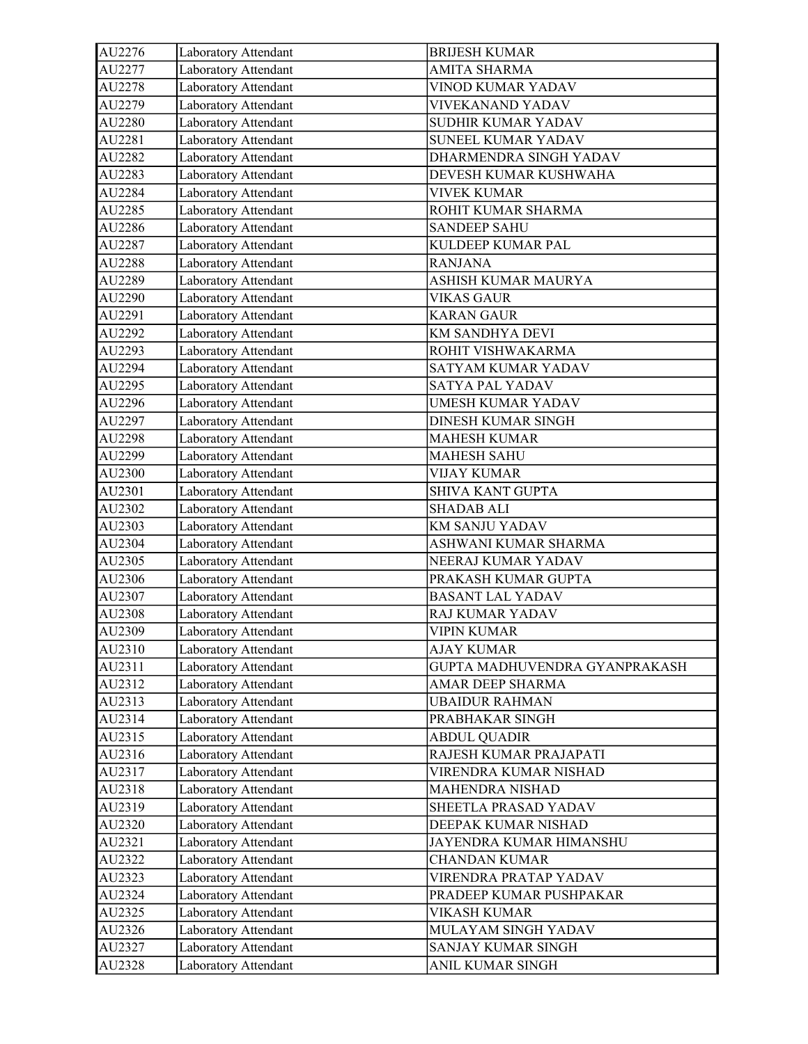| AU2276 | Laboratory Attendant | <b>BRIJESH KUMAR</b>          |
|--------|----------------------|-------------------------------|
| AU2277 | Laboratory Attendant | <b>AMITA SHARMA</b>           |
| AU2278 | Laboratory Attendant | <b>VINOD KUMAR YADAV</b>      |
| AU2279 | Laboratory Attendant | VIVEKANAND YADAV              |
| AU2280 | Laboratory Attendant | SUDHIR KUMAR YADAV            |
| AU2281 | Laboratory Attendant | SUNEEL KUMAR YADAV            |
| AU2282 | Laboratory Attendant | DHARMENDRA SINGH YADAV        |
| AU2283 | Laboratory Attendant | DEVESH KUMAR KUSHWAHA         |
| AU2284 | Laboratory Attendant | <b>VIVEK KUMAR</b>            |
| AU2285 | Laboratory Attendant | ROHIT KUMAR SHARMA            |
| AU2286 | Laboratory Attendant | <b>SANDEEP SAHU</b>           |
| AU2287 | Laboratory Attendant | KULDEEP KUMAR PAL             |
| AU2288 | Laboratory Attendant | <b>RANJANA</b>                |
| AU2289 | Laboratory Attendant | ASHISH KUMAR MAURYA           |
| AU2290 | Laboratory Attendant | <b>VIKAS GAUR</b>             |
| AU2291 | Laboratory Attendant | <b>KARAN GAUR</b>             |
| AU2292 | Laboratory Attendant | KM SANDHYA DEVI               |
| AU2293 | Laboratory Attendant | ROHIT VISHWAKARMA             |
| AU2294 | Laboratory Attendant | SATYAM KUMAR YADAV            |
| AU2295 | Laboratory Attendant | SATYA PAL YADAV               |
| AU2296 | Laboratory Attendant | <b>UMESH KUMAR YADAV</b>      |
| AU2297 | Laboratory Attendant | DINESH KUMAR SINGH            |
| AU2298 | Laboratory Attendant | <b>MAHESH KUMAR</b>           |
| AU2299 | Laboratory Attendant | <b>MAHESH SAHU</b>            |
| AU2300 | Laboratory Attendant | <b>VIJAY KUMAR</b>            |
| AU2301 | Laboratory Attendant | <b>SHIVA KANT GUPTA</b>       |
| AU2302 | Laboratory Attendant | <b>SHADAB ALI</b>             |
| AU2303 | Laboratory Attendant | KM SANJU YADAV                |
| AU2304 | Laboratory Attendant | ASHWANI KUMAR SHARMA          |
| AU2305 | Laboratory Attendant | NEERAJ KUMAR YADAV            |
| AU2306 | Laboratory Attendant | PRAKASH KUMAR GUPTA           |
| AU2307 | Laboratory Attendant | <b>BASANT LAL YADAV</b>       |
| AU2308 | Laboratory Attendant | RAJ KUMAR YADAV               |
| AU2309 | Laboratory Attendant | <b>VIPIN KUMAR</b>            |
| AU2310 | Laboratory Attendant | <b>AJAY KUMAR</b>             |
| AU2311 | Laboratory Attendant | GUPTA MADHUVENDRA GYANPRAKASH |
| AU2312 | Laboratory Attendant | AMAR DEEP SHARMA              |
| AU2313 | Laboratory Attendant | <b>UBAIDUR RAHMAN</b>         |
| AU2314 | Laboratory Attendant | PRABHAKAR SINGH               |
| AU2315 | Laboratory Attendant | <b>ABDUL QUADIR</b>           |
| AU2316 | Laboratory Attendant | RAJESH KUMAR PRAJAPATI        |
| AU2317 | Laboratory Attendant | VIRENDRA KUMAR NISHAD         |
| AU2318 | Laboratory Attendant | <b>MAHENDRA NISHAD</b>        |
| AU2319 | Laboratory Attendant | SHEETLA PRASAD YADAV          |
| AU2320 | Laboratory Attendant | DEEPAK KUMAR NISHAD           |
| AU2321 | Laboratory Attendant | JAYENDRA KUMAR HIMANSHU       |
| AU2322 | Laboratory Attendant | <b>CHANDAN KUMAR</b>          |
| AU2323 | Laboratory Attendant | VIRENDRA PRATAP YADAV         |
| AU2324 | Laboratory Attendant | PRADEEP KUMAR PUSHPAKAR       |
| AU2325 | Laboratory Attendant | <b>VIKASH KUMAR</b>           |
| AU2326 | Laboratory Attendant | MULAYAM SINGH YADAV           |
| AU2327 | Laboratory Attendant | SANJAY KUMAR SINGH            |
| AU2328 | Laboratory Attendant | ANIL KUMAR SINGH              |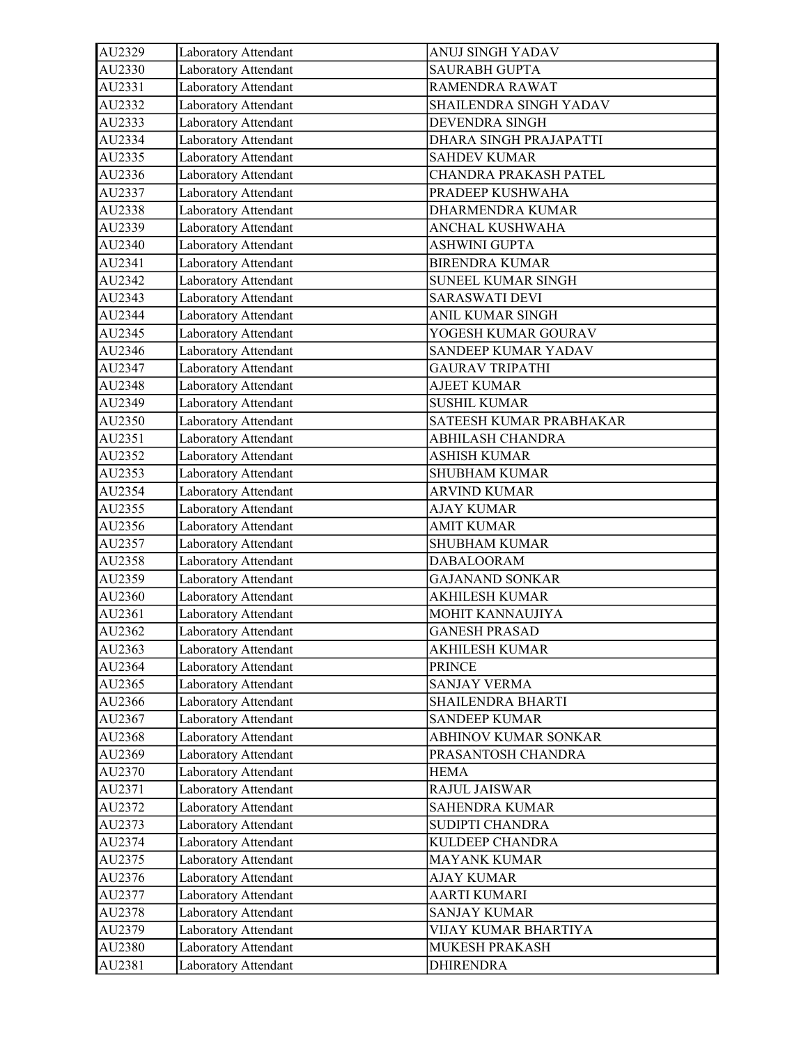| AU2329 | Laboratory Attendant | ANUJ SINGH YADAV        |
|--------|----------------------|-------------------------|
| AU2330 | Laboratory Attendant | <b>SAURABH GUPTA</b>    |
| AU2331 | Laboratory Attendant | RAMENDRA RAWAT          |
| AU2332 | Laboratory Attendant | SHAILENDRA SINGH YADAV  |
| AU2333 | Laboratory Attendant | <b>DEVENDRA SINGH</b>   |
| AU2334 | Laboratory Attendant | DHARA SINGH PRAJAPATTI  |
| AU2335 | Laboratory Attendant | <b>SAHDEV KUMAR</b>     |
| AU2336 | Laboratory Attendant | CHANDRA PRAKASH PATEL   |
| AU2337 | Laboratory Attendant | PRADEEP KUSHWAHA        |
| AU2338 | Laboratory Attendant | DHARMENDRA KUMAR        |
| AU2339 | Laboratory Attendant | ANCHAL KUSHWAHA         |
| AU2340 | Laboratory Attendant | <b>ASHWINI GUPTA</b>    |
| AU2341 | Laboratory Attendant | <b>BIRENDRA KUMAR</b>   |
| AU2342 | Laboratory Attendant | SUNEEL KUMAR SINGH      |
| AU2343 | Laboratory Attendant | <b>SARASWATI DEVI</b>   |
| AU2344 | Laboratory Attendant | ANIL KUMAR SINGH        |
| AU2345 | Laboratory Attendant | YOGESH KUMAR GOURAV     |
| AU2346 | Laboratory Attendant | SANDEEP KUMAR YADAV     |
| AU2347 | Laboratory Attendant | <b>GAURAV TRIPATHI</b>  |
| AU2348 | Laboratory Attendant | <b>AJEET KUMAR</b>      |
| AU2349 | Laboratory Attendant | <b>SUSHIL KUMAR</b>     |
| AU2350 | Laboratory Attendant | SATEESH KUMAR PRABHAKAR |
| AU2351 | Laboratory Attendant | ABHILASH CHANDRA        |
| AU2352 | Laboratory Attendant | <b>ASHISH KUMAR</b>     |
| AU2353 | Laboratory Attendant | <b>SHUBHAM KUMAR</b>    |
| AU2354 | Laboratory Attendant | <b>ARVIND KUMAR</b>     |
| AU2355 | Laboratory Attendant | <b>AJAY KUMAR</b>       |
| AU2356 | Laboratory Attendant | <b>AMIT KUMAR</b>       |
| AU2357 | Laboratory Attendant | <b>SHUBHAM KUMAR</b>    |
| AU2358 | Laboratory Attendant | <b>DABALOORAM</b>       |
| AU2359 | Laboratory Attendant | <b>GAJANAND SONKAR</b>  |
| AU2360 | Laboratory Attendant | <b>AKHILESH KUMAR</b>   |
| AU2361 | Laboratory Attendant | MOHIT KANNAUJIYA        |
| AU2362 | Laboratory Attendant | <b>GANESH PRASAD</b>    |
| AU2363 | Laboratory Attendant | <b>AKHILESH KUMAR</b>   |
| AU2364 | Laboratory Attendant | <b>PRINCE</b>           |
| AU2365 | Laboratory Attendant | <b>SANJAY VERMA</b>     |
| AU2366 | Laboratory Attendant | SHAILENDRA BHARTI       |
| AU2367 | Laboratory Attendant | <b>SANDEEP KUMAR</b>    |
| AU2368 | Laboratory Attendant | ABHINOV KUMAR SONKAR    |
| AU2369 | Laboratory Attendant | PRASANTOSH CHANDRA      |
| AU2370 | Laboratory Attendant | <b>HEMA</b>             |
| AU2371 | Laboratory Attendant | <b>RAJUL JAISWAR</b>    |
| AU2372 | Laboratory Attendant | <b>SAHENDRA KUMAR</b>   |
| AU2373 | Laboratory Attendant | SUDIPTI CHANDRA         |
| AU2374 | Laboratory Attendant | KULDEEP CHANDRA         |
| AU2375 | Laboratory Attendant | MAYANK KUMAR            |
| AU2376 | Laboratory Attendant | <b>AJAY KUMAR</b>       |
| AU2377 | Laboratory Attendant | <b>AARTI KUMARI</b>     |
| AU2378 | Laboratory Attendant | <b>SANJAY KUMAR</b>     |
| AU2379 | Laboratory Attendant | VIJAY KUMAR BHARTIYA    |
| AU2380 | Laboratory Attendant | MUKESH PRAKASH          |
| AU2381 | Laboratory Attendant | <b>DHIRENDRA</b>        |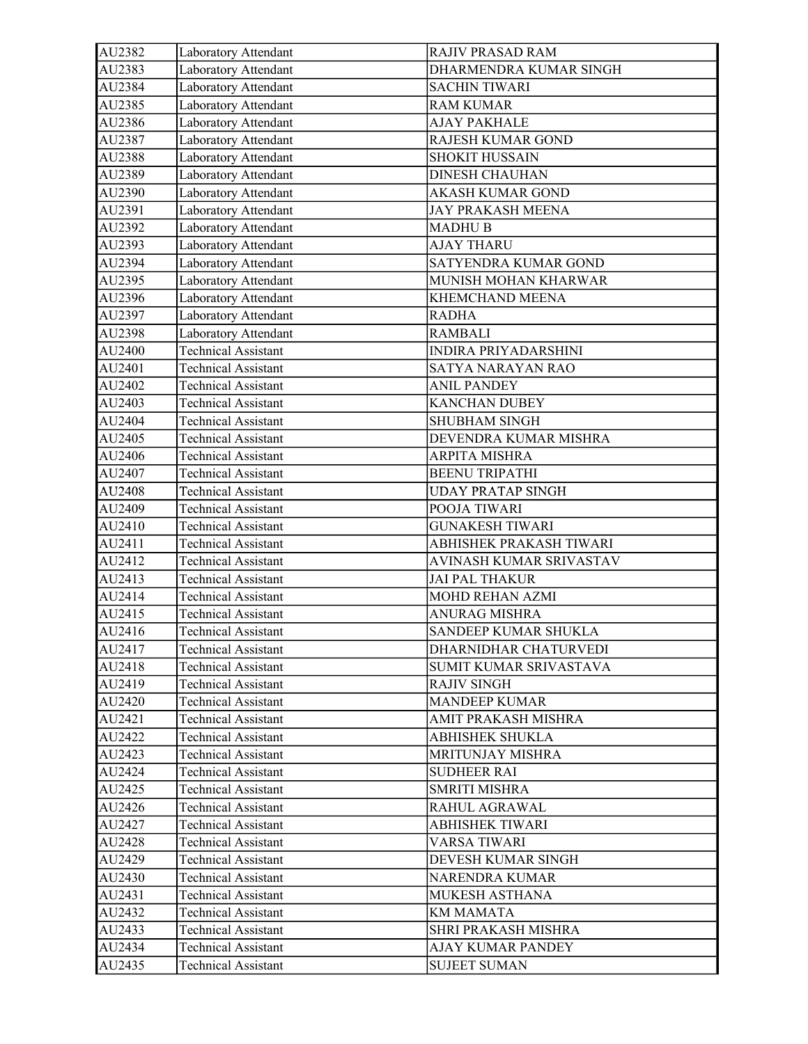| AU2382 | Laboratory Attendant        | <b>RAJIV PRASAD RAM</b>     |
|--------|-----------------------------|-----------------------------|
| AU2383 | Laboratory Attendant        | DHARMENDRA KUMAR SINGH      |
| AU2384 | Laboratory Attendant        | <b>SACHIN TIWARI</b>        |
| AU2385 | Laboratory Attendant        | RAM KUMAR                   |
| AU2386 | Laboratory Attendant        | <b>AJAY PAKHALE</b>         |
| AU2387 | Laboratory Attendant        | RAJESH KUMAR GOND           |
| AU2388 | Laboratory Attendant        | <b>SHOKIT HUSSAIN</b>       |
| AU2389 | Laboratory Attendant        | <b>DINESH CHAUHAN</b>       |
| AU2390 | Laboratory Attendant        | <b>AKASH KUMAR GOND</b>     |
| AU2391 | <b>Laboratory Attendant</b> | <b>JAY PRAKASH MEENA</b>    |
| AU2392 | Laboratory Attendant        | <b>MADHU B</b>              |
| AU2393 | Laboratory Attendant        | <b>AJAY THARU</b>           |
| AU2394 | Laboratory Attendant        | SATYENDRA KUMAR GOND        |
| AU2395 | Laboratory Attendant        | MUNISH MOHAN KHARWAR        |
| AU2396 | Laboratory Attendant        | KHEMCHAND MEENA             |
| AU2397 | Laboratory Attendant        | <b>RADHA</b>                |
| AU2398 | Laboratory Attendant        | <b>RAMBALI</b>              |
| AU2400 | <b>Technical Assistant</b>  | <b>INDIRA PRIYADARSHINI</b> |
| AU2401 | <b>Technical Assistant</b>  | SATYA NARAYAN RAO           |
| AU2402 | <b>Technical Assistant</b>  | <b>ANIL PANDEY</b>          |
| AU2403 | <b>Technical Assistant</b>  | <b>KANCHAN DUBEY</b>        |
| AU2404 | <b>Technical Assistant</b>  | <b>SHUBHAM SINGH</b>        |
| AU2405 | <b>Technical Assistant</b>  | DEVENDRA KUMAR MISHRA       |
| AU2406 | <b>Technical Assistant</b>  | ARPITA MISHRA               |
| AU2407 | <b>Technical Assistant</b>  | <b>BEENU TRIPATHI</b>       |
| AU2408 | <b>Technical Assistant</b>  | <b>UDAY PRATAP SINGH</b>    |
| AU2409 | <b>Technical Assistant</b>  | POOJA TIWARI                |
| AU2410 | <b>Technical Assistant</b>  | <b>GUNAKESH TIWARI</b>      |
| AU2411 | Technical Assistant         | ABHISHEK PRAKASH TIWARI     |
| AU2412 | <b>Technical Assistant</b>  | AVINASH KUMAR SRIVASTAV     |
| AU2413 | <b>Technical Assistant</b>  | <b>JAI PAL THAKUR</b>       |
| AU2414 | <b>Technical Assistant</b>  | <b>MOHD REHAN AZMI</b>      |
| AU2415 | <b>Technical Assistant</b>  | <b>ANURAG MISHRA</b>        |
| AU2416 | Technical Assistant         | SANDEEP KUMAR SHUKLA        |
| AU2417 | <b>Technical Assistant</b>  | DHARNIDHAR CHATURVEDI       |
| AU2418 | <b>Technical Assistant</b>  | SUMIT KUMAR SRIVASTAVA      |
| AU2419 | <b>Technical Assistant</b>  | <b>RAJIV SINGH</b>          |
| AU2420 | Technical Assistant         | <b>MANDEEP KUMAR</b>        |
| AU2421 | <b>Technical Assistant</b>  | AMIT PRAKASH MISHRA         |
| AU2422 | <b>Technical Assistant</b>  | <b>ABHISHEK SHUKLA</b>      |
| AU2423 | <b>Technical Assistant</b>  | <b>MRITUNJAY MISHRA</b>     |
| AU2424 | <b>Technical Assistant</b>  | <b>SUDHEER RAI</b>          |
| AU2425 | <b>Technical Assistant</b>  | <b>SMRITI MISHRA</b>        |
| AU2426 | <b>Technical Assistant</b>  | RAHUL AGRAWAL               |
| AU2427 | <b>Technical Assistant</b>  | <b>ABHISHEK TIWARI</b>      |
| AU2428 | <b>Technical Assistant</b>  | VARSA TIWARI                |
| AU2429 | Technical Assistant         | DEVESH KUMAR SINGH          |
| AU2430 | <b>Technical Assistant</b>  | NARENDRA KUMAR              |
| AU2431 | <b>Technical Assistant</b>  | MUKESH ASTHANA              |
| AU2432 | <b>Technical Assistant</b>  | KM MAMATA                   |
| AU2433 | <b>Technical Assistant</b>  | SHRI PRAKASH MISHRA         |
| AU2434 | <b>Technical Assistant</b>  | AJAY KUMAR PANDEY           |
| AU2435 | <b>Technical Assistant</b>  | <b>SUJEET SUMAN</b>         |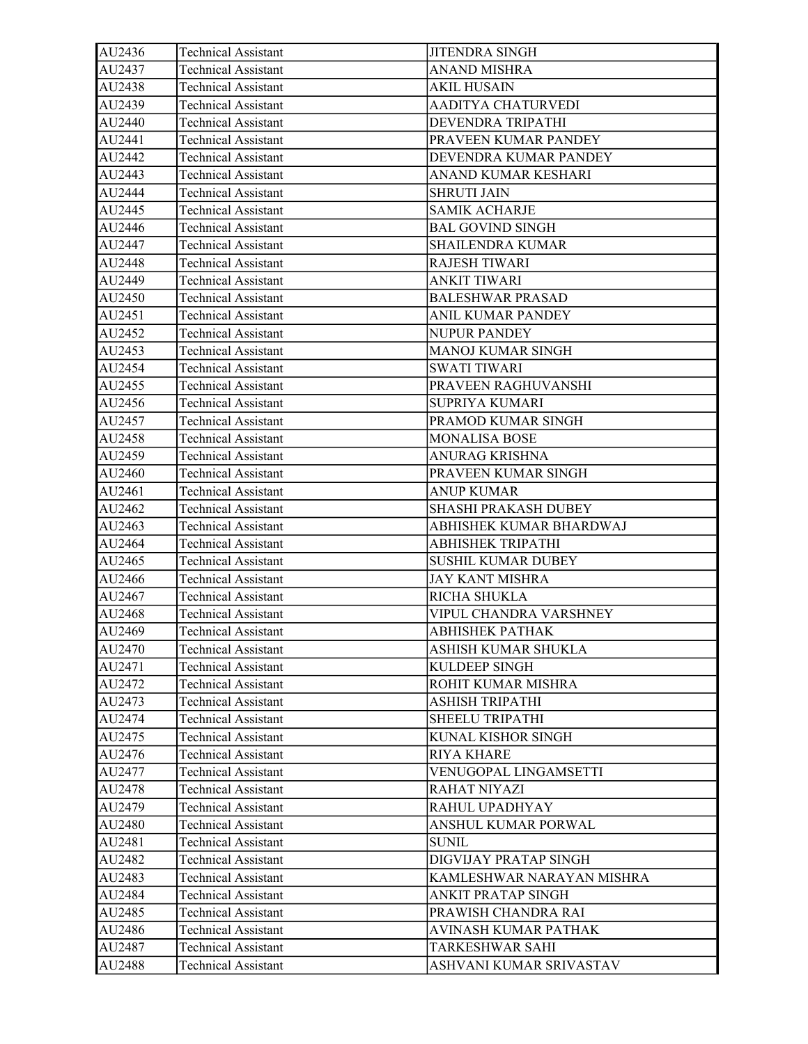| AU2436 | <b>Technical Assistant</b> | <b>JITENDRA SINGH</b>       |
|--------|----------------------------|-----------------------------|
| AU2437 | <b>Technical Assistant</b> | <b>ANAND MISHRA</b>         |
| AU2438 | <b>Technical Assistant</b> | <b>AKIL HUSAIN</b>          |
| AU2439 | <b>Technical Assistant</b> | AADITYA CHATURVEDI          |
| AU2440 | <b>Technical Assistant</b> | DEVENDRA TRIPATHI           |
| AU2441 | <b>Technical Assistant</b> | PRAVEEN KUMAR PANDEY        |
| AU2442 | <b>Technical Assistant</b> | DEVENDRA KUMAR PANDEY       |
| AU2443 | <b>Technical Assistant</b> | ANAND KUMAR KESHARI         |
| AU2444 | <b>Technical Assistant</b> | <b>SHRUTI JAIN</b>          |
| AU2445 | <b>Technical Assistant</b> | <b>SAMIK ACHARJE</b>        |
| AU2446 | <b>Technical Assistant</b> | <b>BAL GOVIND SINGH</b>     |
| AU2447 | <b>Technical Assistant</b> | <b>SHAILENDRA KUMAR</b>     |
| AU2448 | <b>Technical Assistant</b> | <b>RAJESH TIWARI</b>        |
| AU2449 | <b>Technical Assistant</b> | <b>ANKIT TIWARI</b>         |
| AU2450 | <b>Technical Assistant</b> | <b>BALESHWAR PRASAD</b>     |
| AU2451 | <b>Technical Assistant</b> | ANIL KUMAR PANDEY           |
| AU2452 | <b>Technical Assistant</b> | NUPUR PANDEY                |
| AU2453 | <b>Technical Assistant</b> | <b>MANOJ KUMAR SINGH</b>    |
| AU2454 | <b>Technical Assistant</b> | SWATI TIWARI                |
| AU2455 | <b>Technical Assistant</b> | PRAVEEN RAGHUVANSHI         |
| AU2456 | <b>Technical Assistant</b> | <b>SUPRIYA KUMARI</b>       |
| AU2457 | <b>Technical Assistant</b> | PRAMOD KUMAR SINGH          |
| AU2458 | <b>Technical Assistant</b> | <b>MONALISA BOSE</b>        |
| AU2459 | <b>Technical Assistant</b> | <b>ANURAG KRISHNA</b>       |
| AU2460 | <b>Technical Assistant</b> | PRAVEEN KUMAR SINGH         |
| AU2461 | <b>Technical Assistant</b> | <b>ANUP KUMAR</b>           |
| AU2462 | <b>Technical Assistant</b> | <b>SHASHI PRAKASH DUBEY</b> |
| AU2463 | <b>Technical Assistant</b> | ABHISHEK KUMAR BHARDWAJ     |
| AU2464 | <b>Technical Assistant</b> | <b>ABHISHEK TRIPATHI</b>    |
| AU2465 | <b>Technical Assistant</b> | <b>SUSHIL KUMAR DUBEY</b>   |
| AU2466 | <b>Technical Assistant</b> | <b>JAY KANT MISHRA</b>      |
| AU2467 | <b>Technical Assistant</b> | RICHA SHUKLA                |
| AU2468 | <b>Technical Assistant</b> | VIPUL CHANDRA VARSHNEY      |
| AU2469 | <b>Technical Assistant</b> | ABHISHEK PATHAK             |
| AU2470 | <b>Technical Assistant</b> | ASHISH KUMAR SHUKLA         |
| AU2471 | <b>Technical Assistant</b> | KULDEEP SINGH               |
| AU2472 | <b>Technical Assistant</b> | ROHIT KUMAR MISHRA          |
| AU2473 | <b>Technical Assistant</b> | ASHISH TRIPATHI             |
| AU2474 | <b>Technical Assistant</b> | SHEELU TRIPATHI             |
| AU2475 | <b>Technical Assistant</b> | KUNAL KISHOR SINGH          |
| AU2476 | <b>Technical Assistant</b> | RIYA KHARE                  |
| AU2477 | <b>Technical Assistant</b> | VENUGOPAL LINGAMSETTI       |
| AU2478 | <b>Technical Assistant</b> | RAHAT NIYAZI                |
| AU2479 | <b>Technical Assistant</b> | RAHUL UPADHYAY              |
| AU2480 | <b>Technical Assistant</b> | ANSHUL KUMAR PORWAL         |
| AU2481 | <b>Technical Assistant</b> | <b>SUNIL</b>                |
| AU2482 | <b>Technical Assistant</b> | DIGVIJAY PRATAP SINGH       |
| AU2483 | <b>Technical Assistant</b> | KAMLESHWAR NARAYAN MISHRA   |
| AU2484 | <b>Technical Assistant</b> | ANKIT PRATAP SINGH          |
| AU2485 | <b>Technical Assistant</b> | PRAWISH CHANDRA RAI         |
| AU2486 | <b>Technical Assistant</b> | AVINASH KUMAR PATHAK        |
| AU2487 | <b>Technical Assistant</b> | TARKESHWAR SAHI             |
| AU2488 | <b>Technical Assistant</b> | ASHVANI KUMAR SRIVASTAV     |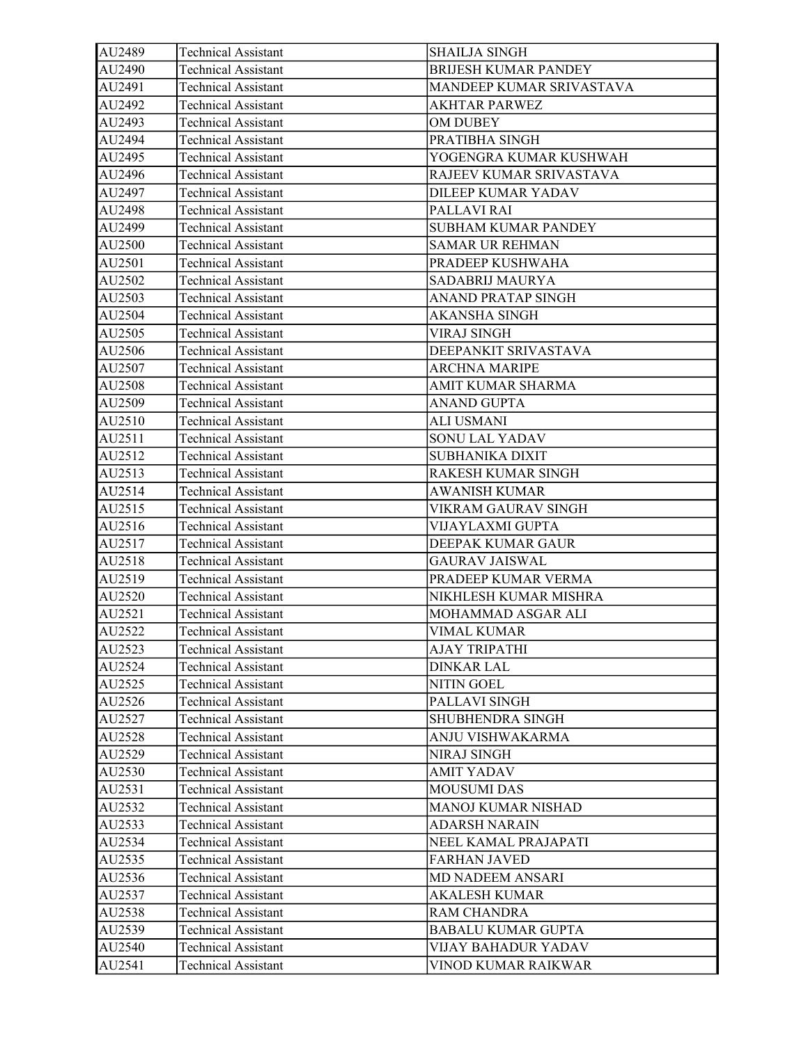| AU2489 | <b>Technical Assistant</b> | <b>SHAILJA SINGH</b>        |
|--------|----------------------------|-----------------------------|
| AU2490 | <b>Technical Assistant</b> | <b>BRIJESH KUMAR PANDEY</b> |
| AU2491 | <b>Technical Assistant</b> | MANDEEP KUMAR SRIVASTAVA    |
| AU2492 | <b>Technical Assistant</b> | AKHTAR PARWEZ               |
| AU2493 | <b>Technical Assistant</b> | OM DUBEY                    |
| AU2494 | <b>Technical Assistant</b> | PRATIBHA SINGH              |
| AU2495 | <b>Technical Assistant</b> | YOGENGRA KUMAR KUSHWAH      |
| AU2496 | <b>Technical Assistant</b> | RAJEEV KUMAR SRIVASTAVA     |
| AU2497 | <b>Technical Assistant</b> | DILEEP KUMAR YADAV          |
| AU2498 | <b>Technical Assistant</b> | PALLAVI RAI                 |
| AU2499 | <b>Technical Assistant</b> | <b>SUBHAM KUMAR PANDEY</b>  |
| AU2500 | <b>Technical Assistant</b> | <b>SAMAR UR REHMAN</b>      |
| AU2501 | <b>Technical Assistant</b> | PRADEEP KUSHWAHA            |
| AU2502 | <b>Technical Assistant</b> | SADABRIJ MAURYA             |
| AU2503 | <b>Technical Assistant</b> | ANAND PRATAP SINGH          |
| AU2504 | <b>Technical Assistant</b> | <b>AKANSHA SINGH</b>        |
| AU2505 | <b>Technical Assistant</b> | <b>VIRAJ SINGH</b>          |
| AU2506 | <b>Technical Assistant</b> | DEEPANKIT SRIVASTAVA        |
| AU2507 | <b>Technical Assistant</b> | <b>ARCHNA MARIPE</b>        |
| AU2508 | <b>Technical Assistant</b> | AMIT KUMAR SHARMA           |
| AU2509 | <b>Technical Assistant</b> | <b>ANAND GUPTA</b>          |
| AU2510 | <b>Technical Assistant</b> | <b>ALI USMANI</b>           |
| AU2511 | <b>Technical Assistant</b> | SONU LAL YADAV              |
| AU2512 | <b>Technical Assistant</b> | SUBHANIKA DIXIT             |
| AU2513 | <b>Technical Assistant</b> | RAKESH KUMAR SINGH          |
| AU2514 | <b>Technical Assistant</b> | <b>AWANISH KUMAR</b>        |
| AU2515 | <b>Technical Assistant</b> | VIKRAM GAURAV SINGH         |
| AU2516 | <b>Technical Assistant</b> | VIJAYLAXMI GUPTA            |
| AU2517 | <b>Technical Assistant</b> | DEEPAK KUMAR GAUR           |
| AU2518 | <b>Technical Assistant</b> | <b>GAURAV JAISWAL</b>       |
| AU2519 | <b>Technical Assistant</b> | PRADEEP KUMAR VERMA         |
| AU2520 | <b>Technical Assistant</b> | NIKHLESH KUMAR MISHRA       |
| AU2521 | <b>Technical Assistant</b> | MOHAMMAD ASGAR ALI          |
| AU2522 | <b>Technical Assistant</b> | <b>VIMAL KUMAR</b>          |
| AU2523 | <b>Technical Assistant</b> | AJAY TRIPATHI               |
| AU2524 | <b>Technical Assistant</b> | DINKAR LAL                  |
| AU2525 | <b>Technical Assistant</b> | <b>NITIN GOEL</b>           |
| AU2526 | <b>Technical Assistant</b> | PALLAVI SINGH               |
| AU2527 | <b>Technical Assistant</b> | SHUBHENDRA SINGH            |
| AU2528 | <b>Technical Assistant</b> | ANJU VISHWAKARMA            |
| AU2529 | <b>Technical Assistant</b> | <b>NIRAJ SINGH</b>          |
| AU2530 | Technical Assistant        | AMIT YADAV                  |
| AU2531 | <b>Technical Assistant</b> | <b>MOUSUMI DAS</b>          |
| AU2532 | <b>Technical Assistant</b> | MANOJ KUMAR NISHAD          |
| AU2533 | <b>Technical Assistant</b> | <b>ADARSH NARAIN</b>        |
| AU2534 | <b>Technical Assistant</b> | NEEL KAMAL PRAJAPATI        |
| AU2535 | Technical Assistant        | <b>FARHAN JAVED</b>         |
| AU2536 | <b>Technical Assistant</b> | MD NADEEM ANSARI            |
| AU2537 | <b>Technical Assistant</b> | <b>AKALESH KUMAR</b>        |
| AU2538 | <b>Technical Assistant</b> | <b>RAM CHANDRA</b>          |
| AU2539 | Technical Assistant        | <b>BABALU KUMAR GUPTA</b>   |
| AU2540 | <b>Technical Assistant</b> | VIJAY BAHADUR YADAV         |
| AU2541 | <b>Technical Assistant</b> | VINOD KUMAR RAIKWAR         |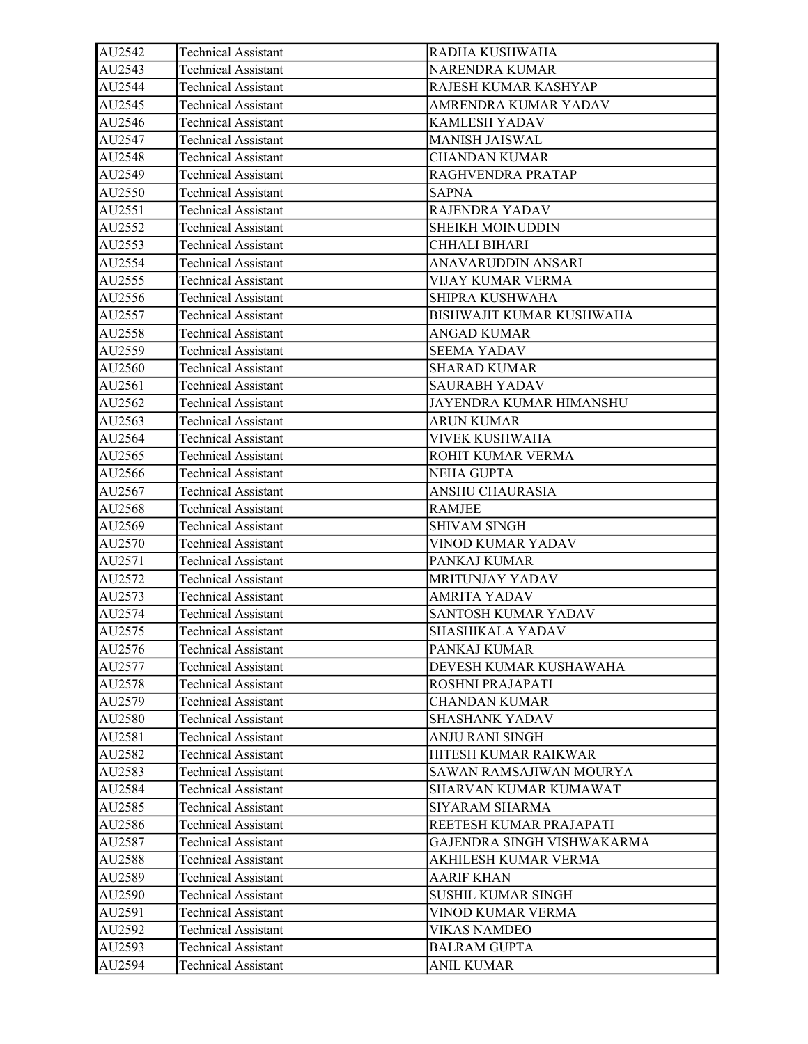| AU2542 | <b>Technical Assistant</b> | RADHA KUSHWAHA             |
|--------|----------------------------|----------------------------|
| AU2543 | <b>Technical Assistant</b> | <b>NARENDRA KUMAR</b>      |
| AU2544 | <b>Technical Assistant</b> | RAJESH KUMAR KASHYAP       |
| AU2545 | <b>Technical Assistant</b> | AMRENDRA KUMAR YADAV       |
| AU2546 | <b>Technical Assistant</b> | KAMLESH YADAV              |
| AU2547 | <b>Technical Assistant</b> | <b>MANISH JAISWAL</b>      |
| AU2548 | <b>Technical Assistant</b> | <b>CHANDAN KUMAR</b>       |
| AU2549 | <b>Technical Assistant</b> | RAGHVENDRA PRATAP          |
| AU2550 | <b>Technical Assistant</b> | <b>SAPNA</b>               |
| AU2551 | <b>Technical Assistant</b> | RAJENDRA YADAV             |
| AU2552 | <b>Technical Assistant</b> | <b>SHEIKH MOINUDDIN</b>    |
| AU2553 | <b>Technical Assistant</b> | CHHALI BIHARI              |
| AU2554 | <b>Technical Assistant</b> | ANAVARUDDIN ANSARI         |
| AU2555 | <b>Technical Assistant</b> | VIJAY KUMAR VERMA          |
| AU2556 | <b>Technical Assistant</b> | SHIPRA KUSHWAHA            |
| AU2557 | <b>Technical Assistant</b> | BISHWAJIT KUMAR KUSHWAHA   |
| AU2558 | <b>Technical Assistant</b> | ANGAD KUMAR                |
| AU2559 | <b>Technical Assistant</b> | <b>SEEMA YADAV</b>         |
| AU2560 | <b>Technical Assistant</b> | <b>SHARAD KUMAR</b>        |
| AU2561 | <b>Technical Assistant</b> | <b>SAURABH YADAV</b>       |
| AU2562 | <b>Technical Assistant</b> | JAYENDRA KUMAR HIMANSHU    |
| AU2563 | <b>Technical Assistant</b> | <b>ARUN KUMAR</b>          |
| AU2564 | <b>Technical Assistant</b> | VIVEK KUSHWAHA             |
| AU2565 | <b>Technical Assistant</b> | ROHIT KUMAR VERMA          |
| AU2566 | <b>Technical Assistant</b> | <b>NEHA GUPTA</b>          |
| AU2567 | <b>Technical Assistant</b> | ANSHU CHAURASIA            |
| AU2568 | <b>Technical Assistant</b> | RAMJEE                     |
| AU2569 | <b>Technical Assistant</b> | SHIVAM SINGH               |
| AU2570 | <b>Technical Assistant</b> | VINOD KUMAR YADAV          |
| AU2571 | <b>Technical Assistant</b> | PANKAJ KUMAR               |
| AU2572 | <b>Technical Assistant</b> | MRITUNJAY YADAV            |
| AU2573 | <b>Technical Assistant</b> | <b>AMRITA YADAV</b>        |
| AU2574 | <b>Technical Assistant</b> | SANTOSH KUMAR YADAV        |
| AU2575 | <b>Technical Assistant</b> | SHASHIKALA YADAV           |
| AU2576 | <b>Technical Assistant</b> | PANKAJ KUMAR               |
| AU2577 | <b>Technical Assistant</b> | DEVESH KUMAR KUSHAWAHA     |
| AU2578 | <b>Technical Assistant</b> | ROSHNI PRAJAPATI           |
| AU2579 | <b>Technical Assistant</b> | <b>CHANDAN KUMAR</b>       |
| AU2580 | <b>Technical Assistant</b> | <b>SHASHANK YADAV</b>      |
| AU2581 | <b>Technical Assistant</b> | ANJU RANI SINGH            |
| AU2582 | <b>Technical Assistant</b> | HITESH KUMAR RAIKWAR       |
| AU2583 | <b>Technical Assistant</b> | SAWAN RAMSAJIWAN MOURYA    |
| AU2584 | <b>Technical Assistant</b> | SHARVAN KUMAR KUMAWAT      |
| AU2585 | <b>Technical Assistant</b> | SIYARAM SHARMA             |
| AU2586 | <b>Technical Assistant</b> | REETESH KUMAR PRAJAPATI    |
| AU2587 | <b>Technical Assistant</b> | GAJENDRA SINGH VISHWAKARMA |
| AU2588 | <b>Technical Assistant</b> | AKHILESH KUMAR VERMA       |
| AU2589 | <b>Technical Assistant</b> | AARIF KHAN                 |
| AU2590 | <b>Technical Assistant</b> | <b>SUSHIL KUMAR SINGH</b>  |
| AU2591 | <b>Technical Assistant</b> | VINOD KUMAR VERMA          |
| AU2592 | <b>Technical Assistant</b> | VIKAS NAMDEO               |
| AU2593 | <b>Technical Assistant</b> | <b>BALRAM GUPTA</b>        |
| AU2594 | <b>Technical Assistant</b> | <b>ANIL KUMAR</b>          |
|        |                            |                            |